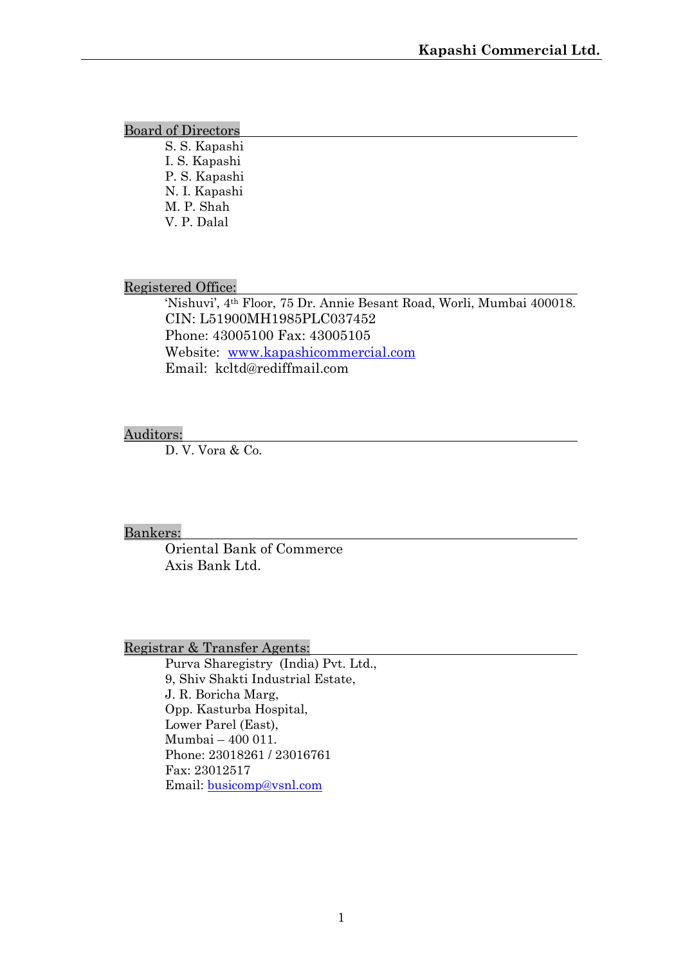# Board of Directors

S. S. Kapashi I. S. Kapashi P. S. Kapashi N. I. Kapashi M. P. Shah V. P. Dalal

# Registered Office:

'Nishuvi', 4th Floor, 75 Dr. Annie Besant Road, Worli, Mumbai 400018. CIN: L51900MH1985PLC037452 Phone: 43005100 Fax: 43005105 Website: [www.kapashicommercial.com](http://www.kapashicommercial.com/) Email: kcltd@rediffmail.com

# Auditors:

D. V. Vora & Co.

# Bankers:

Oriental Bank of Commerce Axis Bank Ltd.

# Registrar & Transfer Agents:

Purva Sharegistry (India) Pvt. Ltd., 9, Shiv Shakti Industrial Estate, J. R. Boricha Marg, Opp. Kasturba Hospital, Lower Parel (East), Mumbai – 400 011. Phone: 23018261 / 23016761 Fax: 23012517 Email: [busicomp@vsnl.com](mailto:busicomp@vsnl.com)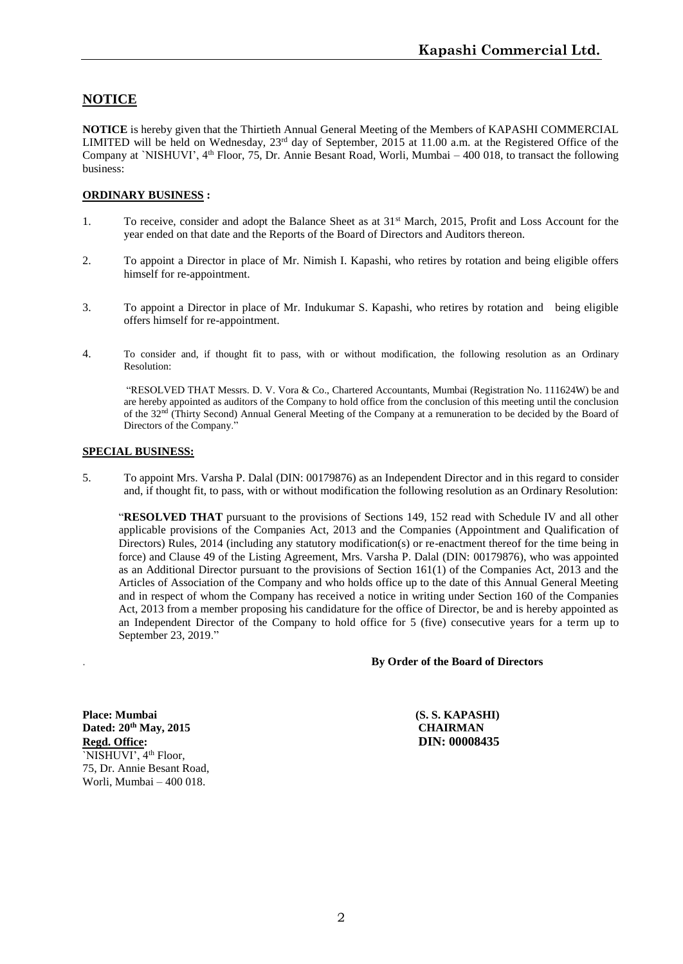# **NOTICE**

**NOTICE** is hereby given that the Thirtieth Annual General Meeting of the Members of KAPASHI COMMERCIAL LIMITED will be held on Wednesday, 23rd day of September, 2015 at 11.00 a.m. at the Registered Office of the Company at `NISHUVI', 4th Floor, 75, Dr. Annie Besant Road, Worli, Mumbai – 400 018, to transact the following business:

# **ORDINARY BUSINESS :**

- 1. To receive, consider and adopt the Balance Sheet as at 31<sup>st</sup> March, 2015, Profit and Loss Account for the year ended on that date and the Reports of the Board of Directors and Auditors thereon.
- 2. To appoint a Director in place of Mr. Nimish I. Kapashi, who retires by rotation and being eligible offers himself for re-appointment.
- 3. To appoint a Director in place of Mr. Indukumar S. Kapashi, who retires by rotation and being eligible offers himself for re-appointment.
- 4. To consider and, if thought fit to pass, with or without modification, the following resolution as an Ordinary Resolution:

 "RESOLVED THAT Messrs. D. V. Vora & Co., Chartered Accountants, Mumbai (Registration No. 111624W) be and are hereby appointed as auditors of the Company to hold office from the conclusion of this meeting until the conclusion of the 32nd (Thirty Second) Annual General Meeting of the Company at a remuneration to be decided by the Board of Directors of the Company."

# **SPECIAL BUSINESS:**

5. To appoint Mrs. Varsha P. Dalal (DIN: 00179876) as an Independent Director and in this regard to consider and, if thought fit, to pass, with or without modification the following resolution as an Ordinary Resolution:

"**RESOLVED THAT** pursuant to the provisions of Sections 149, 152 read with Schedule IV and all other applicable provisions of the Companies Act, 2013 and the Companies (Appointment and Qualification of Directors) Rules, 2014 (including any statutory modification(s) or re-enactment thereof for the time being in force) and Clause 49 of the Listing Agreement, Mrs. Varsha P. Dalal (DIN: 00179876), who was appointed as an Additional Director pursuant to the provisions of Section 161(1) of the Companies Act, 2013 and the Articles of Association of the Company and who holds office up to the date of this Annual General Meeting and in respect of whom the Company has received a notice in writing under Section 160 of the Companies Act, 2013 from a member proposing his candidature for the office of Director, be and is hereby appointed as an Independent Director of the Company to hold office for 5 (five) consecutive years for a term up to September 23, 2019."

. **By Order of the Board of Directors**

**Place: Mumbai (S. S. KAPASHI) Dated: 20 Regd. Office: DIN: 00008435** `NISHUVI', 4<sup>th</sup> Floor, 75, Dr. Annie Besant Road, Worli, Mumbai – 400 018.

**th May, 2015 CHAIRMAN**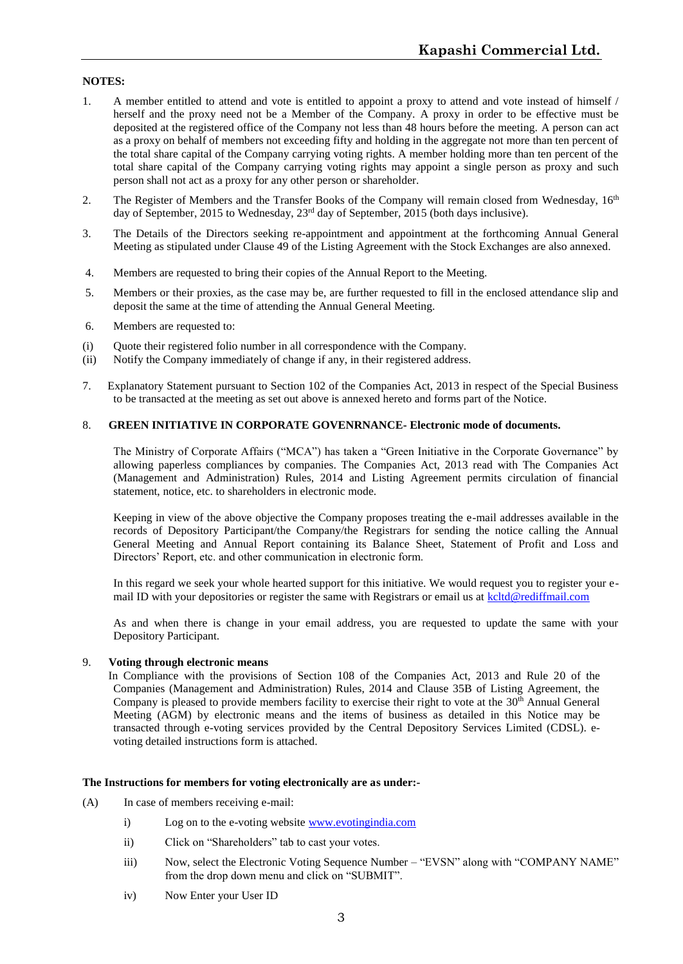# **NOTES:**

- 1. A member entitled to attend and vote is entitled to appoint a proxy to attend and vote instead of himself / herself and the proxy need not be a Member of the Company. A proxy in order to be effective must be deposited at the registered office of the Company not less than 48 hours before the meeting. A person can act as a proxy on behalf of members not exceeding fifty and holding in the aggregate not more than ten percent of the total share capital of the Company carrying voting rights. A member holding more than ten percent of the total share capital of the Company carrying voting rights may appoint a single person as proxy and such person shall not act as a proxy for any other person or shareholder.
- 2. The Register of Members and the Transfer Books of the Company will remain closed from Wednesday,  $16<sup>th</sup>$ day of September, 2015 to Wednesday, 23<sup>rd</sup> day of September, 2015 (both days inclusive).
- 3. The Details of the Directors seeking re-appointment and appointment at the forthcoming Annual General Meeting as stipulated under Clause 49 of the Listing Agreement with the Stock Exchanges are also annexed.
- 4. Members are requested to bring their copies of the Annual Report to the Meeting.
- 5. Members or their proxies, as the case may be, are further requested to fill in the enclosed attendance slip and deposit the same at the time of attending the Annual General Meeting.
- 6. Members are requested to:
- (i) Quote their registered folio number in all correspondence with the Company.
- (ii) Notify the Company immediately of change if any, in their registered address.
- 7. Explanatory Statement pursuant to Section 102 of the Companies Act, 2013 in respect of the Special Business to be transacted at the meeting as set out above is annexed hereto and forms part of the Notice.

# 8. **GREEN INITIATIVE IN CORPORATE GOVENRNANCE- Electronic mode of documents.**

The Ministry of Corporate Affairs ("MCA") has taken a "Green Initiative in the Corporate Governance" by allowing paperless compliances by companies. The Companies Act, 2013 read with The Companies Act (Management and Administration) Rules, 2014 and Listing Agreement permits circulation of financial statement, notice, etc. to shareholders in electronic mode.

Keeping in view of the above objective the Company proposes treating the e-mail addresses available in the records of Depository Participant/the Company/the Registrars for sending the notice calling the Annual General Meeting and Annual Report containing its Balance Sheet, Statement of Profit and Loss and Directors' Report, etc. and other communication in electronic form.

In this regard we seek your whole hearted support for this initiative. We would request you to register your email ID with your depositories or register the same with Registrars or email us at [kcltd@rediffmail.com](mailto:kcltd@rediffmail.com)

As and when there is change in your email address, you are requested to update the same with your Depository Participant.

#### 9. **Voting through electronic means**

 In Compliance with the provisions of Section 108 of the Companies Act, 2013 and Rule 20 of the Companies (Management and Administration) Rules, 2014 and Clause 35B of Listing Agreement, the Company is pleased to provide members facility to exercise their right to vote at the 30<sup>th</sup> Annual General Meeting (AGM) by electronic means and the items of business as detailed in this Notice may be transacted through e-voting services provided by the Central Depository Services Limited (CDSL). evoting detailed instructions form is attached.

#### **The Instructions for members for voting electronically are as under:-**

- (A) In case of members receiving e-mail:
	- i) Log on to the e-voting website [www.evotingindia.com](http://www.evotingindia.com/)
	- ii) Click on "Shareholders" tab to cast your votes.
	- iii) Now, select the Electronic Voting Sequence Number "EVSN" along with "COMPANY NAME" from the drop down menu and click on "SUBMIT".
	- iv) Now Enter your User ID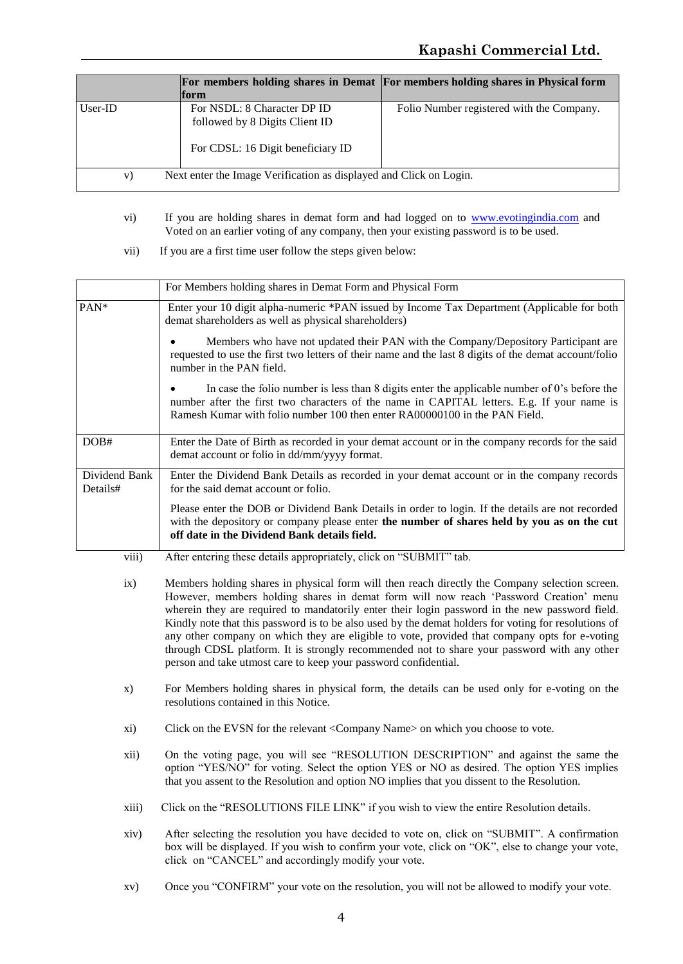|         |                                                                    | For members holding shares in Demat For members holding shares in Physical form |
|---------|--------------------------------------------------------------------|---------------------------------------------------------------------------------|
|         | <b>form</b>                                                        |                                                                                 |
| User-ID | For NSDL: 8 Character DP ID<br>followed by 8 Digits Client ID      | Folio Number registered with the Company.                                       |
|         | For CDSL: 16 Digit beneficiary ID                                  |                                                                                 |
| V)      | Next enter the Image Verification as displayed and Click on Login. |                                                                                 |

- vi) If you are holding shares in demat form and had logged on to [www.evotingindia.com](http://www.evotingindia.com/) and Voted on an earlier voting of any company, then your existing password is to be used.
- vii) If you are a first time user follow the steps given below:

| Enter your 10 digit alpha-numeric *PAN issued by Income Tax Department (Applicable for both<br>demat shareholders as well as physical shareholders)<br>number in the PAN field.                |
|------------------------------------------------------------------------------------------------------------------------------------------------------------------------------------------------|
| Members who have not updated their PAN with the Company/Depository Participant are<br>requested to use the first two letters of their name and the last 8 digits of the demat account/folio    |
| In case the folio number is less than 8 digits enter the applicable number of $0$ 's before the<br>number after the first two characters of the name in CAPITAL letters. E.g. If your name is  |
| Ramesh Kumar with folio number 100 then enter RA00000100 in the PAN Field.                                                                                                                     |
| Enter the Date of Birth as recorded in your demat account or in the company records for the said<br>demat account or folio in dd/mm/yyyy format.                                               |
| Enter the Dividend Bank Details as recorded in your demat account or in the company records<br>for the said demat account or folio.                                                            |
| Please enter the DOB or Dividend Bank Details in order to login. If the details are not recorded<br>with the depository or company please enter the number of shares held by you as on the cut |
|                                                                                                                                                                                                |

- ix) Members holding shares in physical form will then reach directly the Company selection screen. However, members holding shares in demat form will now reach 'Password Creation' menu wherein they are required to mandatorily enter their login password in the new password field. Kindly note that this password is to be also used by the demat holders for voting for resolutions of any other company on which they are eligible to vote, provided that company opts for e-voting through CDSL platform. It is strongly recommended not to share your password with any other person and take utmost care to keep your password confidential.
- x) For Members holding shares in physical form, the details can be used only for e-voting on the resolutions contained in this Notice.
- xi) Click on the EVSN for the relevant <Company Name> on which you choose to vote.
- xii) On the voting page, you will see "RESOLUTION DESCRIPTION" and against the same the option "YES/NO" for voting. Select the option YES or NO as desired. The option YES implies that you assent to the Resolution and option NO implies that you dissent to the Resolution.
- xiii) Click on the "RESOLUTIONS FILE LINK" if you wish to view the entire Resolution details.
- xiv) After selecting the resolution you have decided to vote on, click on "SUBMIT". A confirmation box will be displayed. If you wish to confirm your vote, click on "OK", else to change your vote, click on "CANCEL" and accordingly modify your vote.
- xv) Once you "CONFIRM" your vote on the resolution, you will not be allowed to modify your vote.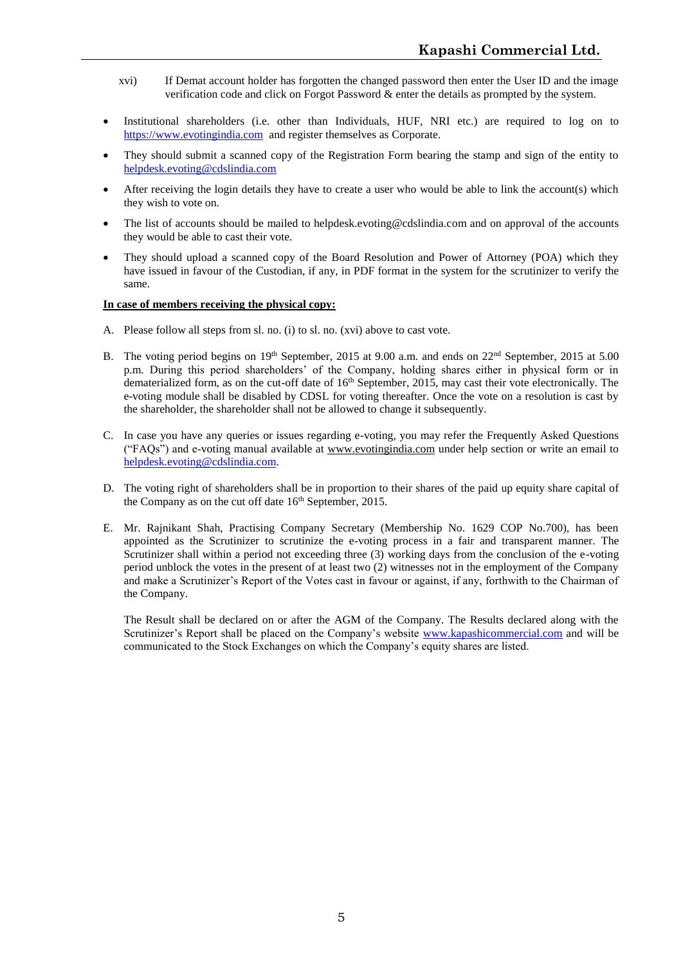- xvi) If Demat account holder has forgotten the changed password then enter the User ID and the image verification code and click on Forgot Password & enter the details as prompted by the system.
- Institutional shareholders (i.e. other than Individuals, HUF, NRI etc.) are required to log on to [https://www.evotingindia.com](https://www.evotingindia.com/) and register themselves as Corporate.
- They should submit a scanned copy of the Registration Form bearing the stamp and sign of the entity to [helpdesk.evoting@cdslindia.com](mailto:helpdesk.evoting@cdslindia.com)
- After receiving the login details they have to create a user who would be able to link the account(s) which they wish to vote on.
- The list of accounts should be mailed to helpdesk.evoting@cdslindia.com and on approval of the accounts they would be able to cast their vote.
- They should upload a scanned copy of the Board Resolution and Power of Attorney (POA) which they have issued in favour of the Custodian, if any, in PDF format in the system for the scrutinizer to verify the same.

# **In case of members receiving the physical copy:**

- A. Please follow all steps from sl. no. (i) to sl. no. (xvi) above to cast vote.
- B. The voting period begins on 19<sup>th</sup> September, 2015 at 9.00 a.m. and ends on 22<sup>nd</sup> September, 2015 at 5.00 p.m. During this period shareholders' of the Company, holding shares either in physical form or in dematerialized form, as on the cut-off date of 16<sup>th</sup> September, 2015, may cast their vote electronically. The e-voting module shall be disabled by CDSL for voting thereafter. Once the vote on a resolution is cast by the shareholder, the shareholder shall not be allowed to change it subsequently.
- C. In case you have any queries or issues regarding e-voting, you may refer the Frequently Asked Questions ("FAQs") and e-voting manual available at www.evotingindia.com under help section or write an email to [helpdesk.evoting@cdslindia.com.](mailto:helpdesk.evoting@cdslindia.com)
- D. The voting right of shareholders shall be in proportion to their shares of the paid up equity share capital of the Company as on the cut off date 16<sup>th</sup> September, 2015.
- E. Mr. Rajnikant Shah, Practising Company Secretary (Membership No. 1629 COP No.700), has been appointed as the Scrutinizer to scrutinize the e-voting process in a fair and transparent manner. The Scrutinizer shall within a period not exceeding three (3) working days from the conclusion of the e-voting period unblock the votes in the present of at least two (2) witnesses not in the employment of the Company and make a Scrutinizer's Report of the Votes cast in favour or against, if any, forthwith to the Chairman of the Company.

The Result shall be declared on or after the AGM of the Company. The Results declared along with the Scrutinizer's Report shall be placed on the Company's website [www.kapashicommercial.com](http://www.kapashicommercial.com/) and will be communicated to the Stock Exchanges on which the Company's equity shares are listed.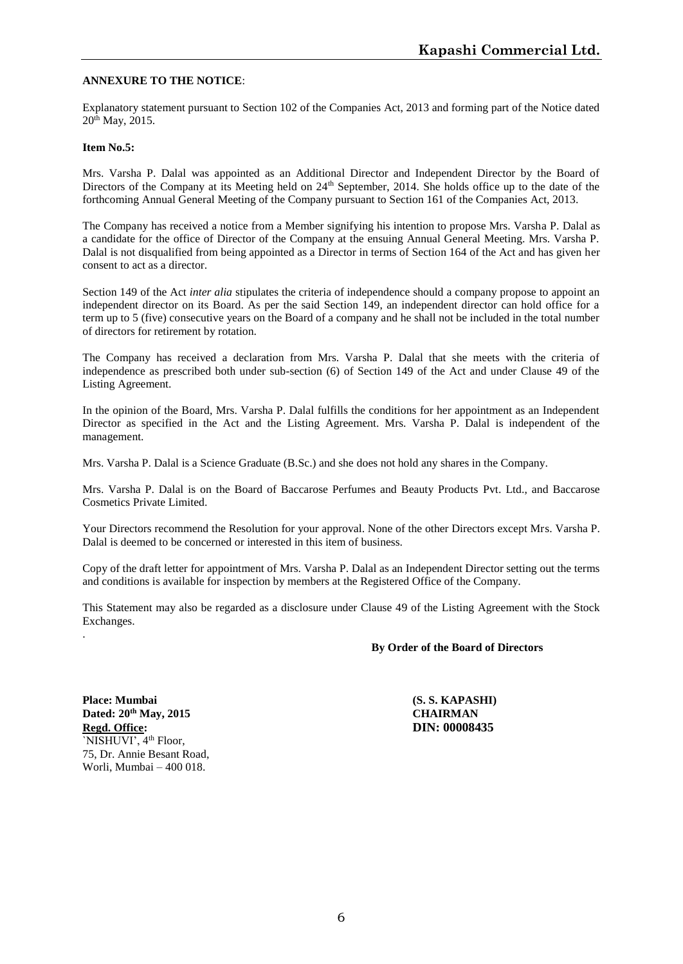# **ANNEXURE TO THE NOTICE**:

Explanatory statement pursuant to Section 102 of the Companies Act, 2013 and forming part of the Notice dated 20<sup>th</sup> May, 2015.

#### **Item No.5:**

Mrs. Varsha P. Dalal was appointed as an Additional Director and Independent Director by the Board of Directors of the Company at its Meeting held on 24<sup>th</sup> September, 2014. She holds office up to the date of the forthcoming Annual General Meeting of the Company pursuant to Section 161 of the Companies Act, 2013.

The Company has received a notice from a Member signifying his intention to propose Mrs. Varsha P. Dalal as a candidate for the office of Director of the Company at the ensuing Annual General Meeting. Mrs. Varsha P. Dalal is not disqualified from being appointed as a Director in terms of Section 164 of the Act and has given her consent to act as a director.

Section 149 of the Act *inter alia* stipulates the criteria of independence should a company propose to appoint an independent director on its Board. As per the said Section 149, an independent director can hold office for a term up to 5 (five) consecutive years on the Board of a company and he shall not be included in the total number of directors for retirement by rotation.

The Company has received a declaration from Mrs. Varsha P. Dalal that she meets with the criteria of independence as prescribed both under sub-section (6) of Section 149 of the Act and under Clause 49 of the Listing Agreement.

In the opinion of the Board, Mrs. Varsha P. Dalal fulfills the conditions for her appointment as an Independent Director as specified in the Act and the Listing Agreement. Mrs. Varsha P. Dalal is independent of the management.

Mrs. Varsha P. Dalal is a Science Graduate (B.Sc.) and she does not hold any shares in the Company.

Mrs. Varsha P. Dalal is on the Board of Baccarose Perfumes and Beauty Products Pvt. Ltd., and Baccarose Cosmetics Private Limited.

Your Directors recommend the Resolution for your approval. None of the other Directors except Mrs. Varsha P. Dalal is deemed to be concerned or interested in this item of business.

Copy of the draft letter for appointment of Mrs. Varsha P. Dalal as an Independent Director setting out the terms and conditions is available for inspection by members at the Registered Office of the Company.

This Statement may also be regarded as a disclosure under Clause 49 of the Listing Agreement with the Stock Exchanges.

# **By Order of the Board of Directors**

**Place: Mumbai (S. S. KAPASHI) Dated: 20 Regd. Office: DIN: 00008435** `NISHUVI', 4th Floor, 75, Dr. Annie Besant Road, Worli, Mumbai – 400 018.

.

**th May, 2015 CHAIRMAN**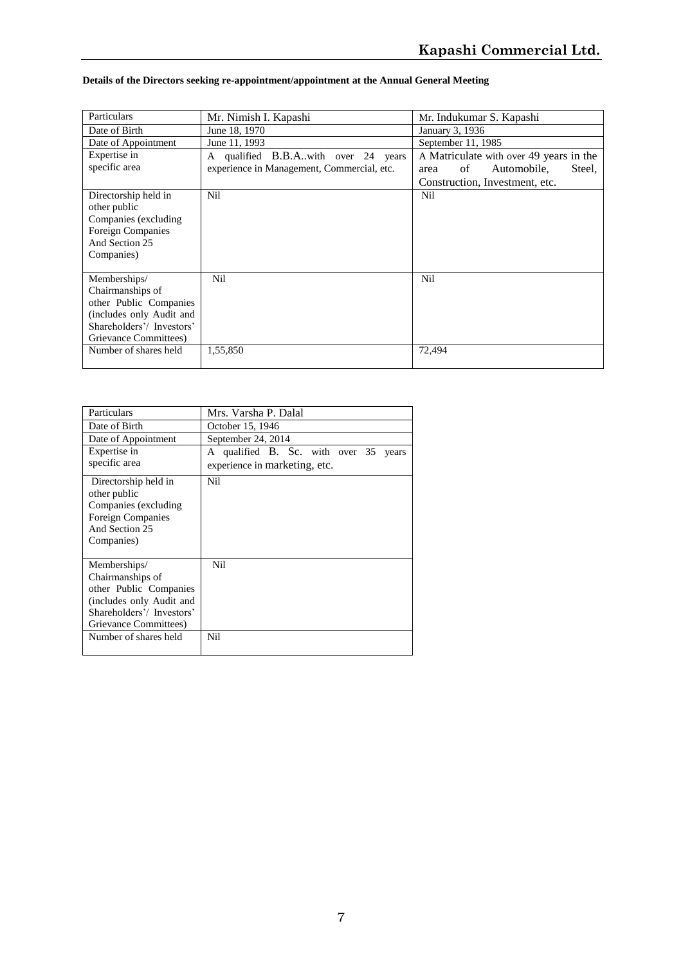| Particulars              | Mr. Nimish I. Kapashi                      | Mr. Indukumar S. Kapashi                |
|--------------------------|--------------------------------------------|-----------------------------------------|
| Date of Birth            | June 18, 1970                              | January 3, 1936                         |
| Date of Appointment      | June 11, 1993                              | September 11, 1985                      |
| Expertise in             | A qualified B.B.A. with over 24 years      | A Matriculate with over 49 years in the |
| specific area            | experience in Management, Commercial, etc. | Automobile,<br>Steel,<br>of<br>area     |
|                          |                                            | Construction, Investment, etc.          |
| Directorship held in     | Nil                                        | Nil                                     |
| other public             |                                            |                                         |
| Companies (excluding     |                                            |                                         |
| <b>Foreign Companies</b> |                                            |                                         |
| And Section 25           |                                            |                                         |
| Companies)               |                                            |                                         |
|                          |                                            |                                         |
| Memberships/             | Nil                                        | Nil                                     |
| Chairmanships of         |                                            |                                         |
| other Public Companies   |                                            |                                         |
| (includes only Audit and |                                            |                                         |
| Shareholders'/Investors' |                                            |                                         |
| Grievance Committees)    |                                            |                                         |
| Number of shares held    | 1,55,850                                   | 72,494                                  |
|                          |                                            |                                         |

# **Details of the Directors seeking re-appointment/appointment at the Annual General Meeting**

| Particulars              | Mrs. Varsha P. Dalal                     |
|--------------------------|------------------------------------------|
| Date of Birth            | October 15, 1946                         |
| Date of Appointment      | September 24, 2014                       |
| Expertise in             | A qualified B. Sc. with over 35<br>years |
| specific area            | experience in marketing, etc.            |
| Directorship held in     | Nil                                      |
| other public             |                                          |
| Companies (excluding     |                                          |
| <b>Foreign Companies</b> |                                          |
| And Section 25           |                                          |
| Companies)               |                                          |
|                          |                                          |
| Memberships/             | Nil                                      |
| Chairmanships of         |                                          |
| other Public Companies   |                                          |
| (includes only Audit and |                                          |
| Shareholders'/Investors' |                                          |
| Grievance Committees)    |                                          |
| Number of shares held    | Nil                                      |
|                          |                                          |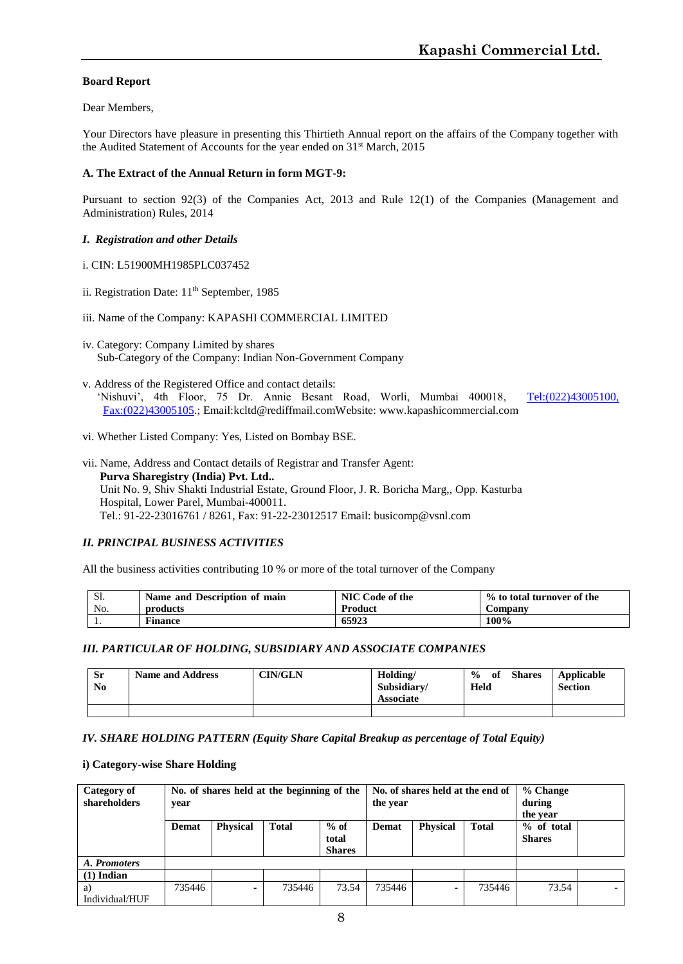# **Board Report**

Dear Members,

Your Directors have pleasure in presenting this Thirtieth Annual report on the affairs of the Company together with the Audited Statement of Accounts for the year ended on 31<sup>st</sup> March, 2015

# **A. The Extract of the Annual Return in form MGT-9:**

Pursuant to section 92(3) of the Companies Act, 2013 and Rule 12(1) of the Companies (Management and Administration) Rules, 2014

# *I***.** *Registration and other Details*

- i. CIN: L51900MH1985PLC037452
- ii. Registration Date:  $11<sup>th</sup>$  September, 1985
- iii. Name of the Company: KAPASHI COMMERCIAL LIMITED
- iv. Category: Company Limited by shares Sub-Category of the Company: Indian Non-Government Company
- v. Address of the Registered Office and contact details: 'Nishuvi', 4th Floor, 75 Dr. Annie Besant Road, Worli, Mumbai 400018, [Tel:\(022\)43005100,](Tel:(022)43005100,%20Fax:(022)43005105)  [Fax:\(022\)43005105.](Tel:(022)43005100,%20Fax:(022)43005105); Email:kcltd@rediffmail.comWebsite: www.kapashicommercial.com

vi. Whether Listed Company: Yes, Listed on Bombay BSE.

vii. Name, Address and Contact details of Registrar and Transfer Agent: **Purva Sharegistry (India) Pvt. Ltd..** Unit No. 9, Shiv Shakti Industrial Estate, Ground Floor, J. R. Boricha Marg,, Opp. Kasturba Hospital, Lower Parel, Mumbai-400011. Tel.: 91-22-23016761 / 8261, Fax: 91-22-23012517 Email: busicomp@vsnl.com

# *II. PRINCIPAL BUSINESS ACTIVITIES*

All the business activities contributing 10 % or more of the total turnover of the Company

| $\sim$<br><b>DI.</b> | Name and Description of main | <b>NIC Code of the</b> | % to total turnover of the |
|----------------------|------------------------------|------------------------|----------------------------|
| No.                  | products                     | <b>Product</b>         | <b>Company</b>             |
|                      | <b>Finance</b>               | 65923                  | 100%                       |

# *III. PARTICULAR OF HOLDING, SUBSIDIARY AND ASSOCIATE COMPANIES*

| <b>Sr</b><br>N <sub>0</sub> | <b>Name and Address</b> | <b>CIN/GLN</b> | Holding/<br>Subsidiary/<br><b>Associate</b> | $\frac{0}{0}$<br><b>Shares</b><br>of<br>Held | Applicable<br><b>Section</b> |
|-----------------------------|-------------------------|----------------|---------------------------------------------|----------------------------------------------|------------------------------|
|                             |                         |                |                                             |                                              |                              |

*IV. SHARE HOLDING PATTERN (Equity Share Capital Breakup as percentage of Total Equity)*

#### **i) Category-wise Share Holding**

| Category of<br>shareholders | year         |                 | No. of shares held at the beginning of the |                                  | the year     | No. of shares held at the end of | % Change<br>during<br>the year |                               |  |
|-----------------------------|--------------|-----------------|--------------------------------------------|----------------------------------|--------------|----------------------------------|--------------------------------|-------------------------------|--|
|                             | <b>Demat</b> | <b>Physical</b> | Total                                      | $%$ of<br>total<br><b>Shares</b> | <b>Demat</b> | <b>Physical</b>                  | <b>Total</b>                   | $%$ of total<br><b>Shares</b> |  |
| A. Promoters                |              |                 |                                            |                                  |              |                                  |                                |                               |  |
| $(1)$ Indian                |              |                 |                                            |                                  |              |                                  |                                |                               |  |
| a)<br>Individual/HUF        | 735446       | ۰.              | 735446                                     | 73.54                            | 735446       |                                  | 735446                         | 73.54                         |  |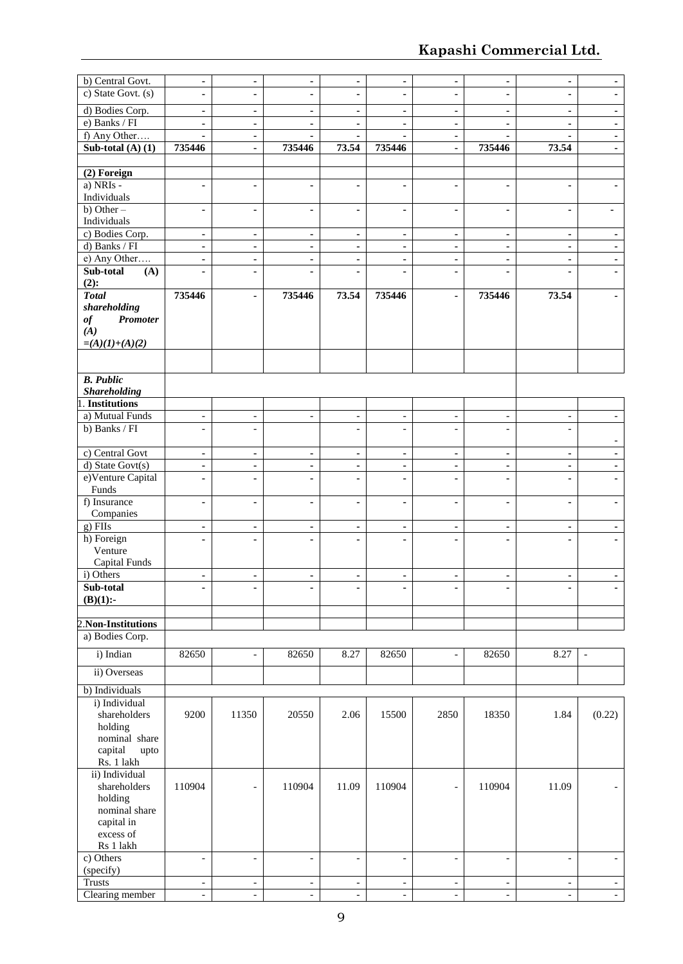| b) Central Govt.                       | $\blacksquare$           | $\blacksquare$           | ٠                            | $\blacksquare$           | ٠                        | ۰                        | $\blacksquare$           | ٠                        | ٠                         |
|----------------------------------------|--------------------------|--------------------------|------------------------------|--------------------------|--------------------------|--------------------------|--------------------------|--------------------------|---------------------------|
| c) State Govt. (s)                     |                          | ٠                        |                              | ۰                        |                          |                          |                          |                          |                           |
| d) Bodies Corp.                        | ٠                        | $\blacksquare$           | ٠                            | $\blacksquare$           | ٠                        | ٠                        | $\blacksquare$           | ٠                        |                           |
| e) Banks / FI                          |                          |                          |                              |                          |                          |                          |                          | $\blacksquare$           |                           |
|                                        | $\blacksquare$           | $\blacksquare$           | $\blacksquare$               | $\blacksquare$           | $\blacksquare$           | $\blacksquare$           | $\blacksquare$           |                          | $\blacksquare$            |
| f) Any Other                           |                          | ٠                        |                              | ٠                        |                          | ٠                        |                          |                          |                           |
| Sub-total $(A)$ $(1)$                  | 735446                   | $\blacksquare$           | 735446                       | 73.54                    | 735446                   | ٠                        | 735446                   | 73.54                    |                           |
|                                        |                          |                          |                              |                          |                          |                          |                          |                          |                           |
| (2) Foreign                            |                          |                          |                              |                          |                          |                          |                          |                          |                           |
| a) NRIs -                              | ä,                       | $\blacksquare$           | $\blacksquare$               | $\blacksquare$           |                          | ä,                       |                          | L.                       |                           |
| Individuals                            |                          |                          |                              |                          |                          |                          |                          |                          |                           |
| $\overline{b}$ ) Other –               |                          | $\blacksquare$           | ٠                            | $\blacksquare$           | ۰                        |                          |                          |                          |                           |
| Individuals                            |                          |                          |                              |                          |                          |                          |                          |                          |                           |
| c) Bodies Corp.                        |                          |                          |                              |                          |                          |                          |                          |                          |                           |
|                                        | $\blacksquare$           | $\blacksquare$           | $\blacksquare$               | $\blacksquare$           | $\blacksquare$           | $\blacksquare$           | $\blacksquare$           | $\blacksquare$           | ٠.                        |
| $d)$ Banks / FI                        | ٠                        | $\blacksquare$           | ٠                            | ٠                        | ٠                        | ٠                        | $\blacksquare$           | $\blacksquare$           | ٠                         |
| e) Any Other                           | ٠                        | $\blacksquare$           | ٠                            | $\blacksquare$           | ٠                        | ٠                        |                          | $\blacksquare$           |                           |
| Sub-total<br>(A)                       |                          | ٠                        |                              |                          |                          |                          |                          |                          |                           |
| $(2)$ :                                |                          |                          |                              |                          |                          |                          |                          |                          |                           |
| <b>Total</b>                           | 735446                   | $\blacksquare$           | 735446                       | 73.54                    | 735446                   | ÷.                       | 735446                   | 73.54                    |                           |
| shareholding                           |                          |                          |                              |                          |                          |                          |                          |                          |                           |
| $\boldsymbol{\mathit{of}}$<br>Promoter |                          |                          |                              |                          |                          |                          |                          |                          |                           |
| (A)                                    |                          |                          |                              |                          |                          |                          |                          |                          |                           |
| $=(A)(1)+(A)(2)$                       |                          |                          |                              |                          |                          |                          |                          |                          |                           |
|                                        |                          |                          |                              |                          |                          |                          |                          |                          |                           |
|                                        |                          |                          |                              |                          |                          |                          |                          |                          |                           |
| <b>B.</b> Public                       |                          |                          |                              |                          |                          |                          |                          |                          |                           |
|                                        |                          |                          |                              |                          |                          |                          |                          |                          |                           |
| Shareholding                           |                          |                          |                              |                          |                          |                          |                          |                          |                           |
| 1. Institutions                        |                          |                          |                              |                          |                          |                          |                          |                          |                           |
| a) Mutual Funds                        | $\overline{\phantom{a}}$ | $\overline{\phantom{a}}$ | $\overline{\phantom{a}}$     | $\overline{\phantom{a}}$ | $\overline{\phantom{a}}$ | $\overline{\phantom{a}}$ |                          | $\overline{\phantom{a}}$ |                           |
| b) Banks / FI                          |                          | $\overline{a}$           |                              | $\overline{a}$           |                          |                          |                          | $\overline{a}$           |                           |
|                                        |                          |                          |                              |                          |                          |                          |                          |                          |                           |
| c) Central Govt                        | $\blacksquare$           | $\blacksquare$           | ٠                            | $\blacksquare$           | $\blacksquare$           | $\blacksquare$           | $\blacksquare$           | $\blacksquare$           | $\blacksquare$            |
| d) State Govt(s)                       | ٠                        | $\blacksquare$           | $\qquad \qquad \blacksquare$ | ٠                        | ۰                        | ٠                        | ۰                        | ٠                        |                           |
| e)Venture Capital                      | ٠                        | $\blacksquare$           | ۰                            | ٠                        | ۰                        |                          |                          |                          |                           |
| Funds                                  |                          |                          |                              |                          |                          |                          |                          |                          |                           |
|                                        |                          |                          |                              |                          |                          |                          |                          |                          |                           |
| f) Insurance                           | ٠                        | $\blacksquare$           | $\blacksquare$               | $\blacksquare$           | ٠                        | ٠                        | ä,                       | ÷                        |                           |
| Companies                              |                          |                          |                              |                          |                          |                          |                          |                          |                           |
| $g$ ) FIIs                             | ٠                        | ٠                        | ٠                            | $\blacksquare$           | $\blacksquare$           |                          |                          | ٠                        |                           |
| h) Foreign                             |                          |                          |                              |                          |                          |                          |                          |                          |                           |
| Venture                                |                          |                          |                              |                          |                          |                          |                          |                          |                           |
| <b>Capital Funds</b>                   |                          |                          |                              |                          |                          |                          |                          |                          |                           |
| i) Others                              | ٠                        | $\blacksquare$           | ٠                            | $\blacksquare$           | ٠                        |                          |                          | ٠                        |                           |
| Sub-total                              |                          |                          |                              |                          |                          |                          |                          |                          |                           |
| $(B)(1)$ :-                            |                          |                          |                              |                          |                          |                          |                          |                          |                           |
|                                        |                          |                          |                              |                          |                          |                          |                          |                          |                           |
|                                        |                          |                          |                              |                          |                          |                          |                          |                          |                           |
| 2.Non-Institutions                     |                          |                          |                              |                          |                          |                          |                          |                          |                           |
| a) Bodies Corp.                        |                          |                          |                              |                          |                          |                          |                          |                          |                           |
| i) Indian                              | 82650                    | $\overline{a}$           | 82650                        | 8.27                     | 82650                    | $\overline{\phantom{0}}$ | 82650                    | 8.27                     | $\sim$                    |
|                                        |                          |                          |                              |                          |                          |                          |                          |                          |                           |
| ii) Overseas                           |                          |                          |                              |                          |                          |                          |                          |                          |                           |
| b) Individuals                         |                          |                          |                              |                          |                          |                          |                          |                          |                           |
| i) Individual                          |                          |                          |                              |                          |                          |                          |                          |                          |                           |
|                                        |                          |                          |                              |                          |                          |                          |                          |                          |                           |
| shareholders                           | 9200                     | 11350                    | 20550                        | 2.06                     | 15500                    | 2850                     | 18350                    | 1.84                     | (0.22)                    |
| holding                                |                          |                          |                              |                          |                          |                          |                          |                          |                           |
| nominal share                          |                          |                          |                              |                          |                          |                          |                          |                          |                           |
| capital<br>upto                        |                          |                          |                              |                          |                          |                          |                          |                          |                           |
| Rs. 1 lakh                             |                          |                          |                              |                          |                          |                          |                          |                          |                           |
| ii) Individual                         |                          |                          |                              |                          |                          |                          |                          |                          |                           |
| shareholders                           | 110904                   | $\overline{\phantom{a}}$ | 110904                       | 11.09                    | 110904                   |                          | 110904                   | 11.09                    |                           |
| holding                                |                          |                          |                              |                          |                          |                          |                          |                          |                           |
| nominal share                          |                          |                          |                              |                          |                          |                          |                          |                          |                           |
| capital in                             |                          |                          |                              |                          |                          |                          |                          |                          |                           |
| excess of                              |                          |                          |                              |                          |                          |                          |                          |                          |                           |
| Rs 1 lakh                              |                          |                          |                              |                          |                          |                          |                          |                          |                           |
|                                        |                          |                          |                              |                          |                          |                          |                          |                          |                           |
| c) Others                              | $\blacksquare$           | $\overline{\phantom{a}}$ | $\overline{\phantom{a}}$     | $\blacksquare$           | $\overline{\phantom{a}}$ | $\qquad \qquad \Box$     | $\blacksquare$           | $\overline{\phantom{a}}$ | $\sim$                    |
| (specify)                              |                          |                          |                              |                          |                          |                          |                          |                          |                           |
| <b>Trusts</b>                          | $\overline{\phantom{a}}$ | $\overline{\phantom{a}}$ | $\overline{\phantom{a}}$     | $\overline{\phantom{a}}$ | $\overline{\phantom{a}}$ | $\overline{\phantom{a}}$ | $\overline{\phantom{a}}$ | $\overline{\phantom{a}}$ | $\blacksquare$            |
| Clearing member                        |                          | $\overline{a}$           | $\frac{1}{2}$                | $\overline{a}$           |                          | $\overline{\phantom{0}}$ |                          |                          | $\mathbb{Z}^{\mathbb{Z}}$ |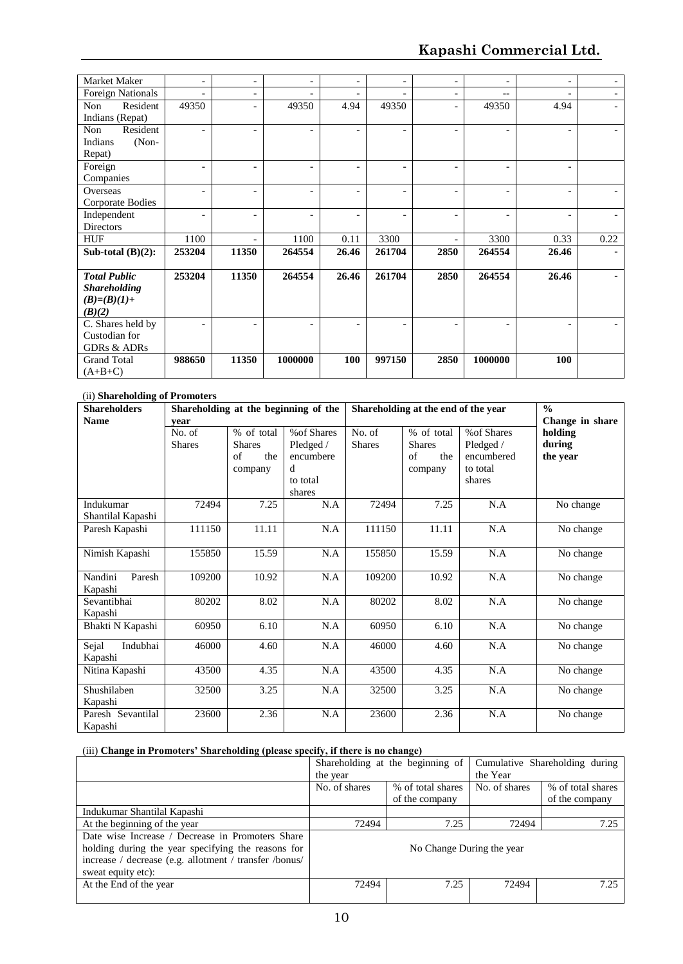| Market Maker             | $\overline{\phantom{a}}$ | $\overline{\phantom{a}}$ | $\overline{\phantom{0}}$ | $\overline{\phantom{a}}$ | $\overline{\phantom{a}}$ | $\overline{\phantom{a}}$ | $\overline{\phantom{a}}$ | ۰     |      |
|--------------------------|--------------------------|--------------------------|--------------------------|--------------------------|--------------------------|--------------------------|--------------------------|-------|------|
|                          |                          |                          |                          |                          |                          |                          |                          |       |      |
| <b>Foreign Nationals</b> |                          | $\overline{\phantom{0}}$ |                          |                          | $\overline{\phantom{a}}$ |                          | $-$                      |       |      |
| Resident<br>Non          | 49350                    | $\overline{\phantom{a}}$ | 49350                    | 4.94                     | 49350                    | $\overline{\phantom{a}}$ | 49350                    | 4.94  |      |
| Indians (Repat)          |                          |                          |                          |                          |                          |                          |                          |       |      |
| Resident<br>Non          | $\overline{a}$           | $\overline{\phantom{a}}$ |                          | $\blacksquare$           | $\blacksquare$           | $\overline{\phantom{a}}$ | $\overline{\phantom{a}}$ |       |      |
| Indians<br>$(Non-$       |                          |                          |                          |                          |                          |                          |                          |       |      |
| Repat)                   |                          |                          |                          |                          |                          |                          |                          |       |      |
| Foreign                  | $\overline{\phantom{a}}$ | $\overline{\phantom{a}}$ | $\overline{a}$           | $\blacksquare$           | $\blacksquare$           | $\overline{\phantom{a}}$ | $\overline{\phantom{a}}$ |       |      |
| Companies                |                          |                          |                          |                          |                          |                          |                          |       |      |
| Overseas                 | ٠                        | $\overline{\phantom{a}}$ |                          | $\overline{\phantom{a}}$ | $\overline{\phantom{a}}$ | $\overline{\phantom{a}}$ | $\overline{\phantom{a}}$ |       |      |
| Corporate Bodies         |                          |                          |                          |                          |                          |                          |                          |       |      |
| Independent              |                          | $\overline{a}$           |                          | $\overline{a}$           | $\overline{\phantom{a}}$ |                          | $\overline{\phantom{a}}$ |       |      |
| <b>Directors</b>         |                          |                          |                          |                          |                          |                          |                          |       |      |
| <b>HUF</b>               | 1100                     |                          | 1100                     | 0.11                     | 3300                     |                          | 3300                     | 0.33  | 0.22 |
| Sub-total $(B)(2)$ :     | 253204                   | 11350                    | 264554                   | 26.46                    | 261704                   | 2850                     | 264554                   | 26.46 |      |
|                          |                          |                          |                          |                          |                          |                          |                          |       |      |
| <b>Total Public</b>      | 253204                   | 11350                    | 264554                   | 26.46                    | 261704                   | 2850                     | 264554                   | 26.46 |      |
| <b>Shareholding</b>      |                          |                          |                          |                          |                          |                          |                          |       |      |
| $(B)=(B)(1)+$            |                          |                          |                          |                          |                          |                          |                          |       |      |
| (B)(2)                   |                          |                          |                          |                          |                          |                          |                          |       |      |
| C. Shares held by        |                          |                          |                          | ۰                        | ۰                        |                          | ۰                        |       |      |
| Custodian for            |                          |                          |                          |                          |                          |                          |                          |       |      |
| <b>GDRs &amp; ADRs</b>   |                          |                          |                          |                          |                          |                          |                          |       |      |
| <b>Grand Total</b>       | 988650                   | 11350                    | 1000000                  | 100                      | 997150                   | 2850                     | 1000000                  | 100   |      |
| $(A+B+C)$                |                          |                          |                          |                          |                          |                          |                          |       |      |

# (ii) **Shareholding of Promoters**

| <b>Shareholders</b>            | Shareholding at the beginning of the |                                                     |                                                                   |                         |                                                                        | Shareholding at the end of the year                          |                                                  |  |  |
|--------------------------------|--------------------------------------|-----------------------------------------------------|-------------------------------------------------------------------|-------------------------|------------------------------------------------------------------------|--------------------------------------------------------------|--------------------------------------------------|--|--|
| <b>Name</b>                    | vear<br>No. of<br><b>Shares</b>      | % of total<br><b>Shares</b><br>of<br>the<br>company | % of Shares<br>Pledged /<br>encumbere<br>d.<br>to total<br>shares | No. of<br><b>Shares</b> | $\sqrt{\frac{1}{2}}$ of total<br><b>Shares</b><br>of<br>the<br>company | % of Shares<br>Pledged /<br>encumbered<br>to total<br>shares | Change in share<br>holding<br>during<br>the year |  |  |
| Indukumar<br>Shantilal Kapashi | 72494                                | 7.25                                                | N.A                                                               | 72494                   | 7.25                                                                   | N.A                                                          | No change                                        |  |  |
| Paresh Kapashi                 | 111150                               | 11.11                                               | N.A                                                               | 111150                  | 11.11                                                                  | N.A                                                          | No change                                        |  |  |
| Nimish Kapashi                 | 155850                               | 15.59                                               | N.A                                                               | 155850                  | 15.59                                                                  | N.A                                                          | No change                                        |  |  |
| Nandini<br>Paresh<br>Kapashi   | 109200                               | 10.92                                               | N.A                                                               | 109200                  | 10.92                                                                  | N.A                                                          | No change                                        |  |  |
| Sevantibhai<br>Kapashi         | 80202                                | 8.02                                                | N.A                                                               | 80202                   | 8.02                                                                   | N.A                                                          | No change                                        |  |  |
| Bhakti N Kapashi               | 60950                                | 6.10                                                | N.A                                                               | 60950                   | 6.10                                                                   | N.A                                                          | No change                                        |  |  |
| Sejal<br>Indubhai<br>Kapashi   | 46000                                | 4.60                                                | N.A                                                               | 46000                   | 4.60                                                                   | N.A                                                          | No change                                        |  |  |
| Nitina Kapashi                 | 43500                                | 4.35                                                | N.A                                                               | 43500                   | 4.35                                                                   | N.A                                                          | No change                                        |  |  |
| Shushilaben<br>Kapashi         | 32500                                | 3.25                                                | N.A                                                               | 32500                   | 3.25                                                                   | N.A                                                          | No change                                        |  |  |
| Paresh Sevantilal<br>Kapashi   | 23600                                | 2.36                                                | N.A                                                               | 23600                   | 2.36                                                                   | N.A                                                          | No change                                        |  |  |

# (iii) **Change in Promoters' Shareholding (please specify, if there is no change)**

|                                                                                                                                                                                        |                           | Shareholding at the beginning of | Cumulative Shareholding during |                   |  |  |
|----------------------------------------------------------------------------------------------------------------------------------------------------------------------------------------|---------------------------|----------------------------------|--------------------------------|-------------------|--|--|
|                                                                                                                                                                                        | the year                  |                                  | the Year                       |                   |  |  |
|                                                                                                                                                                                        | No. of shares             | % of total shares                | No. of shares                  | % of total shares |  |  |
|                                                                                                                                                                                        |                           | of the company                   |                                | of the company    |  |  |
| Indukumar Shantilal Kapashi                                                                                                                                                            |                           |                                  |                                |                   |  |  |
| At the beginning of the year                                                                                                                                                           | 72494                     | 7.25                             | 72494                          | 7.25              |  |  |
| Date wise Increase / Decrease in Promoters Share<br>holding during the year specifying the reasons for<br>increase / decrease (e.g. allotment / transfer /bonus/<br>sweat equity etc): | No Change During the year |                                  |                                |                   |  |  |
| At the End of the year                                                                                                                                                                 | 72494                     | 7.25                             | 72494                          | 7.25              |  |  |
|                                                                                                                                                                                        |                           |                                  |                                |                   |  |  |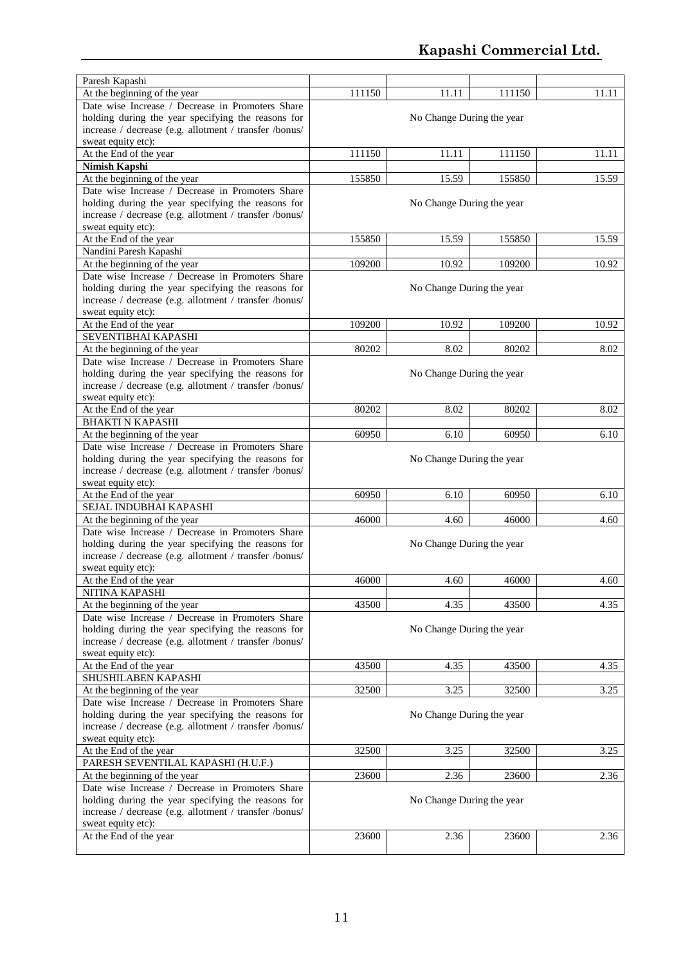| Paresh Kapashi                                                                                               |                           |                           |        |       |  |
|--------------------------------------------------------------------------------------------------------------|---------------------------|---------------------------|--------|-------|--|
| At the beginning of the year                                                                                 | 111150                    | 11.11                     | 111150 | 11.11 |  |
| Date wise Increase / Decrease in Promoters Share                                                             |                           |                           |        |       |  |
| holding during the year specifying the reasons for                                                           |                           | No Change During the year |        |       |  |
| increase / decrease (e.g. allotment / transfer /bonus/                                                       |                           |                           |        |       |  |
| sweat equity etc):                                                                                           |                           |                           |        |       |  |
| At the End of the year                                                                                       | 111150                    | 11.11                     | 111150 | 11.11 |  |
| Nimish Kapshi                                                                                                |                           |                           |        |       |  |
| At the beginning of the year                                                                                 | 155850                    | 15.59                     | 155850 | 15.59 |  |
| Date wise Increase / Decrease in Promoters Share                                                             |                           |                           |        |       |  |
|                                                                                                              |                           |                           |        |       |  |
| holding during the year specifying the reasons for<br>increase / decrease (e.g. allotment / transfer /bonus/ |                           | No Change During the year |        |       |  |
|                                                                                                              |                           |                           |        |       |  |
| sweat equity etc):                                                                                           |                           |                           |        |       |  |
| At the End of the year                                                                                       | 155850                    | 15.59                     | 155850 | 15.59 |  |
| Nandini Paresh Kapashi                                                                                       |                           |                           |        |       |  |
| At the beginning of the year                                                                                 | 109200                    | 10.92                     | 109200 | 10.92 |  |
| Date wise Increase / Decrease in Promoters Share                                                             |                           |                           |        |       |  |
| holding during the year specifying the reasons for                                                           |                           | No Change During the year |        |       |  |
| increase / decrease (e.g. allotment / transfer /bonus/                                                       |                           |                           |        |       |  |
| sweat equity etc):                                                                                           |                           |                           |        |       |  |
| At the End of the year                                                                                       | 109200                    | 10.92                     | 109200 | 10.92 |  |
| SEVENTIBHAI KAPASHI                                                                                          |                           |                           |        |       |  |
| At the beginning of the year                                                                                 | 80202                     | 8.02                      | 80202  | 8.02  |  |
| Date wise Increase / Decrease in Promoters Share                                                             |                           |                           |        |       |  |
| holding during the year specifying the reasons for                                                           |                           | No Change During the year |        |       |  |
| increase / decrease (e.g. allotment / transfer /bonus/                                                       |                           |                           |        |       |  |
| sweat equity etc):                                                                                           |                           |                           |        |       |  |
| At the End of the year                                                                                       | 80202                     | 8.02                      | 80202  | 8.02  |  |
| <b>BHAKTI N KAPASHI</b>                                                                                      |                           |                           |        |       |  |
| At the beginning of the year                                                                                 | 60950                     | 6.10                      | 60950  | 6.10  |  |
| Date wise Increase / Decrease in Promoters Share                                                             |                           |                           |        |       |  |
| holding during the year specifying the reasons for                                                           | No Change During the year |                           |        |       |  |
| increase / decrease (e.g. allotment / transfer /bonus/                                                       |                           |                           |        |       |  |
| sweat equity etc):                                                                                           |                           |                           |        |       |  |
| At the End of the year                                                                                       | 60950                     | 6.10                      | 60950  | 6.10  |  |
| SEJAL INDUBHAI KAPASHI                                                                                       |                           |                           |        |       |  |
| At the beginning of the year                                                                                 | 46000                     | 4.60                      | 46000  | 4.60  |  |
| Date wise Increase / Decrease in Promoters Share                                                             |                           |                           |        |       |  |
| holding during the year specifying the reasons for                                                           |                           |                           |        |       |  |
| increase / decrease (e.g. allotment / transfer /bonus/                                                       |                           | No Change During the year |        |       |  |
|                                                                                                              |                           |                           |        |       |  |
| sweat equity etc):                                                                                           |                           |                           | 46000  |       |  |
| At the End of the year                                                                                       | 46000                     | 4.60                      |        | 4.60  |  |
| NITINA KAPASHI                                                                                               |                           |                           |        |       |  |
| At the beginning of the year                                                                                 | 43500                     | 4.35                      | 43500  | 4.35  |  |
| Date wise Increase / Decrease in Promoters Share                                                             |                           |                           |        |       |  |
| holding during the year specifying the reasons for                                                           |                           | No Change During the year |        |       |  |
| increase / decrease (e.g. allotment / transfer /bonus/                                                       |                           |                           |        |       |  |
| sweat equity etc):                                                                                           |                           |                           |        |       |  |
| At the End of the year                                                                                       | 43500                     | 4.35                      | 43500  | 4.35  |  |
| SHUSHILABEN KAPASHI                                                                                          |                           |                           |        |       |  |
| At the beginning of the year                                                                                 | 32500                     | 3.25                      | 32500  | 3.25  |  |
| Date wise Increase / Decrease in Promoters Share                                                             |                           |                           |        |       |  |
| holding during the year specifying the reasons for                                                           |                           | No Change During the year |        |       |  |
| increase / decrease (e.g. allotment / transfer /bonus/                                                       |                           |                           |        |       |  |
| sweat equity etc):                                                                                           |                           |                           |        |       |  |
| At the End of the year                                                                                       | 32500                     | 3.25                      | 32500  | 3.25  |  |
| PARESH SEVENTILAL KAPASHI (H.U.F.)                                                                           |                           |                           |        |       |  |
| At the beginning of the year                                                                                 | 23600                     | 2.36                      | 23600  | 2.36  |  |
| Date wise Increase / Decrease in Promoters Share                                                             |                           |                           |        |       |  |
| holding during the year specifying the reasons for                                                           |                           | No Change During the year |        |       |  |
| increase / decrease (e.g. allotment / transfer /bonus/                                                       |                           |                           |        |       |  |
| sweat equity etc):                                                                                           |                           |                           |        |       |  |
| At the End of the year                                                                                       | 23600                     | 2.36                      | 23600  | 2.36  |  |
|                                                                                                              |                           |                           |        |       |  |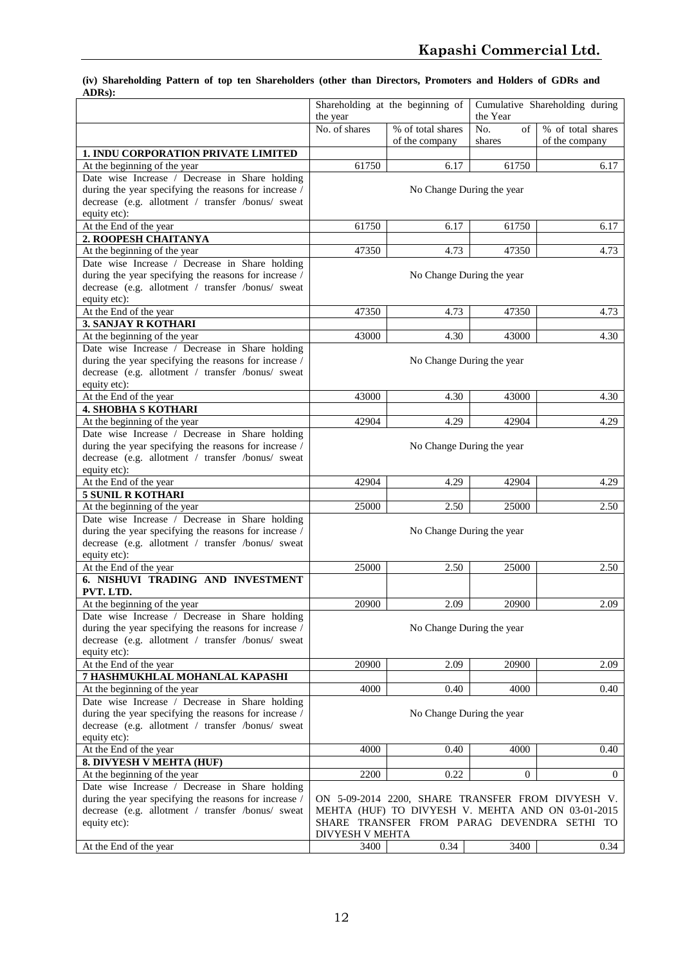#### **(iv) Shareholding Pattern of top ten Shareholders (other than Directors, Promoters and Holders of GDRs and ADRs):**

|                                                                                                            | the year                                       | Shareholding at the beginning of | Cumulative Shareholding during<br>the Year |                                                   |  |
|------------------------------------------------------------------------------------------------------------|------------------------------------------------|----------------------------------|--------------------------------------------|---------------------------------------------------|--|
|                                                                                                            | No. of shares                                  | % of total shares                | No.<br>of                                  | % of total shares                                 |  |
|                                                                                                            |                                                | of the company                   | shares                                     | of the company                                    |  |
| 1. INDU CORPORATION PRIVATE LIMITED                                                                        |                                                |                                  |                                            |                                                   |  |
| At the beginning of the year                                                                               | 61750                                          | 6.17                             | 61750                                      | 6.17                                              |  |
| Date wise Increase / Decrease in Share holding                                                             |                                                |                                  |                                            |                                                   |  |
| during the year specifying the reasons for increase /                                                      |                                                | No Change During the year        |                                            |                                                   |  |
| decrease (e.g. allotment / transfer /bonus/ sweat                                                          |                                                |                                  |                                            |                                                   |  |
| equity etc):                                                                                               |                                                |                                  |                                            |                                                   |  |
| At the End of the year                                                                                     | 61750                                          | 6.17                             | 61750                                      | 6.17                                              |  |
| 2. ROOPESH CHAITANYA                                                                                       |                                                |                                  |                                            |                                                   |  |
| At the beginning of the year                                                                               | 47350                                          | 4.73                             | 47350                                      | 4.73                                              |  |
| Date wise Increase / Decrease in Share holding                                                             |                                                |                                  |                                            |                                                   |  |
| during the year specifying the reasons for increase /                                                      |                                                | No Change During the year        |                                            |                                                   |  |
| decrease (e.g. allotment / transfer /bonus/ sweat                                                          |                                                |                                  |                                            |                                                   |  |
| equity etc):                                                                                               |                                                |                                  |                                            |                                                   |  |
| At the End of the year                                                                                     | 47350                                          | 4.73                             | 47350                                      | 4.73                                              |  |
| <b>3. SANJAY R KOTHARI</b>                                                                                 |                                                |                                  |                                            |                                                   |  |
| At the beginning of the year                                                                               | 43000                                          | 4.30                             | 43000                                      | 4.30                                              |  |
| Date wise Increase / Decrease in Share holding                                                             |                                                |                                  |                                            |                                                   |  |
| during the year specifying the reasons for increase /                                                      |                                                | No Change During the year        |                                            |                                                   |  |
| decrease (e.g. allotment / transfer /bonus/ sweat                                                          |                                                |                                  |                                            |                                                   |  |
| equity etc):<br>At the End of the year                                                                     | 43000                                          | 4.30                             | 43000                                      | 4.30                                              |  |
| <b>4. SHOBHA S KOTHARI</b>                                                                                 |                                                |                                  |                                            |                                                   |  |
| At the beginning of the year                                                                               | 42904                                          | 4.29                             | 42904                                      | 4.29                                              |  |
| Date wise Increase / Decrease in Share holding                                                             |                                                |                                  |                                            |                                                   |  |
| during the year specifying the reasons for increase /                                                      |                                                | No Change During the year        |                                            |                                                   |  |
| decrease (e.g. allotment / transfer /bonus/ sweat                                                          |                                                |                                  |                                            |                                                   |  |
| equity etc):                                                                                               |                                                |                                  |                                            |                                                   |  |
| At the End of the year                                                                                     | 42904                                          | 4.29                             | 42904                                      | 4.29                                              |  |
| <b>5 SUNIL R KOTHARI</b>                                                                                   |                                                |                                  |                                            |                                                   |  |
| At the beginning of the year                                                                               | 25000                                          | 2.50                             | 25000                                      | 2.50                                              |  |
| Date wise Increase / Decrease in Share holding                                                             |                                                |                                  |                                            |                                                   |  |
| during the year specifying the reasons for increase /                                                      |                                                | No Change During the year        |                                            |                                                   |  |
| decrease (e.g. allotment / transfer /bonus/ sweat                                                          |                                                |                                  |                                            |                                                   |  |
| equity etc):                                                                                               |                                                |                                  |                                            |                                                   |  |
| At the End of the year                                                                                     | 25000                                          | 2.50                             | 25000                                      | 2.50                                              |  |
| 6. NISHUVI TRADING AND INVESTMENT                                                                          |                                                |                                  |                                            |                                                   |  |
| PVT. LTD.                                                                                                  |                                                |                                  |                                            |                                                   |  |
| At the beginning of the year                                                                               | 20900                                          | 2.09                             | 20900                                      | 2.09                                              |  |
| Date wise Increase / Decrease in Share holding                                                             |                                                |                                  |                                            |                                                   |  |
| during the year specifying the reasons for increase /                                                      |                                                | No Change During the year        |                                            |                                                   |  |
| decrease (e.g. allotment / transfer /bonus/ sweat                                                          |                                                |                                  |                                            |                                                   |  |
| equity etc):                                                                                               |                                                |                                  |                                            |                                                   |  |
| At the End of the year                                                                                     | 20900                                          | 2.09                             | 20900                                      | 2.09                                              |  |
| 7 HASHMUKHLAL MOHANLAL KAPASHI                                                                             | 4000                                           | 0.40                             | 4000                                       |                                                   |  |
| At the beginning of the year                                                                               |                                                |                                  |                                            | 0.40                                              |  |
| Date wise Increase / Decrease in Share holding                                                             |                                                |                                  |                                            |                                                   |  |
| during the year specifying the reasons for increase /<br>decrease (e.g. allotment / transfer /bonus/ sweat |                                                | No Change During the year        |                                            |                                                   |  |
|                                                                                                            |                                                |                                  |                                            |                                                   |  |
| equity etc):<br>At the End of the year                                                                     | 4000                                           | 0.40                             | 4000                                       | 0.40                                              |  |
| 8. DIVYESH V MEHTA (HUF)                                                                                   |                                                |                                  |                                            |                                                   |  |
| At the beginning of the year                                                                               | 2200<br>0.22<br>$\mathbf{0}$<br>$\overline{0}$ |                                  |                                            |                                                   |  |
| Date wise Increase / Decrease in Share holding                                                             |                                                |                                  |                                            |                                                   |  |
| during the year specifying the reasons for increase /                                                      |                                                |                                  |                                            | ON 5-09-2014 2200, SHARE TRANSFER FROM DIVYESH V. |  |
| decrease (e.g. allotment / transfer /bonus/ sweat                                                          |                                                |                                  |                                            | MEHTA (HUF) TO DIVYESH V. MEHTA AND ON 03-01-2015 |  |
| equity etc):                                                                                               |                                                |                                  |                                            | SHARE TRANSFER FROM PARAG DEVENDRA SETHI TO       |  |
|                                                                                                            | DIVYESH V MEHTA                                |                                  |                                            |                                                   |  |
| At the End of the year                                                                                     | 3400                                           | 0.34                             | 3400                                       | 0.34                                              |  |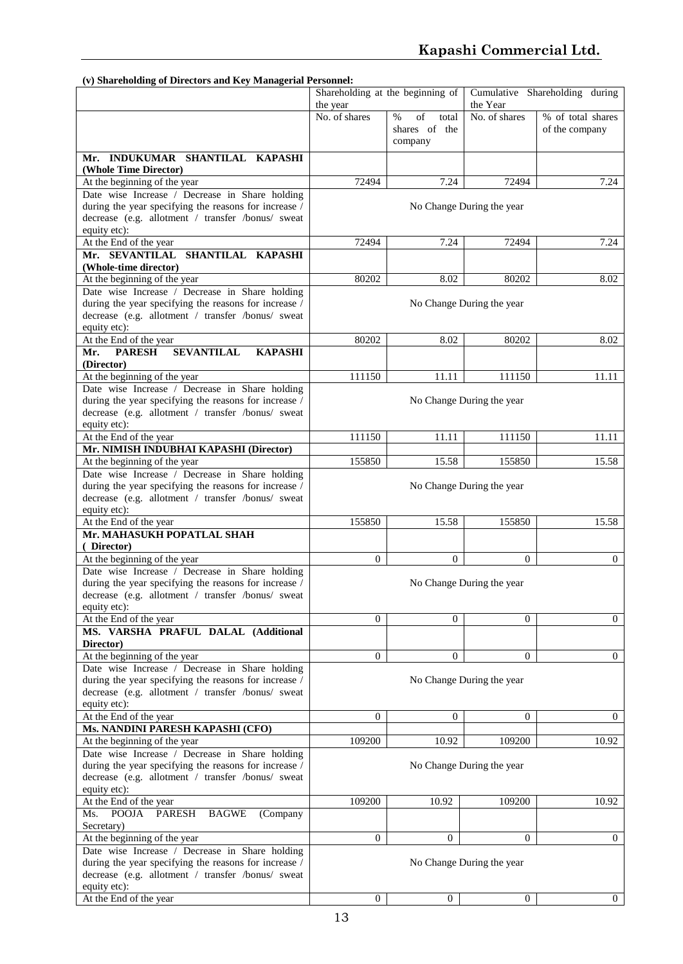#### **(v) Shareholding of Directors and Key Managerial Personnel:**

| No. of shares<br>No. of shares<br>$\%$<br>of<br>% of total shares<br>total<br>shares of the<br>of the company<br>company<br>Mr. INDUKUMAR SHANTILAL KAPASHI<br>(Whole Time Director)<br>At the beginning of the year<br>72494<br>7.24<br>72494<br>7.24<br>Date wise Increase / Decrease in Share holding<br>during the year specifying the reasons for increase /<br>No Change During the year<br>decrease (e.g. allotment / transfer /bonus/ sweat<br>equity etc):<br>At the End of the year<br>72494<br>7.24<br>72494<br>7.24<br>SHANTILAL KAPASHI<br>Mr. SEVANTILAL<br>(Whole-time director)<br>At the beginning of the year<br>80202<br>8.02<br>80202<br>8.02<br>Date wise Increase / Decrease in Share holding<br>during the year specifying the reasons for increase /<br>No Change During the year<br>decrease (e.g. allotment / transfer /bonus/ sweat<br>equity etc):<br>At the End of the year<br>80202<br>80202<br>8.02<br>8.02<br><b>SEVANTILAL</b><br><b>PARESH</b><br>Mr.<br><b>KAPASHI</b><br>(Director)<br>111150<br>111150<br>At the beginning of the year<br>11.11<br>11.11<br>Date wise Increase / Decrease in Share holding<br>during the year specifying the reasons for increase /<br>No Change During the year<br>decrease (e.g. allotment / transfer /bonus/ sweat<br>equity etc):<br>At the End of the year<br>111150<br>111150<br>11.11<br>11.11<br>Mr. NIMISH INDUBHAI KAPASHI (Director)<br>At the beginning of the year<br>155850<br>15.58<br>155850<br>15.58<br>Date wise Increase / Decrease in Share holding<br>during the year specifying the reasons for increase /<br>No Change During the year<br>decrease (e.g. allotment / transfer /bonus/ sweat<br>equity etc):<br>At the End of the year<br>155850<br>15.58<br>155850<br>15.58<br>Mr. MAHASUKH POPATLAL SHAH<br>(Director)<br>At the beginning of the year<br>$\overline{0}$<br>$\mathbf{0}$<br>$\mathbf{0}$<br>$\overline{0}$<br>Date wise Increase / Decrease in Share holding<br>during the year specifying the reasons for increase /<br>No Change During the year<br>decrease (e.g. allotment / transfer /bonus/ sweat<br>equity etc):<br>At the End of the year<br>$\Omega$<br>$\Omega$<br>$\overline{0}$<br>$\Omega$<br>MS. VARSHA PRAFUL DALAL (Additional<br>Director)<br>At the beginning of the year<br>$\overline{0}$<br>$\theta$<br>$\overline{0}$<br>$\overline{0}$<br>Date wise Increase / Decrease in Share holding<br>during the year specifying the reasons for increase /<br>No Change During the year<br>decrease (e.g. allotment / transfer /bonus/ sweat<br>equity etc):<br>At the End of the year<br>$\overline{0}$<br>$\Omega$<br>$\Omega$<br>$\overline{0}$<br>Ms. NANDINI PARESH KAPASHI (CFO)<br>109200<br>At the beginning of the year<br>10.92<br>109200<br>10.92<br>Date wise Increase / Decrease in Share holding<br>during the year specifying the reasons for increase /<br>No Change During the year<br>decrease (e.g. allotment / transfer /bonus/ sweat<br>equity etc):<br>At the End of the year<br>109200<br>10.92<br>109200<br>10.92<br>POOJA<br>PARESH<br><b>BAGWE</b><br>Ms.<br>(Company<br>Secretary)<br>At the beginning of the year<br>$\overline{0}$<br>$\mathbf{0}$<br>$\mathbf{0}$<br>$\overline{0}$<br>Date wise Increase / Decrease in Share holding<br>during the year specifying the reasons for increase /<br>No Change During the year<br>decrease (e.g. allotment / transfer /bonus/ sweat<br>equity etc):<br>At the End of the year<br>0<br>0<br>0<br>$\overline{0}$ | the year | Shareholding at the beginning of | Cumulative Shareholding during<br>the Year |  |
|----------------------------------------------------------------------------------------------------------------------------------------------------------------------------------------------------------------------------------------------------------------------------------------------------------------------------------------------------------------------------------------------------------------------------------------------------------------------------------------------------------------------------------------------------------------------------------------------------------------------------------------------------------------------------------------------------------------------------------------------------------------------------------------------------------------------------------------------------------------------------------------------------------------------------------------------------------------------------------------------------------------------------------------------------------------------------------------------------------------------------------------------------------------------------------------------------------------------------------------------------------------------------------------------------------------------------------------------------------------------------------------------------------------------------------------------------------------------------------------------------------------------------------------------------------------------------------------------------------------------------------------------------------------------------------------------------------------------------------------------------------------------------------------------------------------------------------------------------------------------------------------------------------------------------------------------------------------------------------------------------------------------------------------------------------------------------------------------------------------------------------------------------------------------------------------------------------------------------------------------------------------------------------------------------------------------------------------------------------------------------------------------------------------------------------------------------------------------------------------------------------------------------------------------------------------------------------------------------------------------------------------------------------------------------------------------------------------------------------------------------------------------------------------------------------------------------------------------------------------------------------------------------------------------------------------------------------------------------------------------------------------------------------------------------------------------------------------------------------------------------------------------------------------------------------------------------------------------------------------------------------------------------------------------------------------------------------------------------------------------------------------------------------------------------------------------------------------------------------------------------------------------|----------|----------------------------------|--------------------------------------------|--|
|                                                                                                                                                                                                                                                                                                                                                                                                                                                                                                                                                                                                                                                                                                                                                                                                                                                                                                                                                                                                                                                                                                                                                                                                                                                                                                                                                                                                                                                                                                                                                                                                                                                                                                                                                                                                                                                                                                                                                                                                                                                                                                                                                                                                                                                                                                                                                                                                                                                                                                                                                                                                                                                                                                                                                                                                                                                                                                                                                                                                                                                                                                                                                                                                                                                                                                                                                                                                                                                                                                                      |          |                                  |                                            |  |
|                                                                                                                                                                                                                                                                                                                                                                                                                                                                                                                                                                                                                                                                                                                                                                                                                                                                                                                                                                                                                                                                                                                                                                                                                                                                                                                                                                                                                                                                                                                                                                                                                                                                                                                                                                                                                                                                                                                                                                                                                                                                                                                                                                                                                                                                                                                                                                                                                                                                                                                                                                                                                                                                                                                                                                                                                                                                                                                                                                                                                                                                                                                                                                                                                                                                                                                                                                                                                                                                                                                      |          |                                  |                                            |  |
|                                                                                                                                                                                                                                                                                                                                                                                                                                                                                                                                                                                                                                                                                                                                                                                                                                                                                                                                                                                                                                                                                                                                                                                                                                                                                                                                                                                                                                                                                                                                                                                                                                                                                                                                                                                                                                                                                                                                                                                                                                                                                                                                                                                                                                                                                                                                                                                                                                                                                                                                                                                                                                                                                                                                                                                                                                                                                                                                                                                                                                                                                                                                                                                                                                                                                                                                                                                                                                                                                                                      |          |                                  |                                            |  |
|                                                                                                                                                                                                                                                                                                                                                                                                                                                                                                                                                                                                                                                                                                                                                                                                                                                                                                                                                                                                                                                                                                                                                                                                                                                                                                                                                                                                                                                                                                                                                                                                                                                                                                                                                                                                                                                                                                                                                                                                                                                                                                                                                                                                                                                                                                                                                                                                                                                                                                                                                                                                                                                                                                                                                                                                                                                                                                                                                                                                                                                                                                                                                                                                                                                                                                                                                                                                                                                                                                                      |          |                                  |                                            |  |
|                                                                                                                                                                                                                                                                                                                                                                                                                                                                                                                                                                                                                                                                                                                                                                                                                                                                                                                                                                                                                                                                                                                                                                                                                                                                                                                                                                                                                                                                                                                                                                                                                                                                                                                                                                                                                                                                                                                                                                                                                                                                                                                                                                                                                                                                                                                                                                                                                                                                                                                                                                                                                                                                                                                                                                                                                                                                                                                                                                                                                                                                                                                                                                                                                                                                                                                                                                                                                                                                                                                      |          |                                  |                                            |  |
|                                                                                                                                                                                                                                                                                                                                                                                                                                                                                                                                                                                                                                                                                                                                                                                                                                                                                                                                                                                                                                                                                                                                                                                                                                                                                                                                                                                                                                                                                                                                                                                                                                                                                                                                                                                                                                                                                                                                                                                                                                                                                                                                                                                                                                                                                                                                                                                                                                                                                                                                                                                                                                                                                                                                                                                                                                                                                                                                                                                                                                                                                                                                                                                                                                                                                                                                                                                                                                                                                                                      |          |                                  |                                            |  |
|                                                                                                                                                                                                                                                                                                                                                                                                                                                                                                                                                                                                                                                                                                                                                                                                                                                                                                                                                                                                                                                                                                                                                                                                                                                                                                                                                                                                                                                                                                                                                                                                                                                                                                                                                                                                                                                                                                                                                                                                                                                                                                                                                                                                                                                                                                                                                                                                                                                                                                                                                                                                                                                                                                                                                                                                                                                                                                                                                                                                                                                                                                                                                                                                                                                                                                                                                                                                                                                                                                                      |          |                                  |                                            |  |
|                                                                                                                                                                                                                                                                                                                                                                                                                                                                                                                                                                                                                                                                                                                                                                                                                                                                                                                                                                                                                                                                                                                                                                                                                                                                                                                                                                                                                                                                                                                                                                                                                                                                                                                                                                                                                                                                                                                                                                                                                                                                                                                                                                                                                                                                                                                                                                                                                                                                                                                                                                                                                                                                                                                                                                                                                                                                                                                                                                                                                                                                                                                                                                                                                                                                                                                                                                                                                                                                                                                      |          |                                  |                                            |  |
|                                                                                                                                                                                                                                                                                                                                                                                                                                                                                                                                                                                                                                                                                                                                                                                                                                                                                                                                                                                                                                                                                                                                                                                                                                                                                                                                                                                                                                                                                                                                                                                                                                                                                                                                                                                                                                                                                                                                                                                                                                                                                                                                                                                                                                                                                                                                                                                                                                                                                                                                                                                                                                                                                                                                                                                                                                                                                                                                                                                                                                                                                                                                                                                                                                                                                                                                                                                                                                                                                                                      |          |                                  |                                            |  |
|                                                                                                                                                                                                                                                                                                                                                                                                                                                                                                                                                                                                                                                                                                                                                                                                                                                                                                                                                                                                                                                                                                                                                                                                                                                                                                                                                                                                                                                                                                                                                                                                                                                                                                                                                                                                                                                                                                                                                                                                                                                                                                                                                                                                                                                                                                                                                                                                                                                                                                                                                                                                                                                                                                                                                                                                                                                                                                                                                                                                                                                                                                                                                                                                                                                                                                                                                                                                                                                                                                                      |          |                                  |                                            |  |
|                                                                                                                                                                                                                                                                                                                                                                                                                                                                                                                                                                                                                                                                                                                                                                                                                                                                                                                                                                                                                                                                                                                                                                                                                                                                                                                                                                                                                                                                                                                                                                                                                                                                                                                                                                                                                                                                                                                                                                                                                                                                                                                                                                                                                                                                                                                                                                                                                                                                                                                                                                                                                                                                                                                                                                                                                                                                                                                                                                                                                                                                                                                                                                                                                                                                                                                                                                                                                                                                                                                      |          |                                  |                                            |  |
|                                                                                                                                                                                                                                                                                                                                                                                                                                                                                                                                                                                                                                                                                                                                                                                                                                                                                                                                                                                                                                                                                                                                                                                                                                                                                                                                                                                                                                                                                                                                                                                                                                                                                                                                                                                                                                                                                                                                                                                                                                                                                                                                                                                                                                                                                                                                                                                                                                                                                                                                                                                                                                                                                                                                                                                                                                                                                                                                                                                                                                                                                                                                                                                                                                                                                                                                                                                                                                                                                                                      |          |                                  |                                            |  |
|                                                                                                                                                                                                                                                                                                                                                                                                                                                                                                                                                                                                                                                                                                                                                                                                                                                                                                                                                                                                                                                                                                                                                                                                                                                                                                                                                                                                                                                                                                                                                                                                                                                                                                                                                                                                                                                                                                                                                                                                                                                                                                                                                                                                                                                                                                                                                                                                                                                                                                                                                                                                                                                                                                                                                                                                                                                                                                                                                                                                                                                                                                                                                                                                                                                                                                                                                                                                                                                                                                                      |          |                                  |                                            |  |
|                                                                                                                                                                                                                                                                                                                                                                                                                                                                                                                                                                                                                                                                                                                                                                                                                                                                                                                                                                                                                                                                                                                                                                                                                                                                                                                                                                                                                                                                                                                                                                                                                                                                                                                                                                                                                                                                                                                                                                                                                                                                                                                                                                                                                                                                                                                                                                                                                                                                                                                                                                                                                                                                                                                                                                                                                                                                                                                                                                                                                                                                                                                                                                                                                                                                                                                                                                                                                                                                                                                      |          |                                  |                                            |  |
|                                                                                                                                                                                                                                                                                                                                                                                                                                                                                                                                                                                                                                                                                                                                                                                                                                                                                                                                                                                                                                                                                                                                                                                                                                                                                                                                                                                                                                                                                                                                                                                                                                                                                                                                                                                                                                                                                                                                                                                                                                                                                                                                                                                                                                                                                                                                                                                                                                                                                                                                                                                                                                                                                                                                                                                                                                                                                                                                                                                                                                                                                                                                                                                                                                                                                                                                                                                                                                                                                                                      |          |                                  |                                            |  |
|                                                                                                                                                                                                                                                                                                                                                                                                                                                                                                                                                                                                                                                                                                                                                                                                                                                                                                                                                                                                                                                                                                                                                                                                                                                                                                                                                                                                                                                                                                                                                                                                                                                                                                                                                                                                                                                                                                                                                                                                                                                                                                                                                                                                                                                                                                                                                                                                                                                                                                                                                                                                                                                                                                                                                                                                                                                                                                                                                                                                                                                                                                                                                                                                                                                                                                                                                                                                                                                                                                                      |          |                                  |                                            |  |
|                                                                                                                                                                                                                                                                                                                                                                                                                                                                                                                                                                                                                                                                                                                                                                                                                                                                                                                                                                                                                                                                                                                                                                                                                                                                                                                                                                                                                                                                                                                                                                                                                                                                                                                                                                                                                                                                                                                                                                                                                                                                                                                                                                                                                                                                                                                                                                                                                                                                                                                                                                                                                                                                                                                                                                                                                                                                                                                                                                                                                                                                                                                                                                                                                                                                                                                                                                                                                                                                                                                      |          |                                  |                                            |  |
|                                                                                                                                                                                                                                                                                                                                                                                                                                                                                                                                                                                                                                                                                                                                                                                                                                                                                                                                                                                                                                                                                                                                                                                                                                                                                                                                                                                                                                                                                                                                                                                                                                                                                                                                                                                                                                                                                                                                                                                                                                                                                                                                                                                                                                                                                                                                                                                                                                                                                                                                                                                                                                                                                                                                                                                                                                                                                                                                                                                                                                                                                                                                                                                                                                                                                                                                                                                                                                                                                                                      |          |                                  |                                            |  |
|                                                                                                                                                                                                                                                                                                                                                                                                                                                                                                                                                                                                                                                                                                                                                                                                                                                                                                                                                                                                                                                                                                                                                                                                                                                                                                                                                                                                                                                                                                                                                                                                                                                                                                                                                                                                                                                                                                                                                                                                                                                                                                                                                                                                                                                                                                                                                                                                                                                                                                                                                                                                                                                                                                                                                                                                                                                                                                                                                                                                                                                                                                                                                                                                                                                                                                                                                                                                                                                                                                                      |          |                                  |                                            |  |
|                                                                                                                                                                                                                                                                                                                                                                                                                                                                                                                                                                                                                                                                                                                                                                                                                                                                                                                                                                                                                                                                                                                                                                                                                                                                                                                                                                                                                                                                                                                                                                                                                                                                                                                                                                                                                                                                                                                                                                                                                                                                                                                                                                                                                                                                                                                                                                                                                                                                                                                                                                                                                                                                                                                                                                                                                                                                                                                                                                                                                                                                                                                                                                                                                                                                                                                                                                                                                                                                                                                      |          |                                  |                                            |  |
|                                                                                                                                                                                                                                                                                                                                                                                                                                                                                                                                                                                                                                                                                                                                                                                                                                                                                                                                                                                                                                                                                                                                                                                                                                                                                                                                                                                                                                                                                                                                                                                                                                                                                                                                                                                                                                                                                                                                                                                                                                                                                                                                                                                                                                                                                                                                                                                                                                                                                                                                                                                                                                                                                                                                                                                                                                                                                                                                                                                                                                                                                                                                                                                                                                                                                                                                                                                                                                                                                                                      |          |                                  |                                            |  |
|                                                                                                                                                                                                                                                                                                                                                                                                                                                                                                                                                                                                                                                                                                                                                                                                                                                                                                                                                                                                                                                                                                                                                                                                                                                                                                                                                                                                                                                                                                                                                                                                                                                                                                                                                                                                                                                                                                                                                                                                                                                                                                                                                                                                                                                                                                                                                                                                                                                                                                                                                                                                                                                                                                                                                                                                                                                                                                                                                                                                                                                                                                                                                                                                                                                                                                                                                                                                                                                                                                                      |          |                                  |                                            |  |
|                                                                                                                                                                                                                                                                                                                                                                                                                                                                                                                                                                                                                                                                                                                                                                                                                                                                                                                                                                                                                                                                                                                                                                                                                                                                                                                                                                                                                                                                                                                                                                                                                                                                                                                                                                                                                                                                                                                                                                                                                                                                                                                                                                                                                                                                                                                                                                                                                                                                                                                                                                                                                                                                                                                                                                                                                                                                                                                                                                                                                                                                                                                                                                                                                                                                                                                                                                                                                                                                                                                      |          |                                  |                                            |  |
|                                                                                                                                                                                                                                                                                                                                                                                                                                                                                                                                                                                                                                                                                                                                                                                                                                                                                                                                                                                                                                                                                                                                                                                                                                                                                                                                                                                                                                                                                                                                                                                                                                                                                                                                                                                                                                                                                                                                                                                                                                                                                                                                                                                                                                                                                                                                                                                                                                                                                                                                                                                                                                                                                                                                                                                                                                                                                                                                                                                                                                                                                                                                                                                                                                                                                                                                                                                                                                                                                                                      |          |                                  |                                            |  |
|                                                                                                                                                                                                                                                                                                                                                                                                                                                                                                                                                                                                                                                                                                                                                                                                                                                                                                                                                                                                                                                                                                                                                                                                                                                                                                                                                                                                                                                                                                                                                                                                                                                                                                                                                                                                                                                                                                                                                                                                                                                                                                                                                                                                                                                                                                                                                                                                                                                                                                                                                                                                                                                                                                                                                                                                                                                                                                                                                                                                                                                                                                                                                                                                                                                                                                                                                                                                                                                                                                                      |          |                                  |                                            |  |
|                                                                                                                                                                                                                                                                                                                                                                                                                                                                                                                                                                                                                                                                                                                                                                                                                                                                                                                                                                                                                                                                                                                                                                                                                                                                                                                                                                                                                                                                                                                                                                                                                                                                                                                                                                                                                                                                                                                                                                                                                                                                                                                                                                                                                                                                                                                                                                                                                                                                                                                                                                                                                                                                                                                                                                                                                                                                                                                                                                                                                                                                                                                                                                                                                                                                                                                                                                                                                                                                                                                      |          |                                  |                                            |  |
|                                                                                                                                                                                                                                                                                                                                                                                                                                                                                                                                                                                                                                                                                                                                                                                                                                                                                                                                                                                                                                                                                                                                                                                                                                                                                                                                                                                                                                                                                                                                                                                                                                                                                                                                                                                                                                                                                                                                                                                                                                                                                                                                                                                                                                                                                                                                                                                                                                                                                                                                                                                                                                                                                                                                                                                                                                                                                                                                                                                                                                                                                                                                                                                                                                                                                                                                                                                                                                                                                                                      |          |                                  |                                            |  |
|                                                                                                                                                                                                                                                                                                                                                                                                                                                                                                                                                                                                                                                                                                                                                                                                                                                                                                                                                                                                                                                                                                                                                                                                                                                                                                                                                                                                                                                                                                                                                                                                                                                                                                                                                                                                                                                                                                                                                                                                                                                                                                                                                                                                                                                                                                                                                                                                                                                                                                                                                                                                                                                                                                                                                                                                                                                                                                                                                                                                                                                                                                                                                                                                                                                                                                                                                                                                                                                                                                                      |          |                                  |                                            |  |
|                                                                                                                                                                                                                                                                                                                                                                                                                                                                                                                                                                                                                                                                                                                                                                                                                                                                                                                                                                                                                                                                                                                                                                                                                                                                                                                                                                                                                                                                                                                                                                                                                                                                                                                                                                                                                                                                                                                                                                                                                                                                                                                                                                                                                                                                                                                                                                                                                                                                                                                                                                                                                                                                                                                                                                                                                                                                                                                                                                                                                                                                                                                                                                                                                                                                                                                                                                                                                                                                                                                      |          |                                  |                                            |  |
|                                                                                                                                                                                                                                                                                                                                                                                                                                                                                                                                                                                                                                                                                                                                                                                                                                                                                                                                                                                                                                                                                                                                                                                                                                                                                                                                                                                                                                                                                                                                                                                                                                                                                                                                                                                                                                                                                                                                                                                                                                                                                                                                                                                                                                                                                                                                                                                                                                                                                                                                                                                                                                                                                                                                                                                                                                                                                                                                                                                                                                                                                                                                                                                                                                                                                                                                                                                                                                                                                                                      |          |                                  |                                            |  |
|                                                                                                                                                                                                                                                                                                                                                                                                                                                                                                                                                                                                                                                                                                                                                                                                                                                                                                                                                                                                                                                                                                                                                                                                                                                                                                                                                                                                                                                                                                                                                                                                                                                                                                                                                                                                                                                                                                                                                                                                                                                                                                                                                                                                                                                                                                                                                                                                                                                                                                                                                                                                                                                                                                                                                                                                                                                                                                                                                                                                                                                                                                                                                                                                                                                                                                                                                                                                                                                                                                                      |          |                                  |                                            |  |
|                                                                                                                                                                                                                                                                                                                                                                                                                                                                                                                                                                                                                                                                                                                                                                                                                                                                                                                                                                                                                                                                                                                                                                                                                                                                                                                                                                                                                                                                                                                                                                                                                                                                                                                                                                                                                                                                                                                                                                                                                                                                                                                                                                                                                                                                                                                                                                                                                                                                                                                                                                                                                                                                                                                                                                                                                                                                                                                                                                                                                                                                                                                                                                                                                                                                                                                                                                                                                                                                                                                      |          |                                  |                                            |  |
|                                                                                                                                                                                                                                                                                                                                                                                                                                                                                                                                                                                                                                                                                                                                                                                                                                                                                                                                                                                                                                                                                                                                                                                                                                                                                                                                                                                                                                                                                                                                                                                                                                                                                                                                                                                                                                                                                                                                                                                                                                                                                                                                                                                                                                                                                                                                                                                                                                                                                                                                                                                                                                                                                                                                                                                                                                                                                                                                                                                                                                                                                                                                                                                                                                                                                                                                                                                                                                                                                                                      |          |                                  |                                            |  |
|                                                                                                                                                                                                                                                                                                                                                                                                                                                                                                                                                                                                                                                                                                                                                                                                                                                                                                                                                                                                                                                                                                                                                                                                                                                                                                                                                                                                                                                                                                                                                                                                                                                                                                                                                                                                                                                                                                                                                                                                                                                                                                                                                                                                                                                                                                                                                                                                                                                                                                                                                                                                                                                                                                                                                                                                                                                                                                                                                                                                                                                                                                                                                                                                                                                                                                                                                                                                                                                                                                                      |          |                                  |                                            |  |
|                                                                                                                                                                                                                                                                                                                                                                                                                                                                                                                                                                                                                                                                                                                                                                                                                                                                                                                                                                                                                                                                                                                                                                                                                                                                                                                                                                                                                                                                                                                                                                                                                                                                                                                                                                                                                                                                                                                                                                                                                                                                                                                                                                                                                                                                                                                                                                                                                                                                                                                                                                                                                                                                                                                                                                                                                                                                                                                                                                                                                                                                                                                                                                                                                                                                                                                                                                                                                                                                                                                      |          |                                  |                                            |  |
|                                                                                                                                                                                                                                                                                                                                                                                                                                                                                                                                                                                                                                                                                                                                                                                                                                                                                                                                                                                                                                                                                                                                                                                                                                                                                                                                                                                                                                                                                                                                                                                                                                                                                                                                                                                                                                                                                                                                                                                                                                                                                                                                                                                                                                                                                                                                                                                                                                                                                                                                                                                                                                                                                                                                                                                                                                                                                                                                                                                                                                                                                                                                                                                                                                                                                                                                                                                                                                                                                                                      |          |                                  |                                            |  |
|                                                                                                                                                                                                                                                                                                                                                                                                                                                                                                                                                                                                                                                                                                                                                                                                                                                                                                                                                                                                                                                                                                                                                                                                                                                                                                                                                                                                                                                                                                                                                                                                                                                                                                                                                                                                                                                                                                                                                                                                                                                                                                                                                                                                                                                                                                                                                                                                                                                                                                                                                                                                                                                                                                                                                                                                                                                                                                                                                                                                                                                                                                                                                                                                                                                                                                                                                                                                                                                                                                                      |          |                                  |                                            |  |
|                                                                                                                                                                                                                                                                                                                                                                                                                                                                                                                                                                                                                                                                                                                                                                                                                                                                                                                                                                                                                                                                                                                                                                                                                                                                                                                                                                                                                                                                                                                                                                                                                                                                                                                                                                                                                                                                                                                                                                                                                                                                                                                                                                                                                                                                                                                                                                                                                                                                                                                                                                                                                                                                                                                                                                                                                                                                                                                                                                                                                                                                                                                                                                                                                                                                                                                                                                                                                                                                                                                      |          |                                  |                                            |  |
|                                                                                                                                                                                                                                                                                                                                                                                                                                                                                                                                                                                                                                                                                                                                                                                                                                                                                                                                                                                                                                                                                                                                                                                                                                                                                                                                                                                                                                                                                                                                                                                                                                                                                                                                                                                                                                                                                                                                                                                                                                                                                                                                                                                                                                                                                                                                                                                                                                                                                                                                                                                                                                                                                                                                                                                                                                                                                                                                                                                                                                                                                                                                                                                                                                                                                                                                                                                                                                                                                                                      |          |                                  |                                            |  |
|                                                                                                                                                                                                                                                                                                                                                                                                                                                                                                                                                                                                                                                                                                                                                                                                                                                                                                                                                                                                                                                                                                                                                                                                                                                                                                                                                                                                                                                                                                                                                                                                                                                                                                                                                                                                                                                                                                                                                                                                                                                                                                                                                                                                                                                                                                                                                                                                                                                                                                                                                                                                                                                                                                                                                                                                                                                                                                                                                                                                                                                                                                                                                                                                                                                                                                                                                                                                                                                                                                                      |          |                                  |                                            |  |
|                                                                                                                                                                                                                                                                                                                                                                                                                                                                                                                                                                                                                                                                                                                                                                                                                                                                                                                                                                                                                                                                                                                                                                                                                                                                                                                                                                                                                                                                                                                                                                                                                                                                                                                                                                                                                                                                                                                                                                                                                                                                                                                                                                                                                                                                                                                                                                                                                                                                                                                                                                                                                                                                                                                                                                                                                                                                                                                                                                                                                                                                                                                                                                                                                                                                                                                                                                                                                                                                                                                      |          |                                  |                                            |  |
|                                                                                                                                                                                                                                                                                                                                                                                                                                                                                                                                                                                                                                                                                                                                                                                                                                                                                                                                                                                                                                                                                                                                                                                                                                                                                                                                                                                                                                                                                                                                                                                                                                                                                                                                                                                                                                                                                                                                                                                                                                                                                                                                                                                                                                                                                                                                                                                                                                                                                                                                                                                                                                                                                                                                                                                                                                                                                                                                                                                                                                                                                                                                                                                                                                                                                                                                                                                                                                                                                                                      |          |                                  |                                            |  |
|                                                                                                                                                                                                                                                                                                                                                                                                                                                                                                                                                                                                                                                                                                                                                                                                                                                                                                                                                                                                                                                                                                                                                                                                                                                                                                                                                                                                                                                                                                                                                                                                                                                                                                                                                                                                                                                                                                                                                                                                                                                                                                                                                                                                                                                                                                                                                                                                                                                                                                                                                                                                                                                                                                                                                                                                                                                                                                                                                                                                                                                                                                                                                                                                                                                                                                                                                                                                                                                                                                                      |          |                                  |                                            |  |
|                                                                                                                                                                                                                                                                                                                                                                                                                                                                                                                                                                                                                                                                                                                                                                                                                                                                                                                                                                                                                                                                                                                                                                                                                                                                                                                                                                                                                                                                                                                                                                                                                                                                                                                                                                                                                                                                                                                                                                                                                                                                                                                                                                                                                                                                                                                                                                                                                                                                                                                                                                                                                                                                                                                                                                                                                                                                                                                                                                                                                                                                                                                                                                                                                                                                                                                                                                                                                                                                                                                      |          |                                  |                                            |  |
|                                                                                                                                                                                                                                                                                                                                                                                                                                                                                                                                                                                                                                                                                                                                                                                                                                                                                                                                                                                                                                                                                                                                                                                                                                                                                                                                                                                                                                                                                                                                                                                                                                                                                                                                                                                                                                                                                                                                                                                                                                                                                                                                                                                                                                                                                                                                                                                                                                                                                                                                                                                                                                                                                                                                                                                                                                                                                                                                                                                                                                                                                                                                                                                                                                                                                                                                                                                                                                                                                                                      |          |                                  |                                            |  |
|                                                                                                                                                                                                                                                                                                                                                                                                                                                                                                                                                                                                                                                                                                                                                                                                                                                                                                                                                                                                                                                                                                                                                                                                                                                                                                                                                                                                                                                                                                                                                                                                                                                                                                                                                                                                                                                                                                                                                                                                                                                                                                                                                                                                                                                                                                                                                                                                                                                                                                                                                                                                                                                                                                                                                                                                                                                                                                                                                                                                                                                                                                                                                                                                                                                                                                                                                                                                                                                                                                                      |          |                                  |                                            |  |
|                                                                                                                                                                                                                                                                                                                                                                                                                                                                                                                                                                                                                                                                                                                                                                                                                                                                                                                                                                                                                                                                                                                                                                                                                                                                                                                                                                                                                                                                                                                                                                                                                                                                                                                                                                                                                                                                                                                                                                                                                                                                                                                                                                                                                                                                                                                                                                                                                                                                                                                                                                                                                                                                                                                                                                                                                                                                                                                                                                                                                                                                                                                                                                                                                                                                                                                                                                                                                                                                                                                      |          |                                  |                                            |  |
|                                                                                                                                                                                                                                                                                                                                                                                                                                                                                                                                                                                                                                                                                                                                                                                                                                                                                                                                                                                                                                                                                                                                                                                                                                                                                                                                                                                                                                                                                                                                                                                                                                                                                                                                                                                                                                                                                                                                                                                                                                                                                                                                                                                                                                                                                                                                                                                                                                                                                                                                                                                                                                                                                                                                                                                                                                                                                                                                                                                                                                                                                                                                                                                                                                                                                                                                                                                                                                                                                                                      |          |                                  |                                            |  |
|                                                                                                                                                                                                                                                                                                                                                                                                                                                                                                                                                                                                                                                                                                                                                                                                                                                                                                                                                                                                                                                                                                                                                                                                                                                                                                                                                                                                                                                                                                                                                                                                                                                                                                                                                                                                                                                                                                                                                                                                                                                                                                                                                                                                                                                                                                                                                                                                                                                                                                                                                                                                                                                                                                                                                                                                                                                                                                                                                                                                                                                                                                                                                                                                                                                                                                                                                                                                                                                                                                                      |          |                                  |                                            |  |
|                                                                                                                                                                                                                                                                                                                                                                                                                                                                                                                                                                                                                                                                                                                                                                                                                                                                                                                                                                                                                                                                                                                                                                                                                                                                                                                                                                                                                                                                                                                                                                                                                                                                                                                                                                                                                                                                                                                                                                                                                                                                                                                                                                                                                                                                                                                                                                                                                                                                                                                                                                                                                                                                                                                                                                                                                                                                                                                                                                                                                                                                                                                                                                                                                                                                                                                                                                                                                                                                                                                      |          |                                  |                                            |  |
|                                                                                                                                                                                                                                                                                                                                                                                                                                                                                                                                                                                                                                                                                                                                                                                                                                                                                                                                                                                                                                                                                                                                                                                                                                                                                                                                                                                                                                                                                                                                                                                                                                                                                                                                                                                                                                                                                                                                                                                                                                                                                                                                                                                                                                                                                                                                                                                                                                                                                                                                                                                                                                                                                                                                                                                                                                                                                                                                                                                                                                                                                                                                                                                                                                                                                                                                                                                                                                                                                                                      |          |                                  |                                            |  |
|                                                                                                                                                                                                                                                                                                                                                                                                                                                                                                                                                                                                                                                                                                                                                                                                                                                                                                                                                                                                                                                                                                                                                                                                                                                                                                                                                                                                                                                                                                                                                                                                                                                                                                                                                                                                                                                                                                                                                                                                                                                                                                                                                                                                                                                                                                                                                                                                                                                                                                                                                                                                                                                                                                                                                                                                                                                                                                                                                                                                                                                                                                                                                                                                                                                                                                                                                                                                                                                                                                                      |          |                                  |                                            |  |
|                                                                                                                                                                                                                                                                                                                                                                                                                                                                                                                                                                                                                                                                                                                                                                                                                                                                                                                                                                                                                                                                                                                                                                                                                                                                                                                                                                                                                                                                                                                                                                                                                                                                                                                                                                                                                                                                                                                                                                                                                                                                                                                                                                                                                                                                                                                                                                                                                                                                                                                                                                                                                                                                                                                                                                                                                                                                                                                                                                                                                                                                                                                                                                                                                                                                                                                                                                                                                                                                                                                      |          |                                  |                                            |  |
|                                                                                                                                                                                                                                                                                                                                                                                                                                                                                                                                                                                                                                                                                                                                                                                                                                                                                                                                                                                                                                                                                                                                                                                                                                                                                                                                                                                                                                                                                                                                                                                                                                                                                                                                                                                                                                                                                                                                                                                                                                                                                                                                                                                                                                                                                                                                                                                                                                                                                                                                                                                                                                                                                                                                                                                                                                                                                                                                                                                                                                                                                                                                                                                                                                                                                                                                                                                                                                                                                                                      |          |                                  |                                            |  |
|                                                                                                                                                                                                                                                                                                                                                                                                                                                                                                                                                                                                                                                                                                                                                                                                                                                                                                                                                                                                                                                                                                                                                                                                                                                                                                                                                                                                                                                                                                                                                                                                                                                                                                                                                                                                                                                                                                                                                                                                                                                                                                                                                                                                                                                                                                                                                                                                                                                                                                                                                                                                                                                                                                                                                                                                                                                                                                                                                                                                                                                                                                                                                                                                                                                                                                                                                                                                                                                                                                                      |          |                                  |                                            |  |
|                                                                                                                                                                                                                                                                                                                                                                                                                                                                                                                                                                                                                                                                                                                                                                                                                                                                                                                                                                                                                                                                                                                                                                                                                                                                                                                                                                                                                                                                                                                                                                                                                                                                                                                                                                                                                                                                                                                                                                                                                                                                                                                                                                                                                                                                                                                                                                                                                                                                                                                                                                                                                                                                                                                                                                                                                                                                                                                                                                                                                                                                                                                                                                                                                                                                                                                                                                                                                                                                                                                      |          |                                  |                                            |  |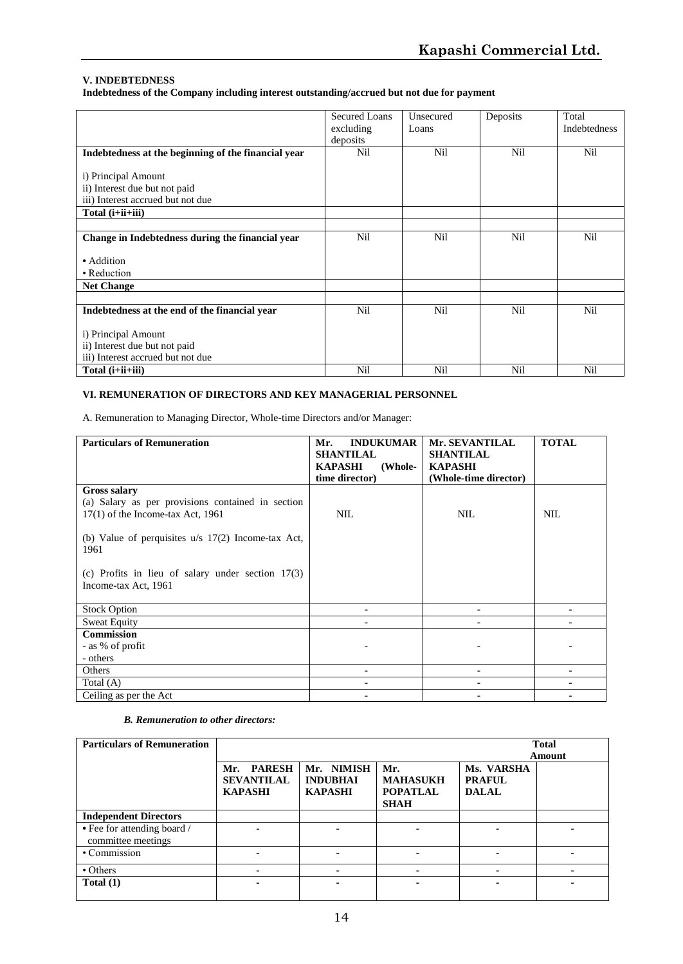# **V. INDEBTEDNESS**

**Indebtedness of the Company including interest outstanding/accrued but not due for payment**

|                                                     | <b>Secured Loans</b> | Unsecured | Deposits | Total        |
|-----------------------------------------------------|----------------------|-----------|----------|--------------|
|                                                     | excluding            | Loans     |          | Indebtedness |
|                                                     | deposits             |           |          |              |
| Indebtedness at the beginning of the financial year | Nil                  | Nil       | Nil      | Nil          |
|                                                     |                      |           |          |              |
| i) Principal Amount                                 |                      |           |          |              |
| ii) Interest due but not paid                       |                      |           |          |              |
| iii) Interest accrued but not due                   |                      |           |          |              |
| Total (i+ii+iii)                                    |                      |           |          |              |
|                                                     |                      |           |          |              |
| Change in Indebtedness during the financial year    | Nil                  | Nil       | Nil      | Nil          |
|                                                     |                      |           |          |              |
| • Addition                                          |                      |           |          |              |
| • Reduction                                         |                      |           |          |              |
| <b>Net Change</b>                                   |                      |           |          |              |
|                                                     |                      |           |          |              |
| Indebtedness at the end of the financial year       | Nil                  | Nil       | Nil      | Nil          |
|                                                     |                      |           |          |              |
| i) Principal Amount                                 |                      |           |          |              |
| ii) Interest due but not paid                       |                      |           |          |              |
| iii) Interest accrued but not due                   |                      |           |          |              |
| $Total (i+ii+iii)$                                  | Nil                  | Nil       | Nil      | Nil          |

# **VI. REMUNERATION OF DIRECTORS AND KEY MANAGERIAL PERSONNEL**

A. Remuneration to Managing Director, Whole-time Directors and/or Manager:

| <b>Particulars of Remuneration</b>                   | <b>INDUKUMAR</b><br>Mr.   | Mr. SEVANTILAL        | <b>TOTAL</b> |
|------------------------------------------------------|---------------------------|-----------------------|--------------|
|                                                      | <b>SHANTILAL</b>          | <b>SHANTILAL</b>      |              |
|                                                      | <b>KAPASHI</b><br>(Whole- | <b>KAPASHI</b>        |              |
|                                                      | time director)            | (Whole-time director) |              |
| <b>Gross salary</b>                                  |                           |                       |              |
| (a) Salary as per provisions contained in section    |                           |                       |              |
| $17(1)$ of the Income-tax Act, 1961                  | NIL.                      | NIL.                  | NIL          |
|                                                      |                           |                       |              |
| (b) Value of perquisites $u/s$ 17(2) Income-tax Act, |                           |                       |              |
| 1961                                                 |                           |                       |              |
|                                                      |                           |                       |              |
| (c) Profits in lieu of salary under section $17(3)$  |                           |                       |              |
| Income-tax Act, 1961                                 |                           |                       |              |
|                                                      |                           |                       |              |
| <b>Stock Option</b>                                  |                           |                       |              |
| <b>Sweat Equity</b>                                  |                           |                       |              |
| <b>Commission</b>                                    |                           |                       |              |
| - as % of profit                                     |                           |                       |              |
| - others                                             |                           |                       |              |
| Others                                               |                           |                       |              |
| Total (A)                                            |                           |                       |              |
| Ceiling as per the Act                               |                           |                       |              |

#### *B. Remuneration to other directors:*

| <b>Particulars of Remuneration</b>                |                                                   |                                                 |                                                          |                                             | <b>Total</b><br>Amount |
|---------------------------------------------------|---------------------------------------------------|-------------------------------------------------|----------------------------------------------------------|---------------------------------------------|------------------------|
|                                                   | Mr. PARESH<br><b>SEVANTILAL</b><br><b>KAPASHI</b> | Mr. NIMISH<br><b>INDUBHAI</b><br><b>KAPASHI</b> | Mr.<br><b>MAHASUKH</b><br><b>POPATLAL</b><br><b>SHAH</b> | Ms. VARSHA<br><b>PRAFUL</b><br><b>DALAL</b> |                        |
| <b>Independent Directors</b>                      |                                                   |                                                 |                                                          |                                             |                        |
| • Fee for attending board /<br>committee meetings |                                                   |                                                 |                                                          |                                             |                        |
| • Commission                                      |                                                   |                                                 |                                                          |                                             |                        |
| • Others                                          |                                                   |                                                 |                                                          |                                             |                        |
| Total $(1)$                                       |                                                   |                                                 |                                                          |                                             |                        |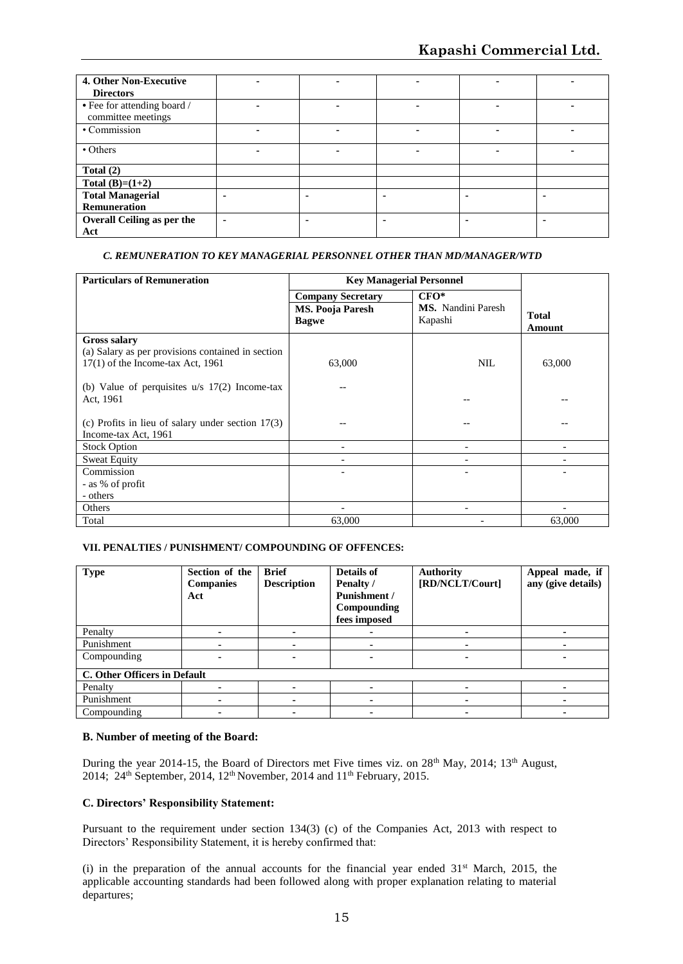| 4. Other Non-Executive            | - | ۰              | ۰  |  |
|-----------------------------------|---|----------------|----|--|
| <b>Directors</b>                  |   |                |    |  |
| • Fee for attending board /       |   |                |    |  |
| committee meetings                |   |                |    |  |
| • Commission                      | - | $\blacksquare$ | ۰. |  |
|                                   |   |                |    |  |
| • Others                          | ۰ |                |    |  |
|                                   |   |                |    |  |
| Total $(2)$                       |   |                |    |  |
| Total $(B)=(1+2)$                 |   |                |    |  |
| <b>Total Managerial</b>           |   |                |    |  |
| <b>Remuneration</b>               |   |                |    |  |
| <b>Overall Ceiling as per the</b> | ۰ |                |    |  |
| Act                               |   |                |    |  |

# *C. REMUNERATION TO KEY MANAGERIAL PERSONNEL OTHER THAN MD/MANAGER/WTD*

| <b>Particulars of Remuneration</b>                                                       | <b>Key Managerial Personnel</b>         |                               |                        |
|------------------------------------------------------------------------------------------|-----------------------------------------|-------------------------------|------------------------|
|                                                                                          | <b>Company Secretary</b>                | $CFO*$                        |                        |
|                                                                                          | <b>MS. Pooja Paresh</b><br><b>Bagwe</b> | MS. Nandini Paresh<br>Kapashi | <b>Total</b><br>Amount |
| <b>Gross salary</b>                                                                      |                                         |                               |                        |
| (a) Salary as per provisions contained in section<br>$17(1)$ of the Income-tax Act, 1961 | 63,000                                  | <b>NIL</b>                    | 63,000                 |
| (b) Value of perquisites $u/s$ 17(2) Income-tax<br>Act, 1961                             |                                         |                               | --                     |
| (c) Profits in lieu of salary under section $17(3)$<br>Income-tax Act, 1961              |                                         |                               |                        |
| <b>Stock Option</b>                                                                      |                                         |                               |                        |
| <b>Sweat Equity</b>                                                                      |                                         |                               |                        |
| Commission                                                                               |                                         |                               |                        |
| - as % of profit                                                                         |                                         |                               |                        |
| - others                                                                                 |                                         |                               |                        |
| Others                                                                                   |                                         |                               |                        |
| Total                                                                                    | 63,000                                  |                               | 63,000                 |

# **VII. PENALTIES / PUNISHMENT/ COMPOUNDING OF OFFENCES:**

| <b>Type</b>                  | Section of the<br><b>Companies</b><br>Act | <b>Brief</b><br><b>Description</b> | Details of<br>Penalty /<br>Punishment /<br>Compounding<br>fees imposed | <b>Authority</b><br>[RD/NCLT/Court] | Appeal made, if<br>any (give details) |
|------------------------------|-------------------------------------------|------------------------------------|------------------------------------------------------------------------|-------------------------------------|---------------------------------------|
| Penalty                      |                                           |                                    |                                                                        |                                     |                                       |
| Punishment                   |                                           |                                    |                                                                        |                                     |                                       |
| Compounding                  |                                           | ۰.                                 |                                                                        |                                     |                                       |
| C. Other Officers in Default |                                           |                                    |                                                                        |                                     |                                       |
| Penalty                      |                                           | ۰                                  | -                                                                      |                                     |                                       |
| Punishment                   |                                           | ۰                                  |                                                                        |                                     |                                       |
| Compounding                  |                                           |                                    |                                                                        |                                     |                                       |

#### **B. Number of meeting of the Board:**

During the year 2014-15, the Board of Directors met Five times viz. on 28<sup>th</sup> May, 2014; 13<sup>th</sup> August, 2014; 24<sup>th</sup> September, 2014, 12<sup>th</sup> November, 2014 and 11<sup>th</sup> February, 2015.

# **C. Directors' Responsibility Statement:**

Pursuant to the requirement under section 134(3) (c) of the Companies Act, 2013 with respect to Directors' Responsibility Statement, it is hereby confirmed that:

(i) in the preparation of the annual accounts for the financial year ended  $31<sup>st</sup>$  March, 2015, the applicable accounting standards had been followed along with proper explanation relating to material departures;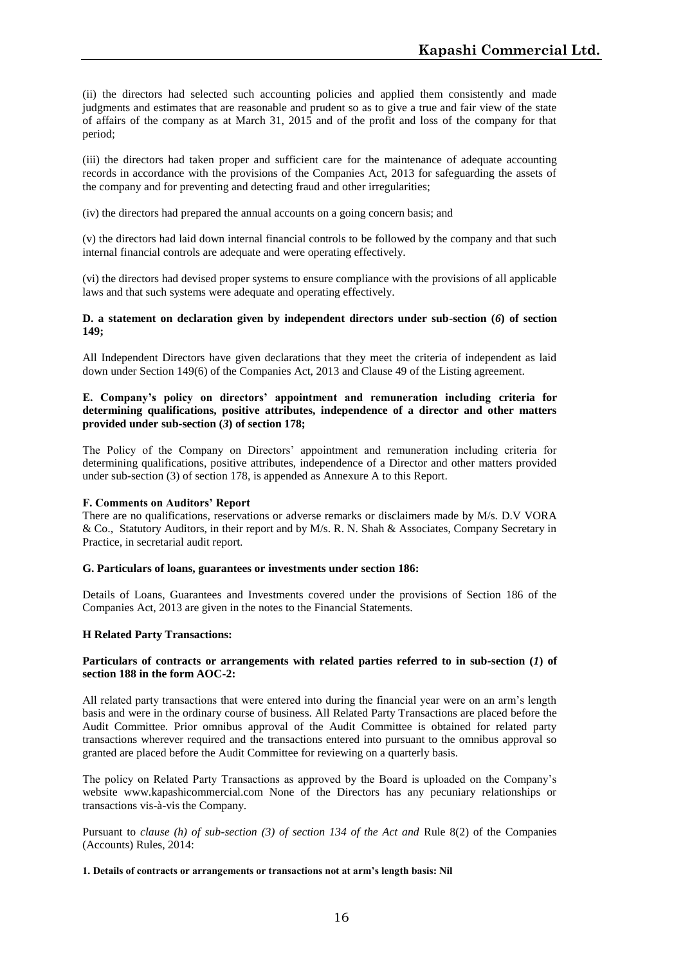(ii) the directors had selected such accounting policies and applied them consistently and made judgments and estimates that are reasonable and prudent so as to give a true and fair view of the state of affairs of the company as at March 31, 2015 and of the profit and loss of the company for that period;

(iii) the directors had taken proper and sufficient care for the maintenance of adequate accounting records in accordance with the provisions of the Companies Act, 2013 for safeguarding the assets of the company and for preventing and detecting fraud and other irregularities;

(iv) the directors had prepared the annual accounts on a going concern basis; and

(v) the directors had laid down internal financial controls to be followed by the company and that such internal financial controls are adequate and were operating effectively.

(vi) the directors had devised proper systems to ensure compliance with the provisions of all applicable laws and that such systems were adequate and operating effectively.

# **D. a statement on declaration given by independent directors under sub-section (***6***) of section 149;**

All Independent Directors have given declarations that they meet the criteria of independent as laid down under Section 149(6) of the Companies Act, 2013 and Clause 49 of the Listing agreement.

# **E. Company's policy on directors' appointment and remuneration including criteria for determining qualifications, positive attributes, independence of a director and other matters provided under sub-section (***3***) of section 178;**

The Policy of the Company on Directors' appointment and remuneration including criteria for determining qualifications, positive attributes, independence of a Director and other matters provided under sub-section (3) of section 178, is appended as Annexure A to this Report.

# **F. Comments on Auditors' Report**

There are no qualifications, reservations or adverse remarks or disclaimers made by M/s. D.V VORA & Co., Statutory Auditors, in their report and by M/s. R. N. Shah & Associates, Company Secretary in Practice, in secretarial audit report.

#### **G. Particulars of loans, guarantees or investments under section 186:**

Details of Loans, Guarantees and Investments covered under the provisions of Section 186 of the Companies Act, 2013 are given in the notes to the Financial Statements.

# **H Related Party Transactions:**

#### **Particulars of contracts or arrangements with related parties referred to in sub-section (***1***) of section 188 in the form AOC-2:**

All related party transactions that were entered into during the financial year were on an arm's length basis and were in the ordinary course of business. All Related Party Transactions are placed before the Audit Committee. Prior omnibus approval of the Audit Committee is obtained for related party transactions wherever required and the transactions entered into pursuant to the omnibus approval so granted are placed before the Audit Committee for reviewing on a quarterly basis.

The policy on Related Party Transactions as approved by the Board is uploaded on the Company's website www.kapashicommercial.com None of the Directors has any pecuniary relationships or transactions vis-à-vis the Company.

Pursuant to *clause (h) of sub-section (3) of section 134 of the Act and* Rule 8(2) of the Companies (Accounts) Rules, 2014:

#### **1. Details of contracts or arrangements or transactions not at arm's length basis: Nil**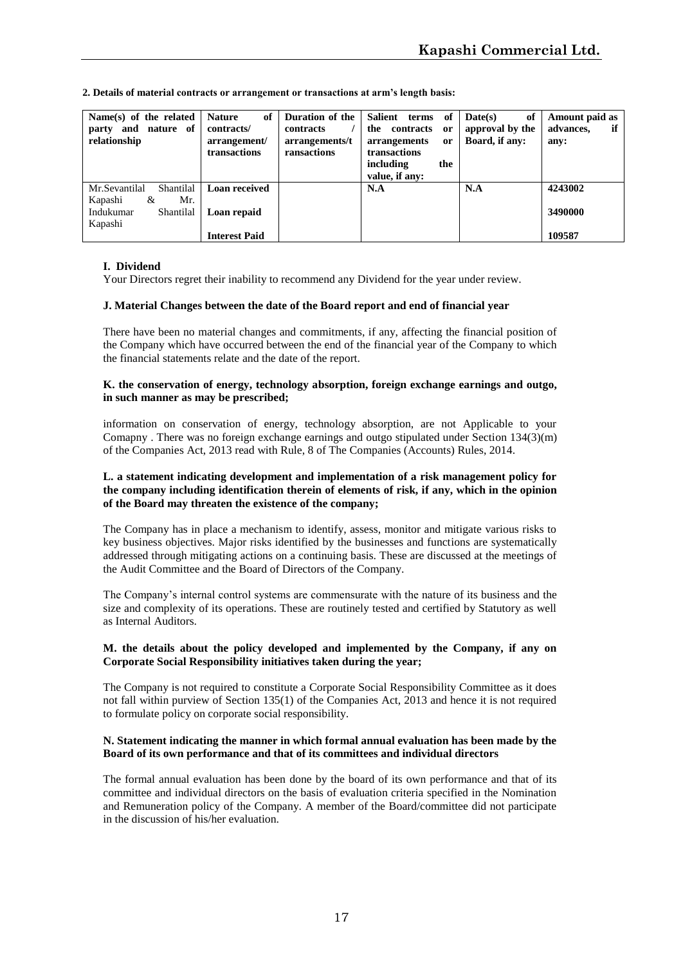| Name(s) of the related     | of<br><b>Nature</b>  | Duration of the | Salient<br>of<br>terms            | of<br>Date(s)   | Amount paid as  |
|----------------------------|----------------------|-----------------|-----------------------------------|-----------------|-----------------|
| and nature of<br>party     | contracts/           | contracts       | contracts<br>the<br><sub>or</sub> | approval by the | if<br>advances. |
| relationship               | arrangement/         | arrangements/t  | arrangements<br><sub>or</sub>     | Board, if any:  | any:            |
|                            | <b>transactions</b>  | ransactions     | transactions                      |                 |                 |
|                            |                      |                 | including<br>the                  |                 |                 |
|                            |                      |                 | value, if any:                    |                 |                 |
| Shantilal<br>Mr.Sevantilal | <b>Loan received</b> |                 | N.A                               | N.A             | 4243002         |
| Kapashi<br>Mr.<br>&        |                      |                 |                                   |                 |                 |
| Indukumar<br>Shantilal     | Loan repaid          |                 |                                   |                 | 3490000         |
| Kapashi                    |                      |                 |                                   |                 |                 |
|                            | <b>Interest Paid</b> |                 |                                   |                 | 109587          |

**2. Details of material contracts or arrangement or transactions at arm's length basis:**

# **I. Dividend**

Your Directors regret their inability to recommend any Dividend for the year under review.

# **J. Material Changes between the date of the Board report and end of financial year**

There have been no material changes and commitments, if any, affecting the financial position of the Company which have occurred between the end of the financial year of the Company to which the financial statements relate and the date of the report.

#### **K. the conservation of energy, technology absorption, foreign exchange earnings and outgo, in such manner as may be prescribed;**

information on conservation of energy, technology absorption, are not Applicable to your Comapny . There was no foreign exchange earnings and outgo stipulated under Section  $134(3)(m)$ of the Companies Act, 2013 read with Rule, 8 of The Companies (Accounts) Rules, 2014.

# **L. a statement indicating development and implementation of a risk management policy for the company including identification therein of elements of risk, if any, which in the opinion of the Board may threaten the existence of the company;**

The Company has in place a mechanism to identify, assess, monitor and mitigate various risks to key business objectives. Major risks identified by the businesses and functions are systematically addressed through mitigating actions on a continuing basis. These are discussed at the meetings of the Audit Committee and the Board of Directors of the Company.

The Company's internal control systems are commensurate with the nature of its business and the size and complexity of its operations. These are routinely tested and certified by Statutory as well as Internal Auditors.

# **M. the details about the policy developed and implemented by the Company, if any on Corporate Social Responsibility initiatives taken during the year;**

The Company is not required to constitute a Corporate Social Responsibility Committee as it does not fall within purview of Section 135(1) of the Companies Act, 2013 and hence it is not required to formulate policy on corporate social responsibility.

#### **N. Statement indicating the manner in which formal annual evaluation has been made by the Board of its own performance and that of its committees and individual directors**

The formal annual evaluation has been done by the board of its own performance and that of its committee and individual directors on the basis of evaluation criteria specified in the Nomination and Remuneration policy of the Company. A member of the Board/committee did not participate in the discussion of his/her evaluation.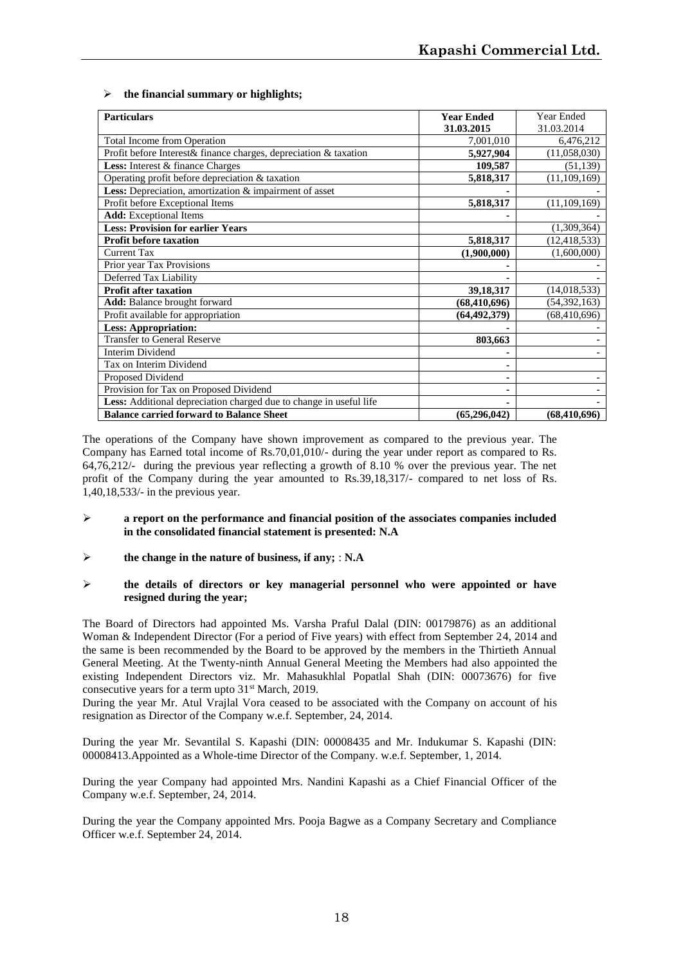# **the financial summary or highlights;**

| <b>Particulars</b>                                                 | <b>Year Ended</b> | <b>Year Ended</b> |
|--------------------------------------------------------------------|-------------------|-------------------|
|                                                                    | 31.03.2015        | 31.03.2014        |
| Total Income from Operation                                        | 7,001,010         | 6,476,212         |
| Profit before Interest& finance charges, depreciation & taxation   | 5,927,904         | (11,058,030)      |
| Less: Interest & finance Charges                                   | 109,587           | (51, 139)         |
| Operating profit before depreciation $&$ taxation                  | 5,818,317         | (11, 109, 169)    |
| Less: Depreciation, amortization & impairment of asset             |                   |                   |
| Profit before Exceptional Items                                    | 5,818,317         | (11, 109, 169)    |
| <b>Add:</b> Exceptional Items                                      |                   |                   |
| <b>Less: Provision for earlier Years</b>                           |                   | (1,309,364)       |
| <b>Profit before taxation</b>                                      | 5,818,317         | (12, 418, 533)    |
| <b>Current Tax</b>                                                 | (1,900,000)       | (1,600,000)       |
| Prior year Tax Provisions                                          |                   |                   |
| Deferred Tax Liability                                             |                   |                   |
| <b>Profit after taxation</b>                                       | 39, 18, 317       | (14,018,533)      |
| Add: Balance brought forward                                       | (68, 410, 696)    | (54, 392, 163)    |
| Profit available for appropriation                                 | (64, 492, 379)    | (68, 410, 696)    |
| <b>Less: Appropriation:</b>                                        |                   |                   |
| <b>Transfer to General Reserve</b>                                 | 803,663           |                   |
| <b>Interim Dividend</b>                                            |                   |                   |
| Tax on Interim Dividend                                            | ۰                 |                   |
| Proposed Dividend                                                  | ٠                 |                   |
| Provision for Tax on Proposed Dividend                             | ۰                 |                   |
| Less: Additional depreciation charged due to change in useful life |                   |                   |
| <b>Balance carried forward to Balance Sheet</b>                    | (65,296,042)      | (68, 410, 696)    |

The operations of the Company have shown improvement as compared to the previous year. The Company has Earned total income of Rs.70,01,010/- during the year under report as compared to Rs. 64,76,212/- during the previous year reflecting a growth of 8.10 % over the previous year. The net profit of the Company during the year amounted to Rs.39,18,317/- compared to net loss of Rs. 1,40,18,533/- in the previous year.

- **a report on the performance and financial position of the associates companies included in the consolidated financial statement is presented: N.A**
- **the change in the nature of business, if any;** : **N.A**
- **the details of directors or key managerial personnel who were appointed or have resigned during the year;**

The Board of Directors had appointed Ms. Varsha Praful Dalal (DIN: 00179876) as an additional Woman & Independent Director (For a period of Five years) with effect from September 24, 2014 and the same is been recommended by the Board to be approved by the members in the Thirtieth Annual General Meeting. At the Twenty-ninth Annual General Meeting the Members had also appointed the existing Independent Directors viz. Mr. Mahasukhlal Popatlal Shah (DIN: 00073676) for five consecutive years for a term upto  $31<sup>st</sup>$  March, 2019.

During the year Mr. Atul Vrajlal Vora ceased to be associated with the Company on account of his resignation as Director of the Company w.e.f. September, 24, 2014.

During the year Mr. Sevantilal S. Kapashi (DIN: 00008435 and Mr. Indukumar S. Kapashi (DIN: 00008413.Appointed as a Whole-time Director of the Company. w.e.f. September, 1, 2014.

During the year Company had appointed Mrs. Nandini Kapashi as a Chief Financial Officer of the Company w.e.f. September, 24, 2014.

During the year the Company appointed Mrs. Pooja Bagwe as a Company Secretary and Compliance Officer w.e.f. September 24, 2014.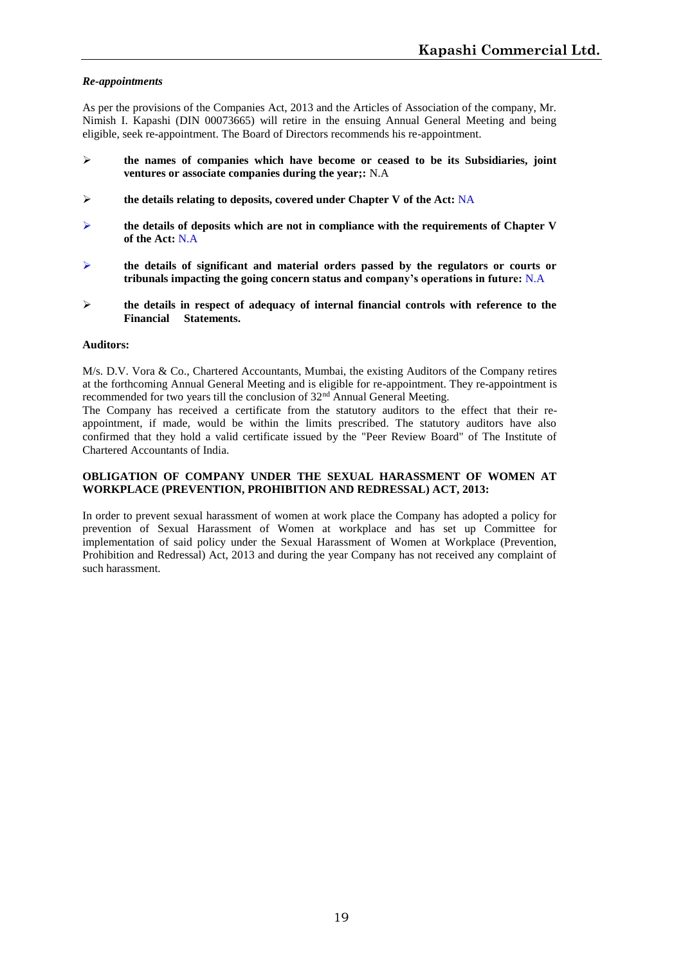# *Re-appointments*

As per the provisions of the Companies Act, 2013 and the Articles of Association of the company, Mr. Nimish I. Kapashi (DIN 00073665) will retire in the ensuing Annual General Meeting and being eligible, seek re-appointment. The Board of Directors recommends his re-appointment.

- **the names of companies which have become or ceased to be its Subsidiaries, joint ventures or associate companies during the year;:** N.A
- **the details relating to deposits, covered under Chapter V of the Act:** NA
- **the details of deposits which are not in compliance with the requirements of Chapter V of the Act:** N.A
- **the details of significant and material orders passed by the regulators or courts or tribunals impacting the going concern status and company's operations in future:** N.A
- **the details in respect of adequacy of internal financial controls with reference to the Financial Statements.**

#### **Auditors:**

M/s. D.V. Vora & Co., Chartered Accountants, Mumbai, the existing Auditors of the Company retires at the forthcoming Annual General Meeting and is eligible for re-appointment. They re-appointment is recommended for two years till the conclusion of 32nd Annual General Meeting.

The Company has received a certificate from the statutory auditors to the effect that their reappointment, if made, would be within the limits prescribed. The statutory auditors have also confirmed that they hold a valid certificate issued by the "Peer Review Board" of The Institute of Chartered Accountants of India.

#### **OBLIGATION OF COMPANY UNDER THE SEXUAL HARASSMENT OF WOMEN AT WORKPLACE (PREVENTION, PROHIBITION AND REDRESSAL) ACT, 2013:**

In order to prevent sexual harassment of women at work place the Company has adopted a policy for prevention of Sexual Harassment of Women at workplace and has set up Committee for implementation of said policy under the Sexual Harassment of Women at Workplace (Prevention, Prohibition and Redressal) Act, 2013 and during the year Company has not received any complaint of such harassment.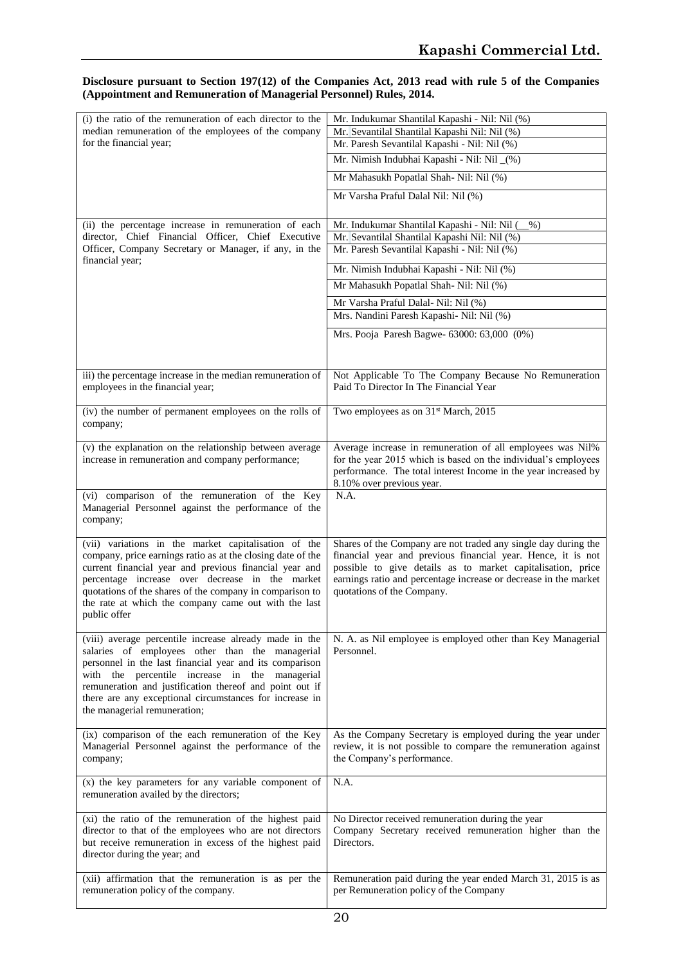# **Disclosure pursuant to Section 197(12) of the Companies Act, 2013 read with rule 5 of the Companies (Appointment and Remuneration of Managerial Personnel) Rules, 2014.**

| (i) the ratio of the remuneration of each director to the                                                                                                                                                                                                                                                                                                                    | Mr. Indukumar Shantilal Kapashi - Nil: Nil (%)                                                                                                                                                                                                                                                  |
|------------------------------------------------------------------------------------------------------------------------------------------------------------------------------------------------------------------------------------------------------------------------------------------------------------------------------------------------------------------------------|-------------------------------------------------------------------------------------------------------------------------------------------------------------------------------------------------------------------------------------------------------------------------------------------------|
| median remuneration of the employees of the company                                                                                                                                                                                                                                                                                                                          | Mr. Sevantilal Shantilal Kapashi Nil: Nil (%)                                                                                                                                                                                                                                                   |
| for the financial year;                                                                                                                                                                                                                                                                                                                                                      | Mr. Paresh Sevantilal Kapashi - Nil: Nil (%)                                                                                                                                                                                                                                                    |
|                                                                                                                                                                                                                                                                                                                                                                              | Mr. Nimish Indubhai Kapashi - Nil: Nil (%)                                                                                                                                                                                                                                                      |
|                                                                                                                                                                                                                                                                                                                                                                              | Mr Mahasukh Popatlal Shah-Nil: Nil (%)                                                                                                                                                                                                                                                          |
|                                                                                                                                                                                                                                                                                                                                                                              | Mr Varsha Praful Dalal Nil: Nil (%)                                                                                                                                                                                                                                                             |
| (ii) the percentage increase in remuneration of each                                                                                                                                                                                                                                                                                                                         | Mr. Indukumar Shantilal Kapashi - Nil: Nil (<br>$%$ )                                                                                                                                                                                                                                           |
| director, Chief Financial Officer, Chief Executive                                                                                                                                                                                                                                                                                                                           | Mr. Sevantilal Shantilal Kapashi Nil: Nil (%)                                                                                                                                                                                                                                                   |
| Officer, Company Secretary or Manager, if any, in the<br>financial year;                                                                                                                                                                                                                                                                                                     | Mr. Paresh Sevantilal Kapashi - Nil: Nil (%)                                                                                                                                                                                                                                                    |
|                                                                                                                                                                                                                                                                                                                                                                              | Mr. Nimish Indubhai Kapashi - Nil: Nil (%)                                                                                                                                                                                                                                                      |
|                                                                                                                                                                                                                                                                                                                                                                              | Mr Mahasukh Popatlal Shah-Nil: Nil (%)                                                                                                                                                                                                                                                          |
|                                                                                                                                                                                                                                                                                                                                                                              | Mr Varsha Praful Dalal- Nil: Nil (%)<br>Mrs. Nandini Paresh Kapashi- Nil: Nil (%)                                                                                                                                                                                                               |
|                                                                                                                                                                                                                                                                                                                                                                              |                                                                                                                                                                                                                                                                                                 |
|                                                                                                                                                                                                                                                                                                                                                                              | Mrs. Pooja Paresh Bagwe- 63000: 63,000 (0%)                                                                                                                                                                                                                                                     |
| iii) the percentage increase in the median remuneration of<br>employees in the financial year;                                                                                                                                                                                                                                                                               | Not Applicable To The Company Because No Remuneration<br>Paid To Director In The Financial Year                                                                                                                                                                                                 |
| (iv) the number of permanent employees on the rolls of<br>company;                                                                                                                                                                                                                                                                                                           | Two employees as on 31 <sup>st</sup> March, 2015                                                                                                                                                                                                                                                |
| (v) the explanation on the relationship between average<br>increase in remuneration and company performance;                                                                                                                                                                                                                                                                 | Average increase in remuneration of all employees was Nil%<br>for the year 2015 which is based on the individual's employees<br>performance. The total interest Income in the year increased by<br>8.10% over previous year.                                                                    |
| (vi) comparison of the remuneration of the Key<br>Managerial Personnel against the performance of the<br>company;                                                                                                                                                                                                                                                            | $\overline{N}$ .A.                                                                                                                                                                                                                                                                              |
| (vii) variations in the market capitalisation of the<br>company, price earnings ratio as at the closing date of the<br>current financial year and previous financial year and<br>percentage increase over decrease in the market<br>quotations of the shares of the company in comparison to<br>the rate at which the company came out with the last<br>public offer         | Shares of the Company are not traded any single day during the<br>financial year and previous financial year. Hence, it is not<br>possible to give details as to market capitalisation, price<br>earnings ratio and percentage increase or decrease in the market<br>quotations of the Company. |
| (viii) average percentile increase already made in the<br>salaries of employees other than the managerial<br>personnel in the last financial year and its comparison<br>with the percentile increase in the managerial<br>remuneration and justification thereof and point out if<br>there are any exceptional circumstances for increase in<br>the managerial remuneration; | N. A. as Nil employee is employed other than Key Managerial<br>Personnel.                                                                                                                                                                                                                       |
| (ix) comparison of the each remuneration of the Key<br>Managerial Personnel against the performance of the<br>company;                                                                                                                                                                                                                                                       | As the Company Secretary is employed during the year under<br>review, it is not possible to compare the remuneration against<br>the Company's performance.                                                                                                                                      |
| (x) the key parameters for any variable component of<br>remuneration availed by the directors;                                                                                                                                                                                                                                                                               | N.A.                                                                                                                                                                                                                                                                                            |
| (xi) the ratio of the remuneration of the highest paid<br>director to that of the employees who are not directors<br>but receive remuneration in excess of the highest paid<br>director during the year; and                                                                                                                                                                 | No Director received remuneration during the year<br>Company Secretary received remuneration higher than the<br>Directors.                                                                                                                                                                      |
| (xii) affirmation that the remuneration is as per the<br>remuneration policy of the company.                                                                                                                                                                                                                                                                                 | Remuneration paid during the year ended March 31, 2015 is as<br>per Remuneration policy of the Company                                                                                                                                                                                          |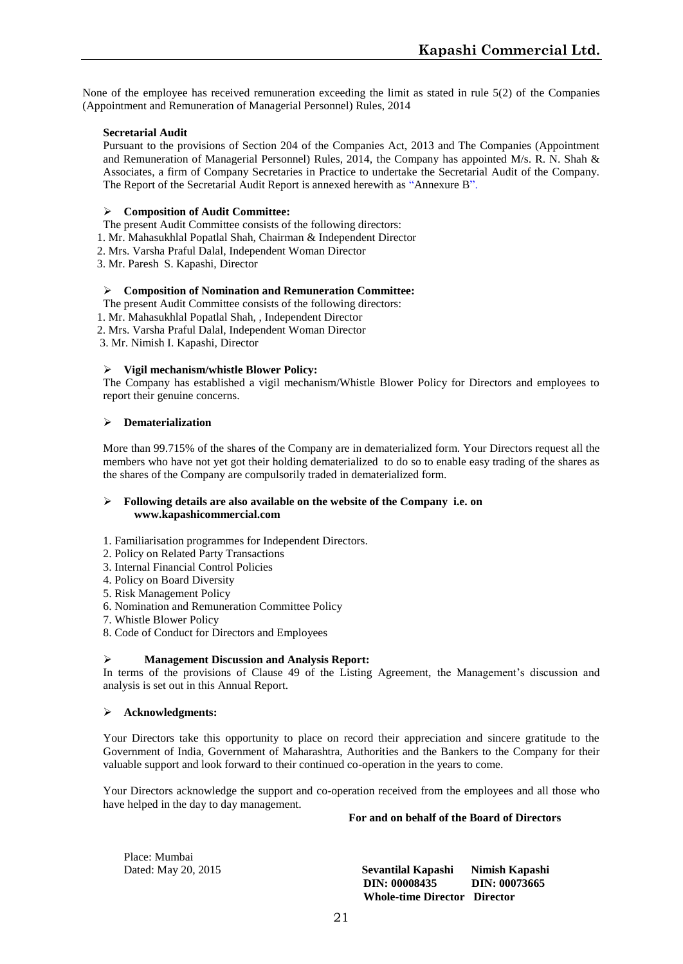None of the employee has received remuneration exceeding the limit as stated in rule  $5(2)$  of the Companies (Appointment and Remuneration of Managerial Personnel) Rules, 2014

# **Secretarial Audit**

Pursuant to the provisions of Section 204 of the Companies Act, 2013 and The Companies (Appointment and Remuneration of Managerial Personnel) Rules, 2014, the Company has appointed M/s. R. N. Shah & Associates, a firm of Company Secretaries in Practice to undertake the Secretarial Audit of the Company. The Report of the Secretarial Audit Report is annexed herewith as "Annexure B".

# **Composition of Audit Committee:**

- The present Audit Committee consists of the following directors:
- 1. Mr. Mahasukhlal Popatlal Shah, Chairman & Independent Director
- 2. Mrs. Varsha Praful Dalal, Independent Woman Director
- 3. Mr. Paresh S. Kapashi, Director

# **Composition of Nomination and Remuneration Committee:**

- The present Audit Committee consists of the following directors:
- 1. Mr. Mahasukhlal Popatlal Shah, , Independent Director
- 2. Mrs. Varsha Praful Dalal, Independent Woman Director
- 3. Mr. Nimish I. Kapashi, Director

# **Vigil mechanism/whistle Blower Policy:**

The Company has established a vigil mechanism/Whistle Blower Policy for Directors and employees to report their genuine concerns.

# **Dematerialization**

More than 99.715% of the shares of the Company are in dematerialized form. Your Directors request all the members who have not yet got their holding dematerialized to do so to enable easy trading of the shares as the shares of the Company are compulsorily traded in dematerialized form.

#### **Following details are also available on the website of the Company i.e. on www.kapashicommercial.com**

- 1. Familiarisation programmes for Independent Directors.
- 2. Policy on Related Party Transactions
- 3. Internal Financial Control Policies
- 4. Policy on Board Diversity
- 5. Risk Management Policy
- 6. Nomination and Remuneration Committee Policy
- 7. Whistle Blower Policy
- 8. Code of Conduct for Directors and Employees

# **Management Discussion and Analysis Report:**

In terms of the provisions of Clause 49 of the Listing Agreement, the Management's discussion and analysis is set out in this Annual Report.

# **Acknowledgments:**

Your Directors take this opportunity to place on record their appreciation and sincere gratitude to the Government of India, Government of Maharashtra, Authorities and the Bankers to the Company for their valuable support and look forward to their continued co-operation in the years to come.

Your Directors acknowledge the support and co-operation received from the employees and all those who have helped in the day to day management.

# **For and on behalf of the Board of Directors**

Place: Mumbai

Dated: May 20, 2015 **Sevantilal Kapashi Nimish Kapashi DIN: 00008435 DIN: 00073665 Whole-time Director Director**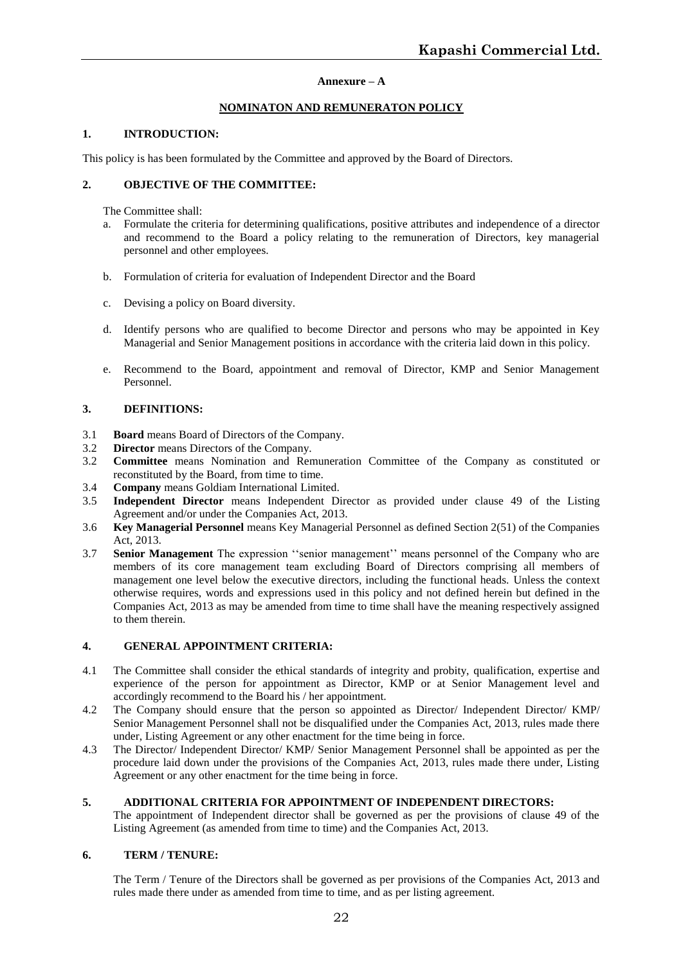# **Annexure – A**

# **NOMINATON AND REMUNERATON POLICY**

# **1. INTRODUCTION:**

This policy is has been formulated by the Committee and approved by the Board of Directors.

# **2. OBJECTIVE OF THE COMMITTEE:**

The Committee shall:

- a. Formulate the criteria for determining qualifications, positive attributes and independence of a director and recommend to the Board a policy relating to the remuneration of Directors, key managerial personnel and other employees.
- b. Formulation of criteria for evaluation of Independent Director and the Board
- c. Devising a policy on Board diversity.
- d. Identify persons who are qualified to become Director and persons who may be appointed in Key Managerial and Senior Management positions in accordance with the criteria laid down in this policy.
- e. Recommend to the Board, appointment and removal of Director, KMP and Senior Management Personnel.

# **3. DEFINITIONS:**

- 3.1 **Board** means Board of Directors of the Company.
- 3.2 **Director** means Directors of the Company.
- 3.2 **Committee** means Nomination and Remuneration Committee of the Company as constituted or reconstituted by the Board, from time to time.
- 3.4 **Company** means Goldiam International Limited.
- 3.5 **Independent Director** means Independent Director as provided under clause 49 of the Listing Agreement and/or under the Companies Act, 2013.
- 3.6 **Key Managerial Personnel** means Key Managerial Personnel as defined Section 2(51) of the Companies Act, 2013.
- 3.7 **Senior Management** The expression ''senior management'' means personnel of the Company who are members of its core management team excluding Board of Directors comprising all members of management one level below the executive directors, including the functional heads. Unless the context otherwise requires, words and expressions used in this policy and not defined herein but defined in the Companies Act, 2013 as may be amended from time to time shall have the meaning respectively assigned to them therein.

# **4. GENERAL APPOINTMENT CRITERIA:**

- 4.1 The Committee shall consider the ethical standards of integrity and probity, qualification, expertise and experience of the person for appointment as Director, KMP or at Senior Management level and accordingly recommend to the Board his / her appointment.
- 4.2 The Company should ensure that the person so appointed as Director/ Independent Director/ KMP/ Senior Management Personnel shall not be disqualified under the Companies Act, 2013, rules made there under, Listing Agreement or any other enactment for the time being in force.
- 4.3 The Director/ Independent Director/ KMP/ Senior Management Personnel shall be appointed as per the procedure laid down under the provisions of the Companies Act, 2013, rules made there under, Listing Agreement or any other enactment for the time being in force.

# **5. ADDITIONAL CRITERIA FOR APPOINTMENT OF INDEPENDENT DIRECTORS:**

The appointment of Independent director shall be governed as per the provisions of clause 49 of the Listing Agreement (as amended from time to time) and the Companies Act, 2013.

# **6. TERM / TENURE:**

The Term / Tenure of the Directors shall be governed as per provisions of the Companies Act, 2013 and rules made there under as amended from time to time, and as per listing agreement.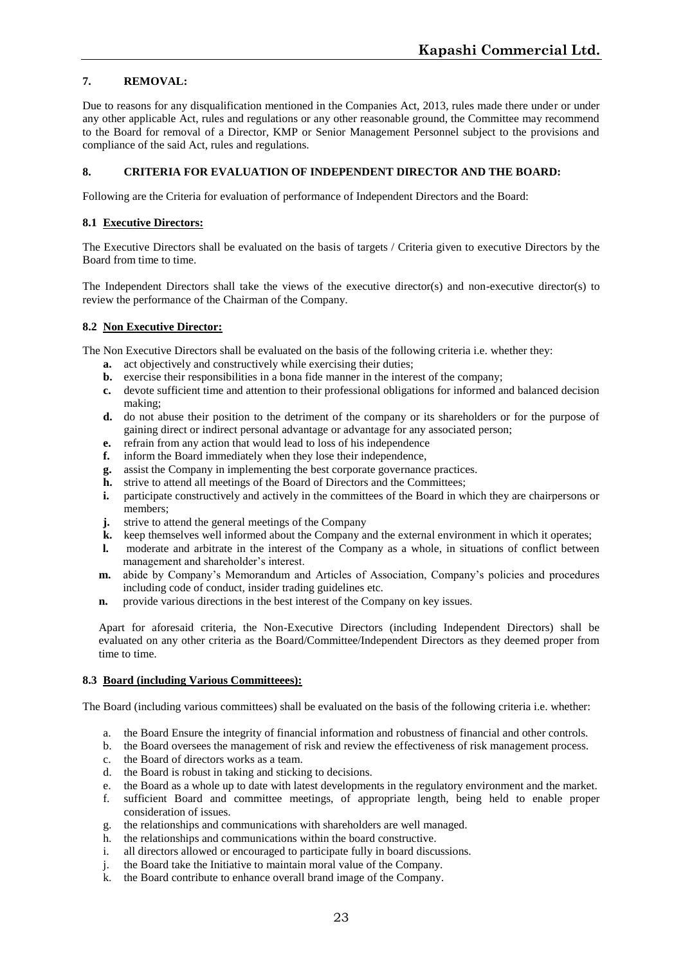# **7. REMOVAL:**

Due to reasons for any disqualification mentioned in the Companies Act, 2013, rules made there under or under any other applicable Act, rules and regulations or any other reasonable ground, the Committee may recommend to the Board for removal of a Director, KMP or Senior Management Personnel subject to the provisions and compliance of the said Act, rules and regulations.

# **8. CRITERIA FOR EVALUATION OF INDEPENDENT DIRECTOR AND THE BOARD:**

Following are the Criteria for evaluation of performance of Independent Directors and the Board:

# **8.1 Executive Directors:**

The Executive Directors shall be evaluated on the basis of targets / Criteria given to executive Directors by the Board from time to time.

The Independent Directors shall take the views of the executive director(s) and non-executive director(s) to review the performance of the Chairman of the Company.

# **8.2 Non Executive Director:**

The Non Executive Directors shall be evaluated on the basis of the following criteria i.e. whether they:

- **a.** act objectively and constructively while exercising their duties;
- **b.** exercise their responsibilities in a bona fide manner in the interest of the company;
- **c.** devote sufficient time and attention to their professional obligations for informed and balanced decision making;
- **d.** do not abuse their position to the detriment of the company or its shareholders or for the purpose of gaining direct or indirect personal advantage or advantage for any associated person;
- **e.** refrain from any action that would lead to loss of his independence
- **f.** inform the Board immediately when they lose their independence,
- **g.** assist the Company in implementing the best corporate governance practices.
- **h.** strive to attend all meetings of the Board of Directors and the Committees;
- **i.** participate constructively and actively in the committees of the Board in which they are chairpersons or members;
- **j.** strive to attend the general meetings of the Company
- **k.** keep themselves well informed about the Company and the external environment in which it operates;
- **l.** moderate and arbitrate in the interest of the Company as a whole, in situations of conflict between management and shareholder's interest.
- **m.** abide by Company's Memorandum and Articles of Association, Company's policies and procedures including code of conduct, insider trading guidelines etc.
- **n.** provide various directions in the best interest of the Company on key issues.

Apart for aforesaid criteria, the Non-Executive Directors (including Independent Directors) shall be evaluated on any other criteria as the Board/Committee/Independent Directors as they deemed proper from time to time.

# **8.3 Board (including Various Committeees):**

The Board (including various committees) shall be evaluated on the basis of the following criteria i.e. whether:

- a. the Board Ensure the integrity of financial information and robustness of financial and other controls.
- b. the Board oversees the management of risk and review the effectiveness of risk management process.
- c. the Board of directors works as a team.
- d. the Board is robust in taking and sticking to decisions.
- e. the Board as a whole up to date with latest developments in the regulatory environment and the market.
- f. sufficient Board and committee meetings, of appropriate length, being held to enable proper consideration of issues.
- g. the relationships and communications with shareholders are well managed.
- h. the relationships and communications within the board constructive.
- i. all directors allowed or encouraged to participate fully in board discussions.
- j. the Board take the Initiative to maintain moral value of the Company.
- k. the Board contribute to enhance overall brand image of the Company.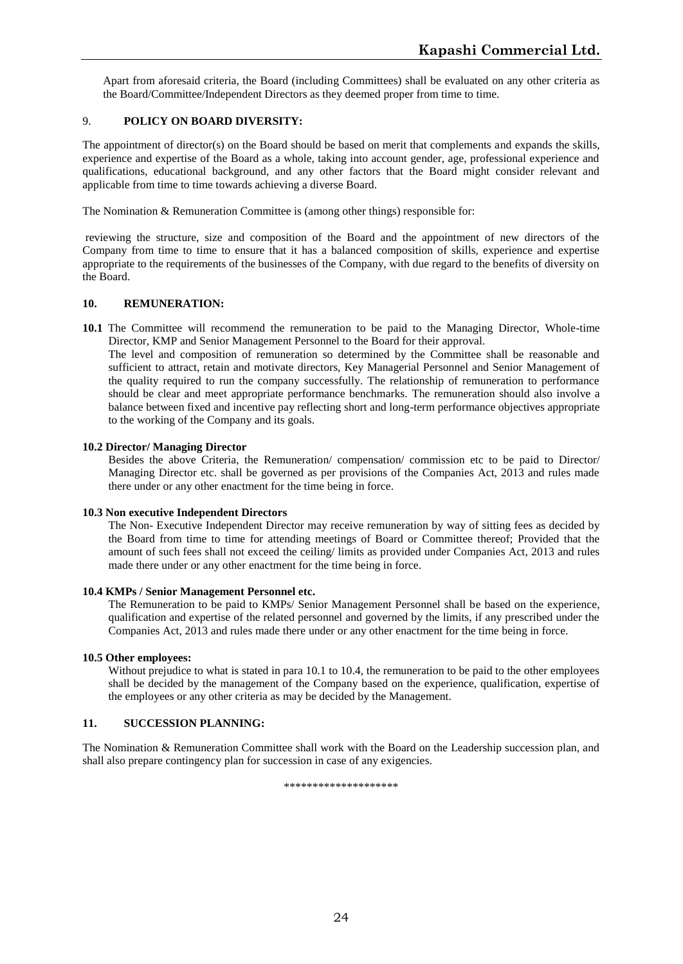Apart from aforesaid criteria, the Board (including Committees) shall be evaluated on any other criteria as the Board/Committee/Independent Directors as they deemed proper from time to time.

# 9. **POLICY ON BOARD DIVERSITY:**

The appointment of director(s) on the Board should be based on merit that complements and expands the skills, experience and expertise of the Board as a whole, taking into account gender, age, professional experience and qualifications, educational background, and any other factors that the Board might consider relevant and applicable from time to time towards achieving a diverse Board.

The Nomination & Remuneration Committee is (among other things) responsible for:

reviewing the structure, size and composition of the Board and the appointment of new directors of the Company from time to time to ensure that it has a balanced composition of skills, experience and expertise appropriate to the requirements of the businesses of the Company, with due regard to the benefits of diversity on the Board.

#### **10. REMUNERATION:**

**10.1** The Committee will recommend the remuneration to be paid to the Managing Director, Whole-time Director, KMP and Senior Management Personnel to the Board for their approval. The level and composition of remuneration so determined by the Committee shall be reasonable and sufficient to attract, retain and motivate directors, Key Managerial Personnel and Senior Management of the quality required to run the company successfully. The relationship of remuneration to performance should be clear and meet appropriate performance benchmarks. The remuneration should also involve a

# **10.2 Director/ Managing Director**

Besides the above Criteria, the Remuneration/ compensation/ commission etc to be paid to Director/ Managing Director etc. shall be governed as per provisions of the Companies Act, 2013 and rules made there under or any other enactment for the time being in force.

balance between fixed and incentive pay reflecting short and long-term performance objectives appropriate

#### **10.3 Non executive Independent Directors**

to the working of the Company and its goals.

The Non- Executive Independent Director may receive remuneration by way of sitting fees as decided by the Board from time to time for attending meetings of Board or Committee thereof; Provided that the amount of such fees shall not exceed the ceiling/ limits as provided under Companies Act, 2013 and rules made there under or any other enactment for the time being in force.

#### **10.4 KMPs / Senior Management Personnel etc.**

The Remuneration to be paid to KMPs/ Senior Management Personnel shall be based on the experience, qualification and expertise of the related personnel and governed by the limits, if any prescribed under the Companies Act, 2013 and rules made there under or any other enactment for the time being in force.

#### **10.5 Other employees:**

Without prejudice to what is stated in para 10.1 to 10.4, the remuneration to be paid to the other employees shall be decided by the management of the Company based on the experience, qualification, expertise of the employees or any other criteria as may be decided by the Management.

#### **11. SUCCESSION PLANNING:**

The Nomination & Remuneration Committee shall work with the Board on the Leadership succession plan, and shall also prepare contingency plan for succession in case of any exigencies.

\*\*\*\*\*\*\*\*\*\*\*\*\*\*\*\*\*\*\*\*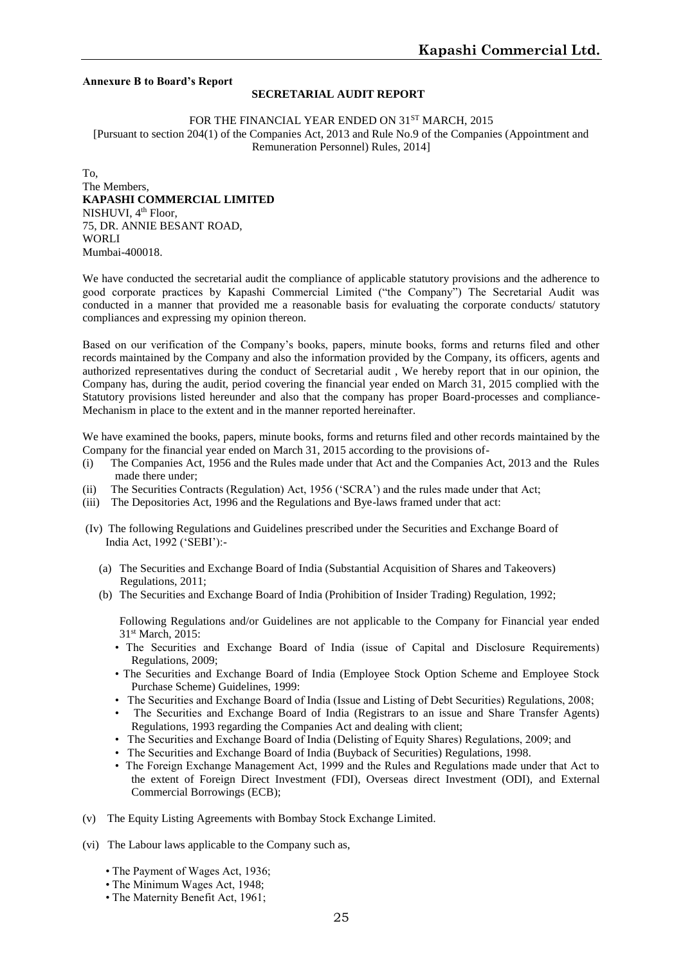#### **Annexure B to Board's Report**

# **SECRETARIAL AUDIT REPORT**

# FOR THE FINANCIAL YEAR ENDED ON 31ST MARCH, 2015

[Pursuant to section 204(1) of the Companies Act, 2013 and Rule No.9 of the Companies (Appointment and Remuneration Personnel) Rules, 2014]

To, The Members, **KAPASHI COMMERCIAL LIMITED**  NISHUVI, 4<sup>th</sup> Floor, 75, DR. ANNIE BESANT ROAD, WORLI Mumbai-400018.

We have conducted the secretarial audit the compliance of applicable statutory provisions and the adherence to good corporate practices by Kapashi Commercial Limited ("the Company") The Secretarial Audit was conducted in a manner that provided me a reasonable basis for evaluating the corporate conducts/ statutory compliances and expressing my opinion thereon.

Based on our verification of the Company's books, papers, minute books, forms and returns filed and other records maintained by the Company and also the information provided by the Company, its officers, agents and authorized representatives during the conduct of Secretarial audit , We hereby report that in our opinion, the Company has, during the audit, period covering the financial year ended on March 31, 2015 complied with the Statutory provisions listed hereunder and also that the company has proper Board-processes and compliance-Mechanism in place to the extent and in the manner reported hereinafter.

We have examined the books, papers, minute books, forms and returns filed and other records maintained by the Company for the financial year ended on March 31, 2015 according to the provisions of-

- (i) The Companies Act, 1956 and the Rules made under that Act and the Companies Act, 2013 and the Rules made there under;
- (ii) The Securities Contracts (Regulation) Act, 1956 ('SCRA') and the rules made under that Act;
- (iii) The Depositories Act, 1996 and the Regulations and Bye-laws framed under that act:
- (Iv) The following Regulations and Guidelines prescribed under the Securities and Exchange Board of India Act, 1992 ('SEBI'):-
	- (a) The Securities and Exchange Board of India (Substantial Acquisition of Shares and Takeovers) Regulations, 2011;
	- (b) The Securities and Exchange Board of India (Prohibition of Insider Trading) Regulation, 1992;

Following Regulations and/or Guidelines are not applicable to the Company for Financial year ended 31st March, 2015:

- The Securities and Exchange Board of India (issue of Capital and Disclosure Requirements) Regulations, 2009;
- The Securities and Exchange Board of India (Employee Stock Option Scheme and Employee Stock Purchase Scheme) Guidelines, 1999:
- The Securities and Exchange Board of India (Issue and Listing of Debt Securities) Regulations, 2008;
- The Securities and Exchange Board of India (Registrars to an issue and Share Transfer Agents) Regulations, 1993 regarding the Companies Act and dealing with client;
- The Securities and Exchange Board of India (Delisting of Equity Shares) Regulations, 2009; and
- The Securities and Exchange Board of India (Buyback of Securities) Regulations, 1998.
- The Foreign Exchange Management Act, 1999 and the Rules and Regulations made under that Act to the extent of Foreign Direct Investment (FDI), Overseas direct Investment (ODI), and External Commercial Borrowings (ECB);
- (v) The Equity Listing Agreements with Bombay Stock Exchange Limited.
- (vi) The Labour laws applicable to the Company such as,
	- The Payment of Wages Act, 1936;
	- The Minimum Wages Act, 1948;
	- The Maternity Benefit Act, 1961;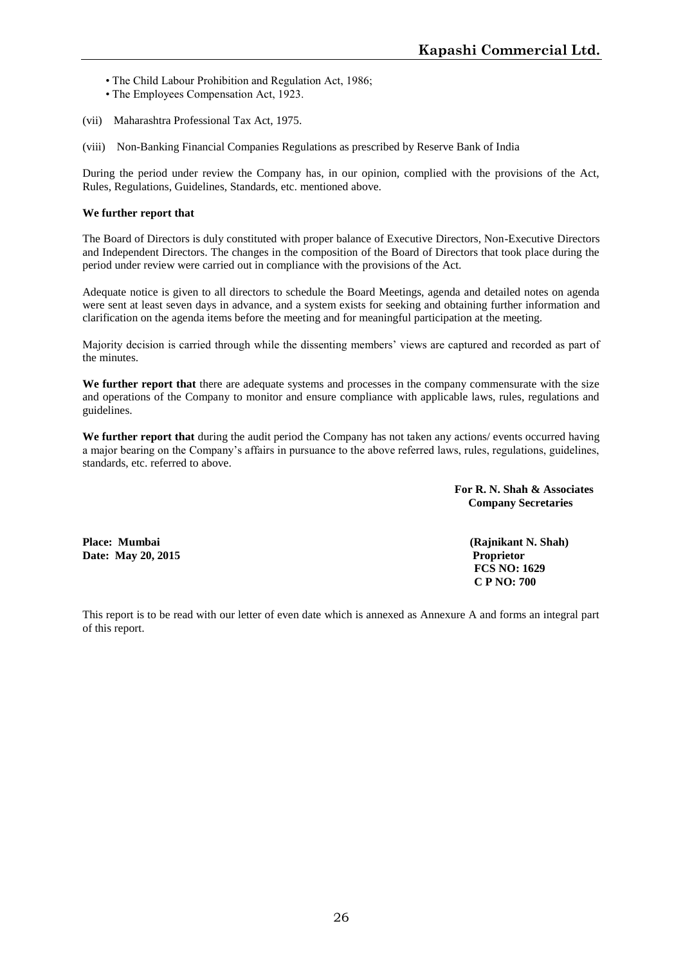• The Child Labour Prohibition and Regulation Act, 1986;

- The Employees Compensation Act, 1923.
- (vii) Maharashtra Professional Tax Act, 1975.

(viii) Non-Banking Financial Companies Regulations as prescribed by Reserve Bank of India

During the period under review the Company has, in our opinion, complied with the provisions of the Act, Rules, Regulations, Guidelines, Standards, etc. mentioned above.

# **We further report that**

The Board of Directors is duly constituted with proper balance of Executive Directors, Non-Executive Directors and Independent Directors. The changes in the composition of the Board of Directors that took place during the period under review were carried out in compliance with the provisions of the Act.

Adequate notice is given to all directors to schedule the Board Meetings, agenda and detailed notes on agenda were sent at least seven days in advance, and a system exists for seeking and obtaining further information and clarification on the agenda items before the meeting and for meaningful participation at the meeting.

Majority decision is carried through while the dissenting members' views are captured and recorded as part of the minutes.

We further report that there are adequate systems and processes in the company commensurate with the size and operations of the Company to monitor and ensure compliance with applicable laws, rules, regulations and guidelines.

**We further report that** during the audit period the Company has not taken any actions/ events occurred having a major bearing on the Company's affairs in pursuance to the above referred laws, rules, regulations, guidelines, standards, etc. referred to above.

> **For R. N. Shah & Associates Company Secretaries**

**Place: Mumbai (Rajnikant N. Shah) Date: May 20, 2015 Proprietor** 

 **FCS NO: 1629 C P NO: 700**

This report is to be read with our letter of even date which is annexed as Annexure A and forms an integral part of this report.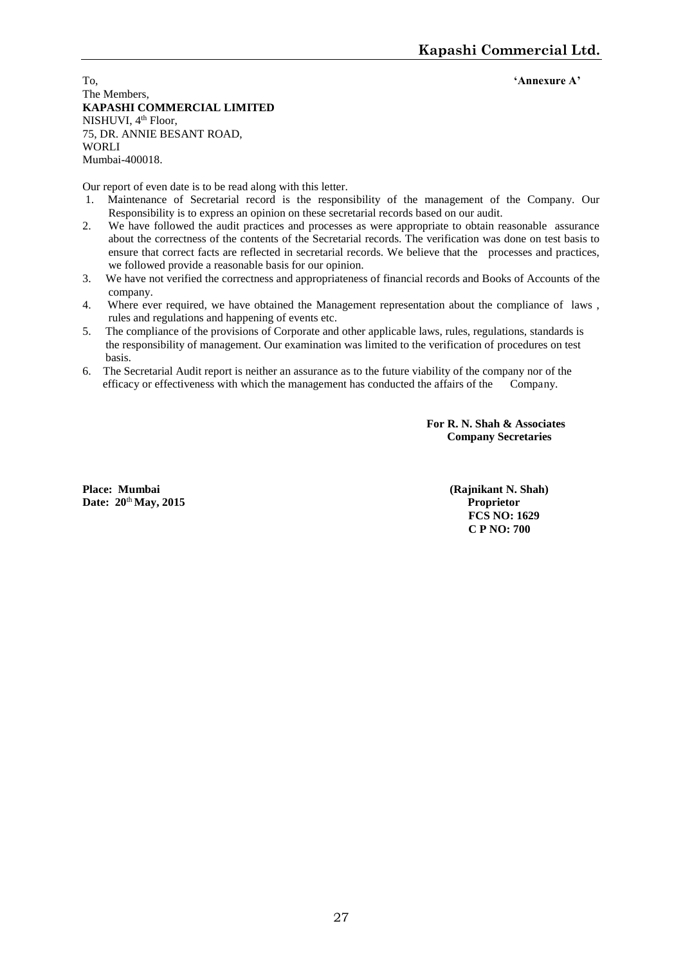To, **'Annexure A'** The Members, **KAPASHI COMMERCIAL LIMITED**  NISHUVI, 4<sup>th</sup> Floor, 75, DR. ANNIE BESANT ROAD, WORLI Mumbai-400018.

Our report of even date is to be read along with this letter.

- 1. Maintenance of Secretarial record is the responsibility of the management of the Company. Our Responsibility is to express an opinion on these secretarial records based on our audit.
- 2. We have followed the audit practices and processes as were appropriate to obtain reasonable assurance about the correctness of the contents of the Secretarial records. The verification was done on test basis to ensure that correct facts are reflected in secretarial records. We believe that the processes and practices, we followed provide a reasonable basis for our opinion.
- 3. We have not verified the correctness and appropriateness of financial records and Books of Accounts of the company.
- 4. Where ever required, we have obtained the Management representation about the compliance of laws , rules and regulations and happening of events etc.
- 5. The compliance of the provisions of Corporate and other applicable laws, rules, regulations, standards is the responsibility of management. Our examination was limited to the verification of procedures on test basis.
- 6. The Secretarial Audit report is neither an assurance as to the future viability of the company nor of the efficacy or effectiveness with which the management has conducted the affairs of the Company.

 **For R. N. Shah & Associates Company Secretaries**

Place: Mumbai **Calculation Community (Rajnikant N. Shah)** Date:  $20^{\text{th}}$  May,  $2015$  Proprietor

 **FCS NO: 1629 C P NO: 700**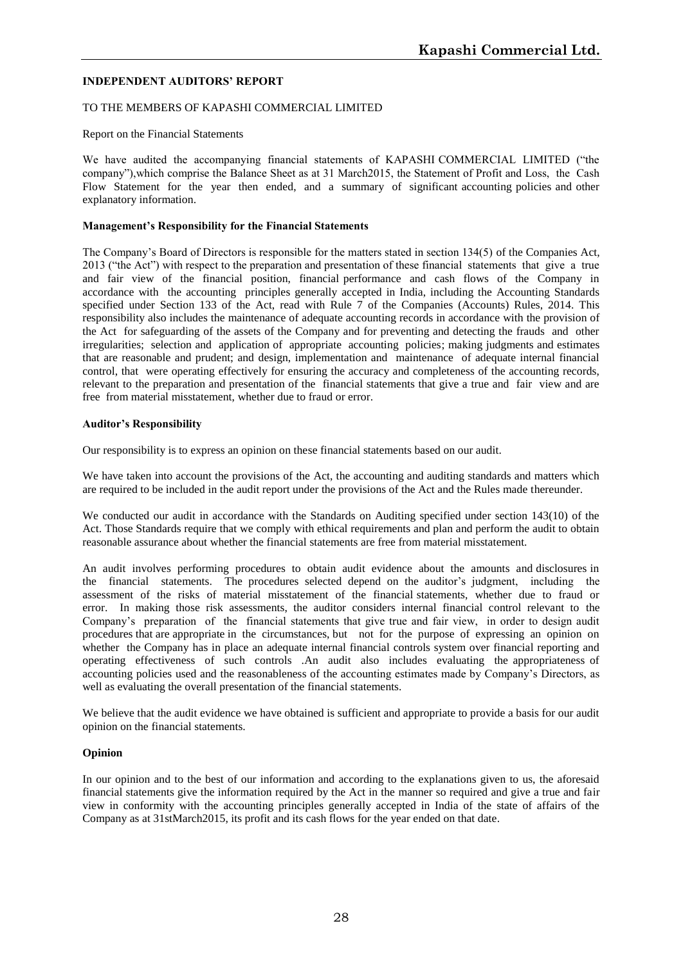# **INDEPENDENT AUDITORS' REPORT**

#### TO THE MEMBERS OF KAPASHI COMMERCIAL LIMITED

#### Report on the Financial Statements

We have audited the accompanying financial statements of KAPASHI COMMERCIAL LIMITED ("the company"),which comprise the Balance Sheet as at 31 March2015, the Statement of Profit and Loss, the Cash Flow Statement for the year then ended, and a summary of significant accounting policies and other explanatory information.

#### **Management's Responsibility for the Financial Statements**

The Company's Board of Directors is responsible for the matters stated in section 134(5) of the Companies Act, 2013 ("the Act") with respect to the preparation and presentation of these financial statements that give a true and fair view of the financial position, financial performance and cash flows of the Company in accordance with the accounting principles generally accepted in India, including the Accounting Standards specified under Section 133 of the Act, read with Rule 7 of the Companies (Accounts) Rules, 2014. This responsibility also includes the maintenance of adequate accounting records in accordance with the provision of the Act for safeguarding of the assets of the Company and for preventing and detecting the frauds and other irregularities; selection and application of appropriate accounting policies; making judgments and estimates that are reasonable and prudent; and design, implementation and maintenance of adequate internal financial control, that were operating effectively for ensuring the accuracy and completeness of the accounting records, relevant to the preparation and presentation of the financial statements that give a true and fair view and are free from material misstatement, whether due to fraud or error.

#### **Auditor's Responsibility**

Our responsibility is to express an opinion on these financial statements based on our audit.

We have taken into account the provisions of the Act, the accounting and auditing standards and matters which are required to be included in the audit report under the provisions of the Act and the Rules made thereunder.

We conducted our audit in accordance with the Standards on Auditing specified under section 143(10) of the Act. Those Standards require that we comply with ethical requirements and plan and perform the audit to obtain reasonable assurance about whether the financial statements are free from material misstatement.

An audit involves performing procedures to obtain audit evidence about the amounts and disclosures in the financial statements. The procedures selected depend on the auditor's judgment, including the assessment of the risks of material misstatement of the financial statements, whether due to fraud or error. In making those risk assessments, the auditor considers internal financial control relevant to the Company's preparation of the financial statements that give true and fair view, in order to design audit procedures that are appropriate in the circumstances, but not for the purpose of expressing an opinion on whether the Company has in place an adequate internal financial controls system over financial reporting and operating effectiveness of such controls .An audit also includes evaluating the appropriateness of accounting policies used and the reasonableness of the accounting estimates made by Company's Directors, as well as evaluating the overall presentation of the financial statements.

We believe that the audit evidence we have obtained is sufficient and appropriate to provide a basis for our audit opinion on the financial statements.

#### **Opinion**

In our opinion and to the best of our information and according to the explanations given to us, the aforesaid financial statements give the information required by the Act in the manner so required and give a true and fair view in conformity with the accounting principles generally accepted in India of the state of affairs of the Company as at 31stMarch2015, its profit and its cash flows for the year ended on that date.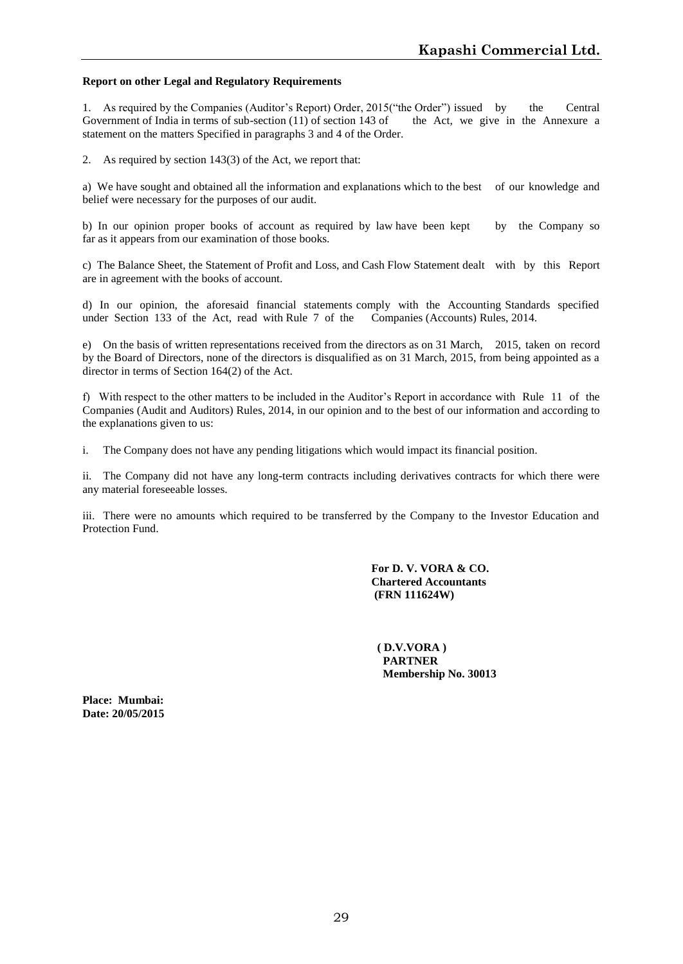# **Report on other Legal and Regulatory Requirements**

1. As required by the Companies (Auditor's Report) Order, 2015("the Order") issued by the Central Government of India in terms of sub-section (11) of section 143 of the Act, we give in the Annexure a statement on the matters Specified in paragraphs 3 and 4 of the Order.

2. As required by section 143(3) of the Act, we report that:

a) We have sought and obtained all the information and explanations which to the best of our knowledge and belief were necessary for the purposes of our audit.

b) In our opinion proper books of account as required by law have been kept by the Company so far as it appears from our examination of those books.

c) The Balance Sheet, the Statement of Profit and Loss, and Cash Flow Statement dealt with by this Report are in agreement with the books of account.

d) In our opinion, the aforesaid financial statements comply with the Accounting Standards specified under Section 133 of the Act, read with Rule 7 of the Companies (Accounts) Rules, 2014.

e) On the basis of written representations received from the directors as on 31 March, 2015, taken on record by the Board of Directors, none of the directors is disqualified as on 31 March, 2015, from being appointed as a director in terms of Section 164(2) of the Act.

f) With respect to the other matters to be included in the Auditor's Report in accordance with Rule 11 of the Companies (Audit and Auditors) Rules, 2014, in our opinion and to the best of our information and according to the explanations given to us:

i. The Company does not have any pending litigations which would impact its financial position.

ii. The Company did not have any long-term contracts including derivatives contracts for which there were any material foreseeable losses.

iii. There were no amounts which required to be transferred by the Company to the Investor Education and Protection Fund.

> **For D. V. VORA & CO. Chartered Accountants (FRN 111624W)**

 **( D.V.VORA ) PARTNER Membership No. 30013**

**Place: Mumbai: Date: 20/05/2015**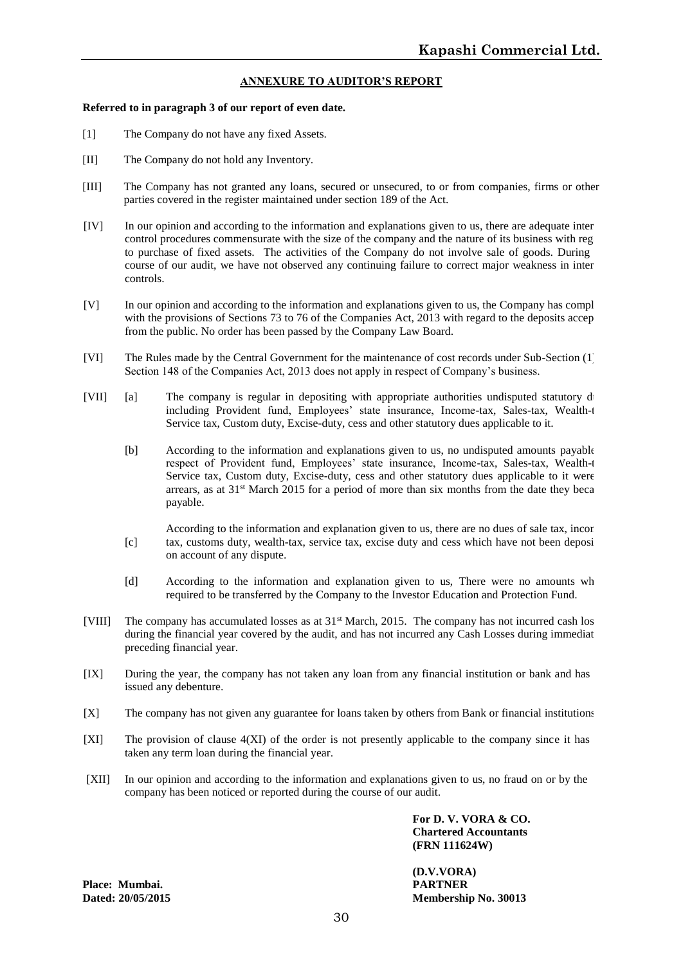# **ANNEXURE TO AUDITOR'S REPORT**

# **Referred to in paragraph 3 of our report of even date.**

- [1] The Company do not have any fixed Assets.
- [II] The Company do not hold any Inventory.
- [III] The Company has not granted any loans, secured or unsecured, to or from companies, firms or other parties covered in the register maintained under section 189 of the Act.
- [IV] In our opinion and according to the information and explanations given to us, there are adequate internal control procedures commensurate with the size of the company and the nature of its business with reg to purchase of fixed assets. The activities of the Company do not involve sale of goods. During course of our audit, we have not observed any continuing failure to correct major weakness in inter controls.
- [V] In our opinion and according to the information and explanations given to us, the Company has compl with the provisions of Sections  $73$  to  $76$  of the Companies Act,  $2013$  with regard to the deposits accepted from the public. No order has been passed by the Company Law Board.
- [VI] The Rules made by the Central Government for the maintenance of cost records under Sub-Section (1) Section 148 of the Companies Act, 2013 does not apply in respect of Company's business.
- [VII]  $[a]$  The company is regular in depositing with appropriate authorities undisputed statutory dues including Provident fund, Employees' state insurance, Income-tax, Sales-tax, Wealth-1 Service tax, Custom duty, Excise-duty, cess and other statutory dues applicable to it.
	- $[b]$ According to the information and explanations given to us, no undisputed amounts payable in respect of Provident fund, Employees' state insurance, Income-tax, Sales-tax, Wealth-t Service tax, Custom duty, Excise-duty, cess and other statutory dues applicable to it were arrears, as at  $31<sup>st</sup>$  March 2015 for a period of more than six months from the date they beca payable.
	- $\lceil c \rceil$ According to the information and explanation given to us, there are no dues of sale tax, incor tax, customs duty, wealth-tax, service tax, excise duty and cess which have not been deposi on account of any dispute.
	- [d] According to the information and explanation given to us, There were no amounts wh required to be transferred by the Company to the Investor Education and Protection Fund.
- [VIII] The company has accumulated losses as at 31<sup>st</sup> March, 2015. The company has not incurred cash los during the financial year covered by the audit, and has not incurred any Cash Losses during immediat preceding financial year.
- [IX] During the year, the company has not taken any loan from any financial institution or bank and has issued any debenture.
- [X] The company has not given any guarantee for loans taken by others from Bank or financial institutions.
- [XI] The provision of clause 4(XI) of the order is not presently applicable to the company since it has taken any term loan during the financial year.
- [XII] In our opinion and according to the information and explanations given to us, no fraud on or by the company has been noticed or reported during the course of our audit.

**For D. V. VORA & CO. Chartered Accountants (FRN 111624W)**

 **(D.V.VORA) Dated: 20/05/2015 Membership No. 30013**

**Place: Mumbai. PARTNER**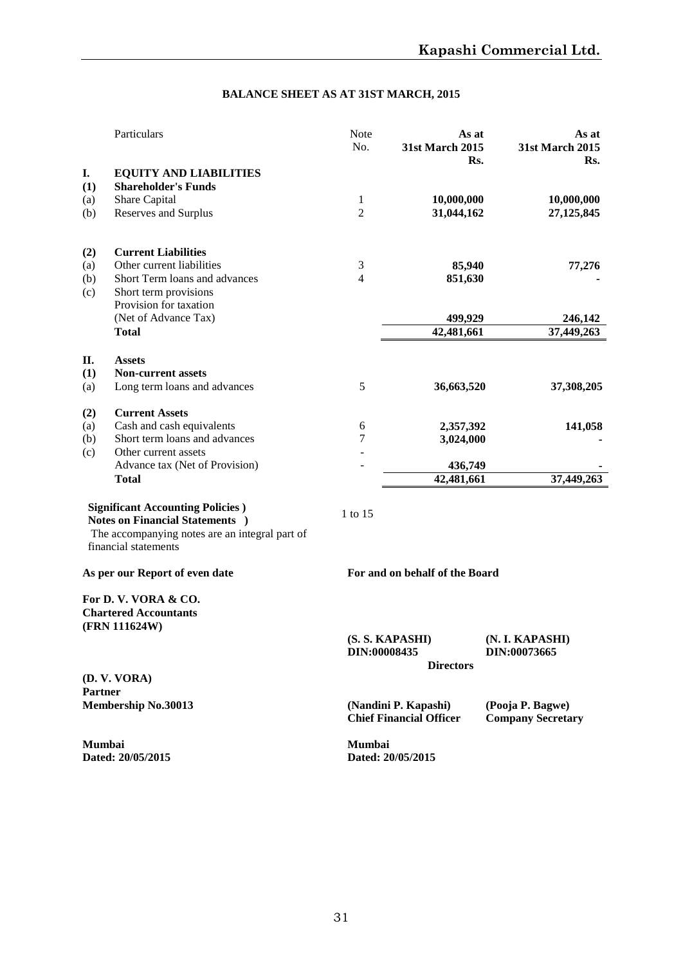# **BALANCE SHEET AS AT 31ST MARCH, 2015**

| I.<br><b>EQUITY AND LIABILITIES</b><br><b>Shareholder's Funds</b><br>(1)<br>Share Capital<br>10,000,000<br>10,000,000<br>(a)<br>1<br>$\overline{2}$<br>(b)<br>Reserves and Surplus<br>31,044,162<br>27,125,845<br><b>Current Liabilities</b><br>(2)<br>Other current liabilities<br>3<br>85,940<br>(a)<br>77,276<br>Short Term loans and advances<br>$\overline{4}$<br>851,630<br>(b)<br>Short term provisions<br>(c)<br>Provision for taxation<br>(Net of Advance Tax)<br>499,929<br>246,142<br><b>Total</b><br>42,481,661<br>37,449,263<br>П.<br><b>Assets</b><br>Non-current assets<br>(1)<br>Long term loans and advances<br>5<br>36,663,520<br>37,308,205<br>(a)<br><b>Current Assets</b><br>(2)<br>Cash and cash equivalents<br>2,357,392<br>141,058<br>(a)<br>6<br>Short term loans and advances<br>7<br>(b)<br>3,024,000<br>(c)<br>Other current assets<br>Advance tax (Net of Provision)<br>436,749<br>42,481,661<br>37,449,263<br><b>Total</b><br><b>Significant Accounting Policies</b> )<br>1 to 15<br><b>Notes on Financial Statements</b> )<br>The accompanying notes are an integral part of<br>financial statements<br>For and on behalf of the Board<br>As per our Report of even date<br>For D.V. VORA & CO.<br><b>Chartered Accountants</b><br>(FRN 111624W)<br>(S. S. KAPASHI)<br>(N. I. KAPASHI)<br>DIN:00008435<br>DIN:00073665<br><b>Directors</b><br>(D. V. VORA)<br><b>Partner</b><br>Membership No.30013<br>(Nandini P. Kapashi)<br>(Pooja P. Bagwe)<br><b>Chief Financial Officer</b><br><b>Company Secretary</b><br><b>Mumbai</b><br>Mumbai | Particulars       | Note<br>No. | As at<br>31st March 2015<br>Rs. | As at<br>31st March 2015<br>Rs. |
|-------------------------------------------------------------------------------------------------------------------------------------------------------------------------------------------------------------------------------------------------------------------------------------------------------------------------------------------------------------------------------------------------------------------------------------------------------------------------------------------------------------------------------------------------------------------------------------------------------------------------------------------------------------------------------------------------------------------------------------------------------------------------------------------------------------------------------------------------------------------------------------------------------------------------------------------------------------------------------------------------------------------------------------------------------------------------------------------------------------------------------------------------------------------------------------------------------------------------------------------------------------------------------------------------------------------------------------------------------------------------------------------------------------------------------------------------------------------------------------------------------------------------------------------------------------------------|-------------------|-------------|---------------------------------|---------------------------------|
|                                                                                                                                                                                                                                                                                                                                                                                                                                                                                                                                                                                                                                                                                                                                                                                                                                                                                                                                                                                                                                                                                                                                                                                                                                                                                                                                                                                                                                                                                                                                                                         |                   |             |                                 |                                 |
|                                                                                                                                                                                                                                                                                                                                                                                                                                                                                                                                                                                                                                                                                                                                                                                                                                                                                                                                                                                                                                                                                                                                                                                                                                                                                                                                                                                                                                                                                                                                                                         |                   |             |                                 |                                 |
|                                                                                                                                                                                                                                                                                                                                                                                                                                                                                                                                                                                                                                                                                                                                                                                                                                                                                                                                                                                                                                                                                                                                                                                                                                                                                                                                                                                                                                                                                                                                                                         |                   |             |                                 |                                 |
|                                                                                                                                                                                                                                                                                                                                                                                                                                                                                                                                                                                                                                                                                                                                                                                                                                                                                                                                                                                                                                                                                                                                                                                                                                                                                                                                                                                                                                                                                                                                                                         |                   |             |                                 |                                 |
|                                                                                                                                                                                                                                                                                                                                                                                                                                                                                                                                                                                                                                                                                                                                                                                                                                                                                                                                                                                                                                                                                                                                                                                                                                                                                                                                                                                                                                                                                                                                                                         |                   |             |                                 |                                 |
|                                                                                                                                                                                                                                                                                                                                                                                                                                                                                                                                                                                                                                                                                                                                                                                                                                                                                                                                                                                                                                                                                                                                                                                                                                                                                                                                                                                                                                                                                                                                                                         |                   |             |                                 |                                 |
|                                                                                                                                                                                                                                                                                                                                                                                                                                                                                                                                                                                                                                                                                                                                                                                                                                                                                                                                                                                                                                                                                                                                                                                                                                                                                                                                                                                                                                                                                                                                                                         |                   |             |                                 |                                 |
|                                                                                                                                                                                                                                                                                                                                                                                                                                                                                                                                                                                                                                                                                                                                                                                                                                                                                                                                                                                                                                                                                                                                                                                                                                                                                                                                                                                                                                                                                                                                                                         |                   |             |                                 |                                 |
|                                                                                                                                                                                                                                                                                                                                                                                                                                                                                                                                                                                                                                                                                                                                                                                                                                                                                                                                                                                                                                                                                                                                                                                                                                                                                                                                                                                                                                                                                                                                                                         |                   |             |                                 |                                 |
|                                                                                                                                                                                                                                                                                                                                                                                                                                                                                                                                                                                                                                                                                                                                                                                                                                                                                                                                                                                                                                                                                                                                                                                                                                                                                                                                                                                                                                                                                                                                                                         |                   |             |                                 |                                 |
|                                                                                                                                                                                                                                                                                                                                                                                                                                                                                                                                                                                                                                                                                                                                                                                                                                                                                                                                                                                                                                                                                                                                                                                                                                                                                                                                                                                                                                                                                                                                                                         |                   |             |                                 |                                 |
|                                                                                                                                                                                                                                                                                                                                                                                                                                                                                                                                                                                                                                                                                                                                                                                                                                                                                                                                                                                                                                                                                                                                                                                                                                                                                                                                                                                                                                                                                                                                                                         |                   |             |                                 |                                 |
|                                                                                                                                                                                                                                                                                                                                                                                                                                                                                                                                                                                                                                                                                                                                                                                                                                                                                                                                                                                                                                                                                                                                                                                                                                                                                                                                                                                                                                                                                                                                                                         |                   |             |                                 |                                 |
|                                                                                                                                                                                                                                                                                                                                                                                                                                                                                                                                                                                                                                                                                                                                                                                                                                                                                                                                                                                                                                                                                                                                                                                                                                                                                                                                                                                                                                                                                                                                                                         |                   |             |                                 |                                 |
|                                                                                                                                                                                                                                                                                                                                                                                                                                                                                                                                                                                                                                                                                                                                                                                                                                                                                                                                                                                                                                                                                                                                                                                                                                                                                                                                                                                                                                                                                                                                                                         |                   |             |                                 |                                 |
|                                                                                                                                                                                                                                                                                                                                                                                                                                                                                                                                                                                                                                                                                                                                                                                                                                                                                                                                                                                                                                                                                                                                                                                                                                                                                                                                                                                                                                                                                                                                                                         |                   |             |                                 |                                 |
|                                                                                                                                                                                                                                                                                                                                                                                                                                                                                                                                                                                                                                                                                                                                                                                                                                                                                                                                                                                                                                                                                                                                                                                                                                                                                                                                                                                                                                                                                                                                                                         |                   |             |                                 |                                 |
|                                                                                                                                                                                                                                                                                                                                                                                                                                                                                                                                                                                                                                                                                                                                                                                                                                                                                                                                                                                                                                                                                                                                                                                                                                                                                                                                                                                                                                                                                                                                                                         |                   |             |                                 |                                 |
|                                                                                                                                                                                                                                                                                                                                                                                                                                                                                                                                                                                                                                                                                                                                                                                                                                                                                                                                                                                                                                                                                                                                                                                                                                                                                                                                                                                                                                                                                                                                                                         |                   |             |                                 |                                 |
|                                                                                                                                                                                                                                                                                                                                                                                                                                                                                                                                                                                                                                                                                                                                                                                                                                                                                                                                                                                                                                                                                                                                                                                                                                                                                                                                                                                                                                                                                                                                                                         |                   |             |                                 |                                 |
|                                                                                                                                                                                                                                                                                                                                                                                                                                                                                                                                                                                                                                                                                                                                                                                                                                                                                                                                                                                                                                                                                                                                                                                                                                                                                                                                                                                                                                                                                                                                                                         |                   |             |                                 |                                 |
|                                                                                                                                                                                                                                                                                                                                                                                                                                                                                                                                                                                                                                                                                                                                                                                                                                                                                                                                                                                                                                                                                                                                                                                                                                                                                                                                                                                                                                                                                                                                                                         |                   |             |                                 |                                 |
|                                                                                                                                                                                                                                                                                                                                                                                                                                                                                                                                                                                                                                                                                                                                                                                                                                                                                                                                                                                                                                                                                                                                                                                                                                                                                                                                                                                                                                                                                                                                                                         |                   |             |                                 |                                 |
|                                                                                                                                                                                                                                                                                                                                                                                                                                                                                                                                                                                                                                                                                                                                                                                                                                                                                                                                                                                                                                                                                                                                                                                                                                                                                                                                                                                                                                                                                                                                                                         |                   |             |                                 |                                 |
|                                                                                                                                                                                                                                                                                                                                                                                                                                                                                                                                                                                                                                                                                                                                                                                                                                                                                                                                                                                                                                                                                                                                                                                                                                                                                                                                                                                                                                                                                                                                                                         |                   |             |                                 |                                 |
|                                                                                                                                                                                                                                                                                                                                                                                                                                                                                                                                                                                                                                                                                                                                                                                                                                                                                                                                                                                                                                                                                                                                                                                                                                                                                                                                                                                                                                                                                                                                                                         |                   |             |                                 |                                 |
|                                                                                                                                                                                                                                                                                                                                                                                                                                                                                                                                                                                                                                                                                                                                                                                                                                                                                                                                                                                                                                                                                                                                                                                                                                                                                                                                                                                                                                                                                                                                                                         |                   |             |                                 |                                 |
| Dated: 20/05/2015                                                                                                                                                                                                                                                                                                                                                                                                                                                                                                                                                                                                                                                                                                                                                                                                                                                                                                                                                                                                                                                                                                                                                                                                                                                                                                                                                                                                                                                                                                                                                       | Dated: 20/05/2015 |             |                                 |                                 |

**Dated: 20/05/2015 Dated: 20/05/2015**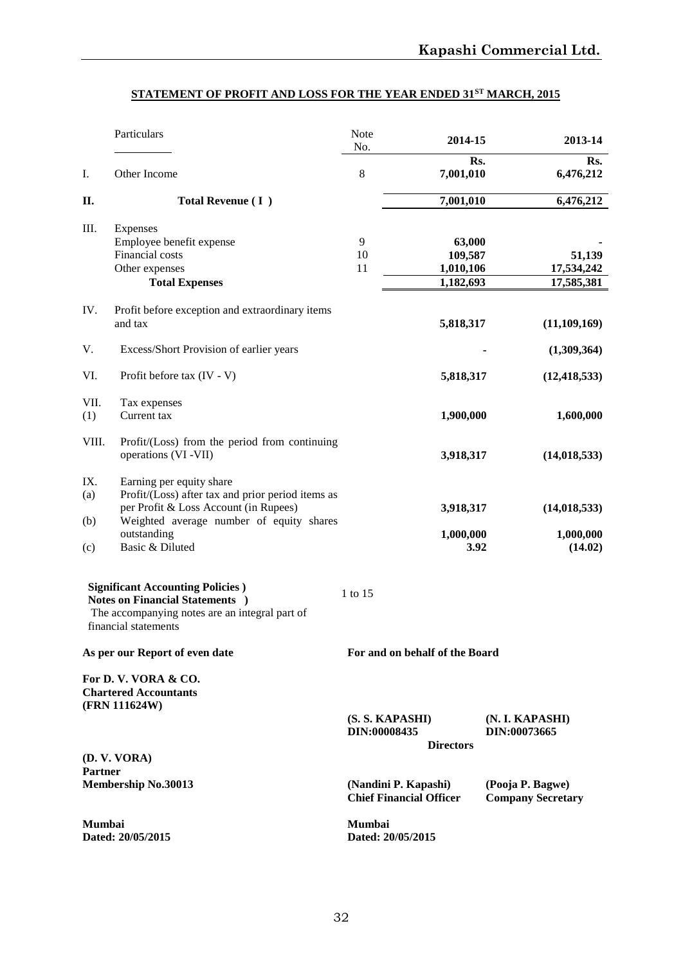# **STATEMENT OF PROFIT AND LOSS FOR THE YEAR ENDED 31ST MARCH, 2015**

|                          | Particulars                                                                                                                                                                                          | Note<br>No.   | 2014-15                                                                    | 2013-14                                |
|--------------------------|------------------------------------------------------------------------------------------------------------------------------------------------------------------------------------------------------|---------------|----------------------------------------------------------------------------|----------------------------------------|
| I.                       | Other Income                                                                                                                                                                                         | $\,8\,$       | Rs.<br>7,001,010                                                           | Rs.<br>6,476,212                       |
| П.                       | Total Revenue (I)                                                                                                                                                                                    |               | 7,001,010                                                                  | 6,476,212                              |
| Ш.                       | Expenses<br>Employee benefit expense<br>Financial costs<br>Other expenses<br><b>Total Expenses</b>                                                                                                   | 9<br>10<br>11 | 63,000<br>109,587<br>1,010,106<br>1,182,693                                | 51,139<br>17,534,242<br>17,585,381     |
| IV.                      | Profit before exception and extraordinary items<br>and tax                                                                                                                                           |               | 5,818,317                                                                  | (11, 109, 169)                         |
| V.                       | Excess/Short Provision of earlier years                                                                                                                                                              |               |                                                                            | (1,309,364)                            |
| VI.                      | Profit before tax (IV - V)                                                                                                                                                                           |               | 5,818,317                                                                  | (12, 418, 533)                         |
| VII.<br>(1)              | Tax expenses<br>Current tax                                                                                                                                                                          |               | 1,900,000                                                                  | 1,600,000                              |
| VIII.                    | Profit/(Loss) from the period from continuing<br>operations (VI -VII)                                                                                                                                |               | 3,918,317                                                                  | (14, 018, 533)                         |
| IX.<br>(a)<br>(b)<br>(c) | Earning per equity share<br>Profit/(Loss) after tax and prior period items as<br>per Profit & Loss Account (in Rupees)<br>Weighted average number of equity shares<br>outstanding<br>Basic & Diluted |               | 3,918,317<br>1,000,000<br>3.92                                             | (14, 018, 533)<br>1,000,000<br>(14.02) |
|                          | <b>Significant Accounting Policies</b> )<br><b>Notes on Financial Statements</b> )<br>The accompanying notes are an integral part of<br>financial statements                                         | 1 to 15       |                                                                            |                                        |
|                          | As per our Report of even date                                                                                                                                                                       |               | For and on behalf of the Board                                             |                                        |
|                          | For D.V. VORA & CO.<br><b>Chartered Accountants</b><br>(FRN 111624W)                                                                                                                                 | DIN:00008435  | (S. S. KAPASHI)                                                            | (N. I. KAPASHI)<br>DIN:00073665        |
| <b>Partner</b>           | (D. V. VORA)<br><b>Membership No.30013</b>                                                                                                                                                           |               | <b>Directors</b><br>(Nandini P. Kapashi)<br><b>Chief Financial Officer</b> | (Pooja P. Bagwe)                       |
| <b>Mumbai</b>            | Dated: 20/05/2015                                                                                                                                                                                    | Mumbai        | Dated: 20/05/2015                                                          | <b>Company Secretary</b>               |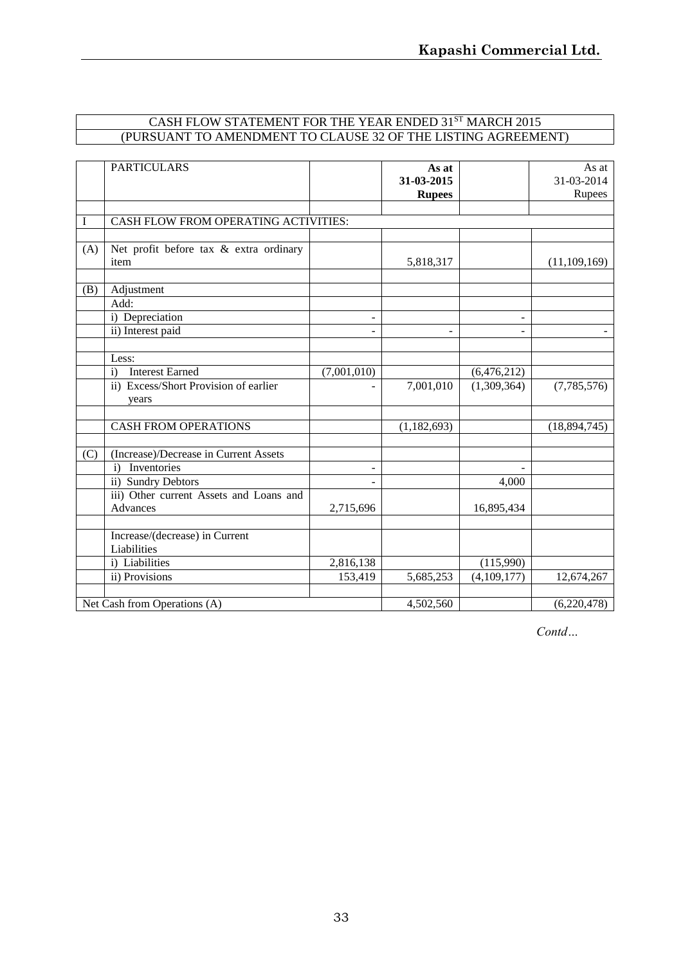# CASH FLOW STATEMENT FOR THE YEAR ENDED  $31^\mathrm{ST}$  MARCH  $2015$ (PURSUANT TO AMENDMENT TO CLAUSE 32 OF THE LISTING AGREEMENT)

|          | <b>PARTICULARS</b>                      |                          | As at         |                          | As at          |
|----------|-----------------------------------------|--------------------------|---------------|--------------------------|----------------|
|          |                                         |                          | 31-03-2015    |                          | 31-03-2014     |
|          |                                         |                          | <b>Rupees</b> |                          | Rupees         |
|          |                                         |                          |               |                          |                |
| $\bf{I}$ | CASH FLOW FROM OPERATING ACTIVITIES:    |                          |               |                          |                |
|          |                                         |                          |               |                          |                |
| (A)      | Net profit before tax & extra ordinary  |                          |               |                          |                |
|          | item                                    |                          | 5,818,317     |                          | (11, 109, 169) |
|          |                                         |                          |               |                          |                |
| (B)      | Adjustment                              |                          |               |                          |                |
|          | Add:                                    |                          |               |                          |                |
|          | i) Depreciation                         | $\overline{\phantom{a}}$ |               | $\overline{\phantom{a}}$ |                |
|          | ii) Interest paid                       |                          |               |                          |                |
|          |                                         |                          |               |                          |                |
|          | Less:                                   |                          |               |                          |                |
|          | <b>Interest Earned</b><br>$\mathbf{i}$  | (7,001,010)              |               | (6,476,212)              |                |
|          | ii) Excess/Short Provision of earlier   |                          | 7,001,010     | (1,309,364)              | (7,785,576)    |
|          | years                                   |                          |               |                          |                |
|          |                                         |                          |               |                          |                |
|          | <b>CASH FROM OPERATIONS</b>             |                          | (1, 182, 693) |                          | (18, 894, 745) |
|          |                                         |                          |               |                          |                |
| (C)      | (Increase)/Decrease in Current Assets   |                          |               |                          |                |
|          | i) Inventories                          | -                        |               |                          |                |
|          | ii) Sundry Debtors                      |                          |               | 4,000                    |                |
|          | iii) Other current Assets and Loans and |                          |               |                          |                |
|          | Advances                                | 2,715,696                |               | 16,895,434               |                |
|          | Increase/(decrease) in Current          |                          |               |                          |                |
|          | Liabilities                             |                          |               |                          |                |
|          | i) Liabilities                          |                          |               |                          |                |
|          |                                         | 2,816,138                |               | (115,990)                |                |
|          | ii) Provisions                          | 153,419                  | 5,685,253     | (4, 109, 177)            | 12,674,267     |
|          |                                         |                          |               |                          |                |
|          | Net Cash from Operations (A)            |                          | 4,502,560     |                          | (6,220,478)    |

*Contd…*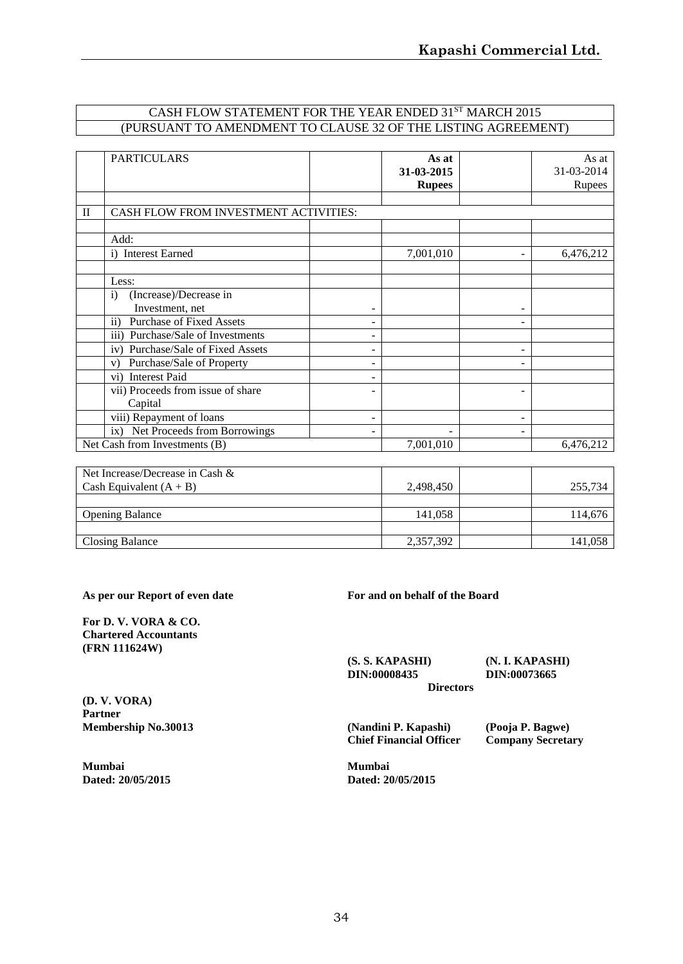# CASH FLOW STATEMENT FOR THE YEAR ENDED 31ST MARCH 2015 (PURSUANT TO AMENDMENT TO CLAUSE 32 OF THE LISTING AGREEMENT)

|                               | <b>PARTICULARS</b>                                   |                | As at<br>31-03-2015<br><b>Rupees</b> |           | As at<br>31-03-2014<br>Rupees |
|-------------------------------|------------------------------------------------------|----------------|--------------------------------------|-----------|-------------------------------|
| $\mathbf{I}$                  | CASH FLOW FROM INVESTMENT ACTIVITIES:                |                |                                      |           |                               |
|                               |                                                      |                |                                      |           |                               |
|                               | Add:                                                 |                |                                      |           |                               |
|                               | i) Interest Earned                                   |                | 7,001,010                            |           | 6,476,212                     |
|                               |                                                      |                |                                      |           |                               |
|                               | Less:                                                |                |                                      |           |                               |
|                               | (Increase)/Decrease in<br>$\ddot{1}$                 |                |                                      |           |                               |
|                               | Investment, net                                      |                |                                      |           |                               |
|                               | <b>Purchase of Fixed Assets</b><br>$\overline{11}$ ) |                |                                      |           |                               |
|                               | iii) Purchase/Sale of Investments                    |                |                                      |           |                               |
|                               | iv) Purchase/Sale of Fixed Assets                    |                |                                      | $\equiv$  |                               |
|                               | Purchase/Sale of Property<br>V)                      |                |                                      |           |                               |
|                               | vi) Interest Paid                                    |                |                                      |           |                               |
|                               | vii) Proceeds from issue of share                    |                |                                      |           |                               |
|                               | Capital                                              |                |                                      |           |                               |
|                               | viii) Repayment of loans                             | $\overline{a}$ |                                      |           |                               |
|                               | ix) Net Proceeds from Borrowings                     |                |                                      |           |                               |
| Net Cash from Investments (B) |                                                      | 7,001,010      |                                      | 6,476,212 |                               |
|                               |                                                      |                |                                      |           |                               |
|                               | Net Increase/Decrease in Cash &                      |                |                                      |           |                               |
| Cash Equivalent $(A + B)$     |                                                      | 2,498,450      |                                      | 255,734   |                               |
|                               |                                                      |                |                                      |           |                               |
|                               | <b>Opening Balance</b>                               |                | 141,058                              |           | 114,676                       |

Closing Balance 2,357,392 141,058

**As per our Report of even date For and on behalf of the Board**

**For D. V. VORA & CO. Chartered Accountants (FRN 111624W)**

**(D. V. VORA) Partner**

**Mumbai Mumbai Dated: 20/05/2015 Dated: 20/05/2015**

**(S. S. KAPASHI) (N. I. KAPASHI) DIN:00008435 DIN:00073665 Directors**

**Membership No.30013 (Nandini P. Kapashi) (Pooja P. Bagwe) Chief Financial Officer Company Secretary**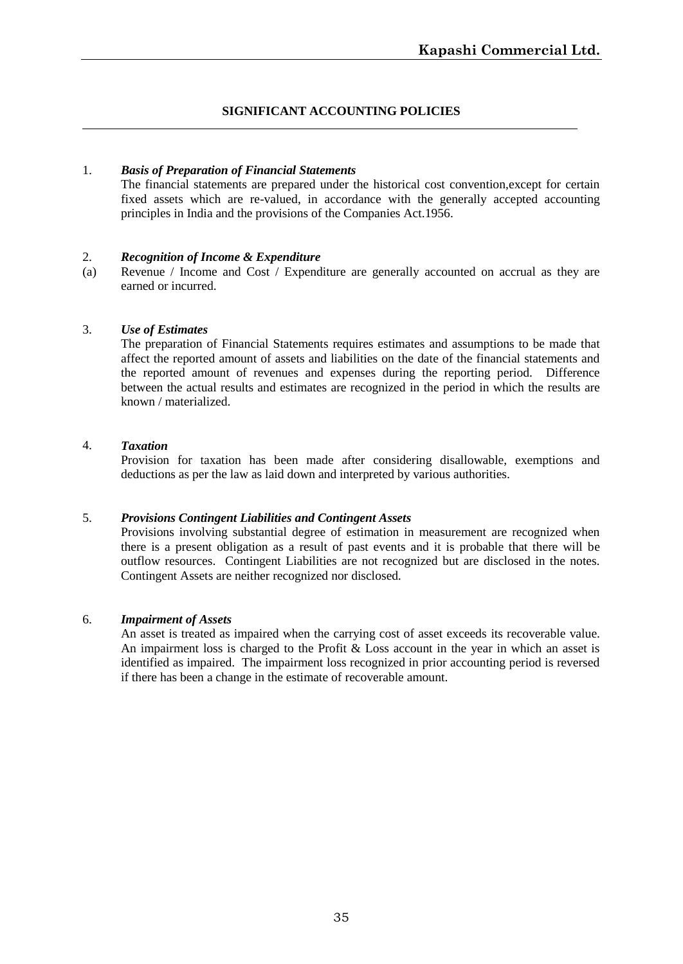# **SIGNIFICANT ACCOUNTING POLICIES**

# 1. *Basis of Preparation of Financial Statements*

The financial statements are prepared under the historical cost convention,except for certain fixed assets which are re-valued, in accordance with the generally accepted accounting principles in India and the provisions of the Companies Act.1956.

# 2. *Recognition of Income & Expenditure*

(a) Revenue / Income and Cost / Expenditure are generally accounted on accrual as they are earned or incurred.

# 3. *Use of Estimates*

 $\overline{a}$ 

The preparation of Financial Statements requires estimates and assumptions to be made that affect the reported amount of assets and liabilities on the date of the financial statements and the reported amount of revenues and expenses during the reporting period. Difference between the actual results and estimates are recognized in the period in which the results are known / materialized.

# 4. *Taxation*

Provision for taxation has been made after considering disallowable, exemptions and deductions as per the law as laid down and interpreted by various authorities.

# 5. *Provisions Contingent Liabilities and Contingent Assets*

Provisions involving substantial degree of estimation in measurement are recognized when there is a present obligation as a result of past events and it is probable that there will be outflow resources. Contingent Liabilities are not recognized but are disclosed in the notes. Contingent Assets are neither recognized nor disclosed.

# 6. *Impairment of Assets*

An asset is treated as impaired when the carrying cost of asset exceeds its recoverable value. An impairment loss is charged to the Profit & Loss account in the year in which an asset is identified as impaired. The impairment loss recognized in prior accounting period is reversed if there has been a change in the estimate of recoverable amount.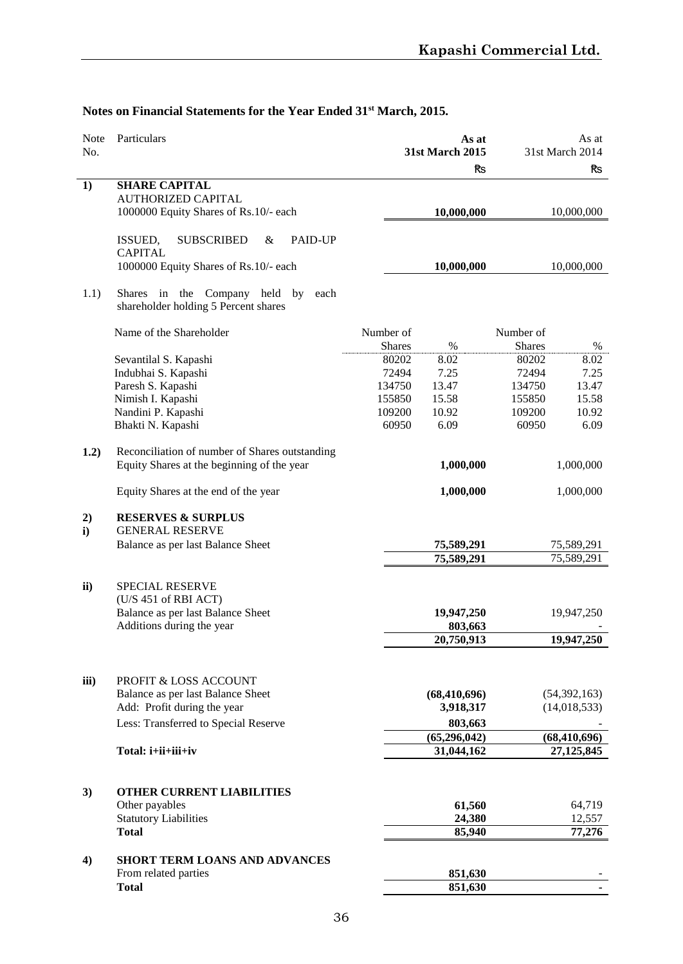| <b>Note</b>      | Particulars                                                                                  |                            | As at            |                            | As at           |
|------------------|----------------------------------------------------------------------------------------------|----------------------------|------------------|----------------------------|-----------------|
| No.              |                                                                                              |                            | 31st March 2015  |                            | 31st March 2014 |
|                  |                                                                                              |                            | Ŕs               |                            | ₹S              |
| 1)               | <b>SHARE CAPITAL</b><br><b>AUTHORIZED CAPITAL</b>                                            |                            |                  |                            |                 |
|                  | 1000000 Equity Shares of Rs.10/- each                                                        |                            | 10,000,000       |                            | 10,000,000      |
|                  |                                                                                              |                            |                  |                            |                 |
|                  | PAID-UP<br>ISSUED,<br><b>SUBSCRIBED</b><br>&<br><b>CAPITAL</b>                               |                            |                  |                            |                 |
|                  | 1000000 Equity Shares of Rs.10/- each                                                        |                            | 10,000,000       |                            | 10,000,000      |
| 1.1)             | Shares in the Company held<br>by<br>each<br>shareholder holding 5 Percent shares             |                            |                  |                            |                 |
|                  | Name of the Shareholder                                                                      | Number of<br><b>Shares</b> | $\%$             | Number of<br><b>Shares</b> | $\%$            |
|                  | Sevantilal S. Kapashi                                                                        | 80202                      | 8.02             | 80202                      | 8.02            |
|                  | Indubhai S. Kapashi                                                                          | 72494                      | 7.25             | 72494                      | 7.25            |
|                  | Paresh S. Kapashi                                                                            | 134750                     | 13.47            | 134750                     | 13.47           |
|                  | Nimish I. Kapashi                                                                            | 155850                     | 15.58            | 155850                     | 15.58           |
|                  | Nandini P. Kapashi                                                                           | 109200                     | 10.92            | 109200                     | 10.92           |
|                  | Bhakti N. Kapashi                                                                            | 60950                      | 6.09             | 60950                      | 6.09            |
|                  |                                                                                              |                            |                  |                            |                 |
| 1.2)             | Reconciliation of number of Shares outstanding<br>Equity Shares at the beginning of the year |                            | 1,000,000        |                            | 1,000,000       |
|                  | Equity Shares at the end of the year                                                         |                            | 1,000,000        |                            | 1,000,000       |
| 2)<br>i)         | <b>RESERVES &amp; SURPLUS</b><br><b>GENERAL RESERVE</b>                                      |                            |                  |                            |                 |
|                  | Balance as per last Balance Sheet                                                            |                            | 75,589,291       |                            | 75,589,291      |
|                  |                                                                                              |                            | 75,589,291       |                            | 75,589,291      |
| ii)              | SPECIAL RESERVE<br>(U/S 451 of RBI ACT)<br>Balance as per last Balance Sheet                 |                            | 19,947,250       |                            | 19,947,250      |
|                  | Additions during the year                                                                    |                            | 803,663          |                            |                 |
|                  |                                                                                              |                            | 20,750,913       |                            | 19,947,250      |
| iii)             | <b>PROFIT &amp; LOSS ACCOUNT</b>                                                             |                            |                  |                            |                 |
|                  | Balance as per last Balance Sheet                                                            |                            | (68, 410, 696)   |                            | (54, 392, 163)  |
|                  | Add: Profit during the year                                                                  |                            | 3,918,317        |                            | (14,018,533)    |
|                  | Less: Transferred to Special Reserve                                                         |                            | 803,663          |                            |                 |
|                  |                                                                                              |                            | (65, 296, 042)   |                            | (68, 410, 696)  |
|                  | Total: i+ii+iii+iv                                                                           |                            | 31,044,162       |                            | 27,125,845      |
|                  |                                                                                              |                            |                  |                            |                 |
| 3)               | <b>OTHER CURRENT LIABILITIES</b>                                                             |                            |                  |                            | 64,719          |
|                  | Other payables<br><b>Statutory Liabilities</b>                                               |                            | 61,560<br>24,380 |                            | 12,557          |
|                  | <b>Total</b>                                                                                 |                            | 85,940           |                            | 77,276          |
|                  |                                                                                              |                            |                  |                            |                 |
| $\boldsymbol{4}$ | <b>SHORT TERM LOANS AND ADVANCES</b>                                                         |                            |                  |                            |                 |
|                  | From related parties                                                                         |                            | 851,630          |                            |                 |
|                  | <b>Total</b>                                                                                 |                            | 851,630          |                            |                 |

# **Notes on Financial Statements for the Year Ended 31st March, 2015.**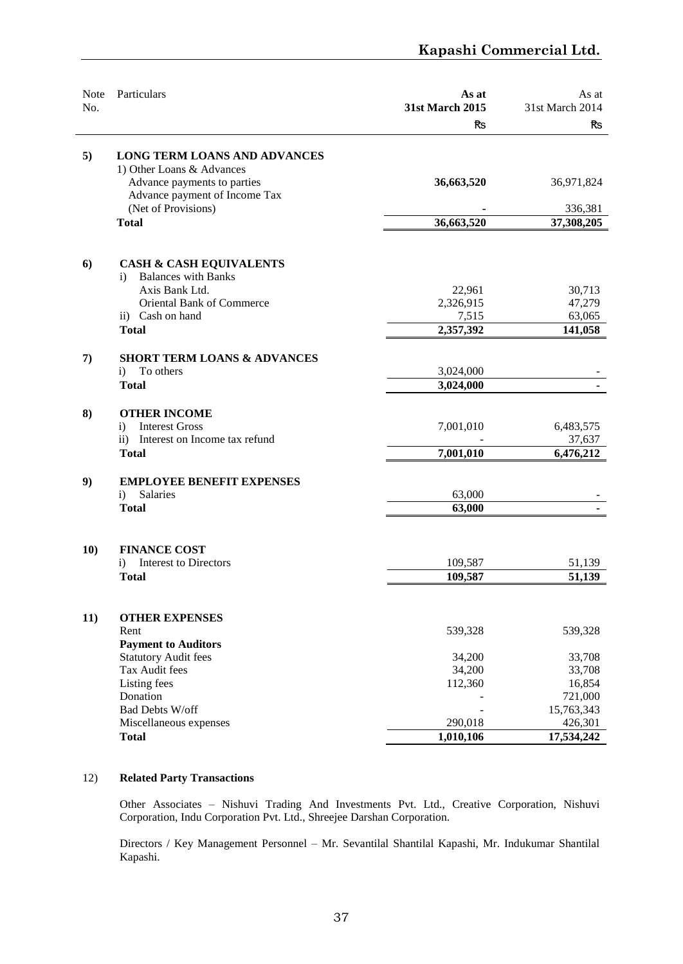| Note<br>No. | Particulars                                                                      | As at<br>31st March 2015 | As at<br>31st March 2014 |
|-------------|----------------------------------------------------------------------------------|--------------------------|--------------------------|
|             |                                                                                  | Rs                       | <b>Rs</b>                |
| 5)          | LONG TERM LOANS AND ADVANCES<br>1) Other Loans & Advances                        |                          |                          |
|             | Advance payments to parties<br>Advance payment of Income Tax                     | 36,663,520               | 36,971,824               |
|             | (Net of Provisions)<br><b>Total</b>                                              | 36,663,520               | 336,381<br>37,308,205    |
| 6)          | <b>CASH &amp; CASH EQUIVALENTS</b><br><b>Balances with Banks</b><br>$\mathbf{i}$ |                          |                          |
|             | Axis Bank Ltd.                                                                   | 22,961                   | 30,713                   |
|             | Oriental Bank of Commerce<br>ii) Cash on hand                                    | 2,326,915<br>7,515       | 47,279<br>63,065         |
|             | <b>Total</b>                                                                     | 2,357,392                | 141,058                  |
| 7)          | <b>SHORT TERM LOANS &amp; ADVANCES</b>                                           |                          |                          |
|             | To others<br>i)                                                                  | 3,024,000                |                          |
|             | <b>Total</b>                                                                     | 3,024,000                |                          |
| 8)          | <b>OTHER INCOME</b>                                                              |                          |                          |
|             | <b>Interest Gross</b><br>i)                                                      | 7,001,010                | 6,483,575                |
|             | ii) Interest on Income tax refund                                                |                          | 37,637                   |
|             | <b>Total</b>                                                                     | 7,001,010                | 6,476,212                |
| 9)          | <b>EMPLOYEE BENEFIT EXPENSES</b>                                                 |                          |                          |
|             | Salaries<br>$\ddot{\text{i}}$<br><b>Total</b>                                    | 63,000<br>63,000         |                          |
|             |                                                                                  |                          |                          |
| 10)         | <b>FINANCE COST</b>                                                              |                          |                          |
|             | <b>Interest to Directors</b><br>i)                                               | 109,587                  | 51,139                   |
|             | <b>Total</b>                                                                     | 109,587                  | 51,139                   |
| 11)         | <b>OTHER EXPENSES</b>                                                            |                          |                          |
|             | Rent                                                                             | 539,328                  | 539,328                  |
|             | <b>Payment to Auditors</b>                                                       |                          |                          |
|             | <b>Statutory Audit fees</b>                                                      | 34,200                   | 33,708                   |
|             | Tax Audit fees                                                                   | 34,200                   | 33,708                   |
|             | Listing fees<br>Donation                                                         | 112,360                  | 16,854<br>721,000        |
|             | Bad Debts W/off                                                                  |                          | 15,763,343               |
|             | Miscellaneous expenses                                                           | 290,018                  | 426,301                  |
|             | <b>Total</b>                                                                     | 1,010,106                | 17,534,242               |

# 12) **Related Party Transactions**

Other Associates – Nishuvi Trading And Investments Pvt. Ltd., Creative Corporation, Nishuvi Corporation, Indu Corporation Pvt. Ltd., Shreejee Darshan Corporation.

Directors / Key Management Personnel – Mr. Sevantilal Shantilal Kapashi, Mr. Indukumar Shantilal Kapashi.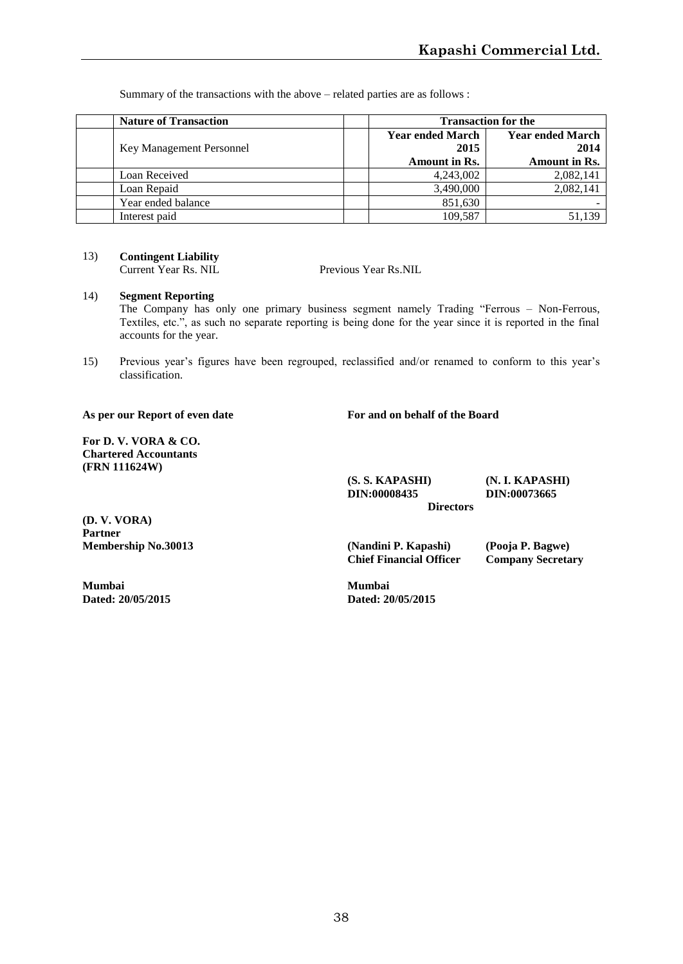Summary of the transactions with the above – related parties are as follows :

| <b>Nature of Transaction</b> |                                 | <b>Transaction for the</b>      |
|------------------------------|---------------------------------|---------------------------------|
| Key Management Personnel     | <b>Year ended March</b><br>2015 | <b>Year ended March</b><br>2014 |
|                              | <b>Amount in Rs.</b>            | <b>Amount in Rs.</b>            |
| Loan Received                | 4,243,002                       | 2,082,141                       |
| Loan Repaid                  | 3,490,000                       | 2,082,141                       |
| Year ended balance           | 851.630                         |                                 |
| Interest paid                | 109,587                         |                                 |

# 13) **Contingent Liability**

Previous Year Rs.NIL

# 14) **Segment Reporting**

The Company has only one primary business segment namely Trading "Ferrous – Non-Ferrous, Textiles, etc.", as such no separate reporting is being done for the year since it is reported in the final accounts for the year.

15) Previous year's figures have been regrouped, reclassified and/or renamed to conform to this year's classification.

**As per our Report of even date For and on behalf of the Board**

**For D. V. VORA & CO. Chartered Accountants (FRN 111624W)**

**(S. S. KAPASHI) (N. I. KAPASHI) DIN:00008435 DIN:00073665 Directors**

**(D. V. VORA) Partner Membership No.30013 (Nandini P. Kapashi) (Pooja P. Bagwe)**

**Mumbai Mumbai**

**Chief Financial Officer Company Secretary**

**Dated: 20/05/2015 Dated: 20/05/2015**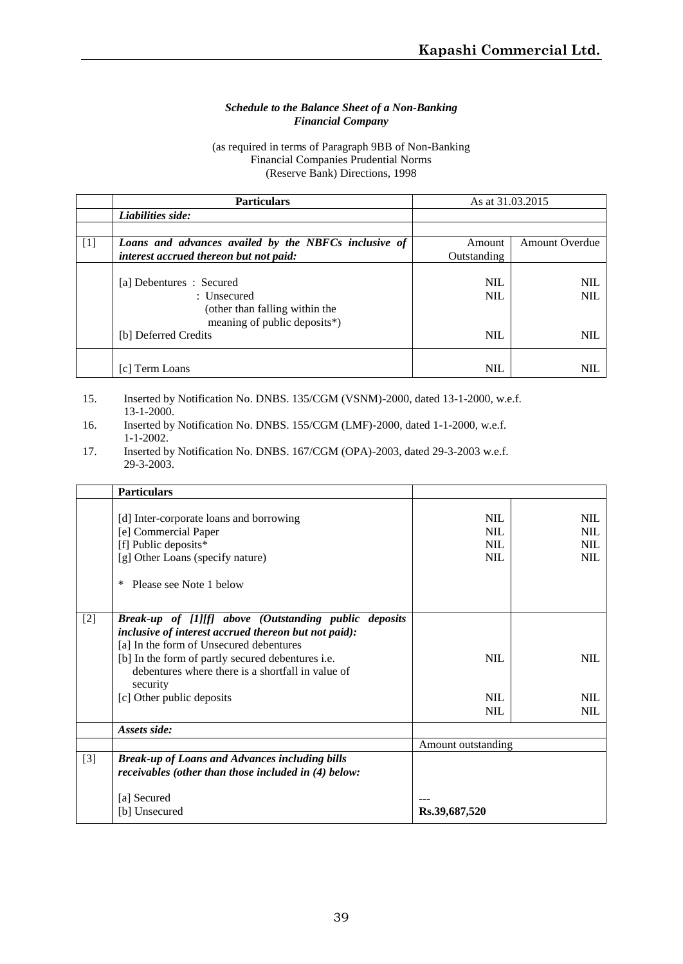# *Schedule to the Balance Sheet of a Non-Banking Financial Company*

(as required in terms of Paragraph 9BB of Non-Banking Financial Companies Prudential Norms (Reserve Bank) Directions, 1998

|       | <b>Particulars</b>                                                                                                                  | As at 31.03.2015                       |                                        |
|-------|-------------------------------------------------------------------------------------------------------------------------------------|----------------------------------------|----------------------------------------|
|       | Liabilities side:                                                                                                                   |                                        |                                        |
|       |                                                                                                                                     |                                        |                                        |
| $[1]$ | Loans and advances availed by the NBFCs inclusive of                                                                                | Amount                                 | <b>Amount Overdue</b>                  |
|       | interest accrued thereon but not paid:                                                                                              | Outstanding                            |                                        |
|       | [a] Debentures : Secured<br>$:$ Unsecured<br>(other than falling within the<br>meaning of public deposits*)<br>[b] Deferred Credits | <b>NIL</b><br><b>NIL</b><br><b>NIL</b> | <b>NIL</b><br><b>NIL</b><br><b>NIL</b> |
|       | [c] Term Loans                                                                                                                      | <b>NIL</b>                             | NIL                                    |

- 15. Inserted by Notification No. DNBS. 135/CGM (VSNM)-2000, dated 13-1-2000, w.e.f. 13-1-2000.
- 16. Inserted by Notification No. DNBS. 155/CGM (LMF)-2000, dated 1-1-2000, w.e.f. 1-1-2002.
- 17. Inserted by Notification No. DNBS. 167/CGM (OPA)-2003, dated 29-3-2003 w.e.f. 29-3-2003.

|       | <b>Particulars</b>                                                                                                                                                                                                                                                                                          |                                                |                                                |
|-------|-------------------------------------------------------------------------------------------------------------------------------------------------------------------------------------------------------------------------------------------------------------------------------------------------------------|------------------------------------------------|------------------------------------------------|
|       | [d] Inter-corporate loans and borrowing<br>[e] Commercial Paper<br>[f] Public deposits*<br>[g] Other Loans (specify nature)<br>Please see Note 1 below<br>∗                                                                                                                                                 | <b>NIL</b><br><b>NIL</b><br>NIL.<br><b>NIL</b> | <b>NIL</b><br><b>NIL</b><br>NII.<br><b>NIL</b> |
| $[2]$ | Break-up of [1][f] above (Outstanding public deposits<br>inclusive of interest accrued thereon but not paid):<br>[a] In the form of Unsecured debentures<br>[b] In the form of partly secured debentures i.e.<br>debentures where there is a shortfall in value of<br>security<br>[c] Other public deposits | <b>NIL</b><br><b>NIL</b><br><b>NIL</b>         | <b>NIL</b><br><b>NIL</b><br><b>NIL</b>         |
|       | Assets side:                                                                                                                                                                                                                                                                                                |                                                |                                                |
|       |                                                                                                                                                                                                                                                                                                             | Amount outstanding                             |                                                |
| $[3]$ | <b>Break-up of Loans and Advances including bills</b><br>receivables (other than those included in (4) below:                                                                                                                                                                                               |                                                |                                                |
|       | [a] Secured<br>[b] Unsecured                                                                                                                                                                                                                                                                                | Rs.39,687,520                                  |                                                |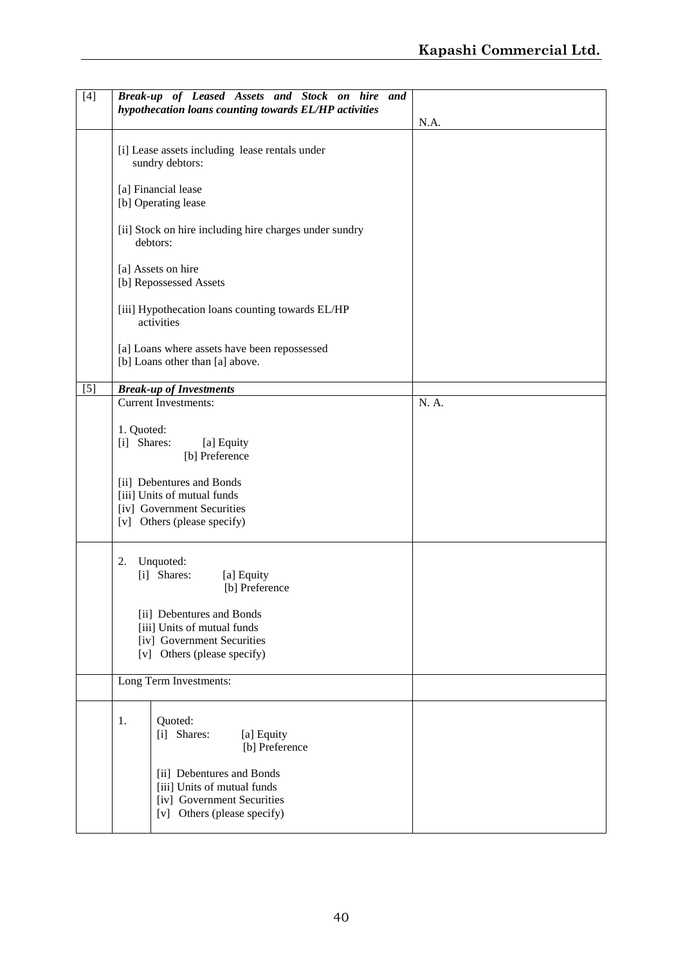|                                                                                                                                         |                              | N.A.                                                                                                                                                                                                                                                                                                                                                                                                                                                                                                                                                                                                                                                                                                                                                                                                                                                                 |
|-----------------------------------------------------------------------------------------------------------------------------------------|------------------------------|----------------------------------------------------------------------------------------------------------------------------------------------------------------------------------------------------------------------------------------------------------------------------------------------------------------------------------------------------------------------------------------------------------------------------------------------------------------------------------------------------------------------------------------------------------------------------------------------------------------------------------------------------------------------------------------------------------------------------------------------------------------------------------------------------------------------------------------------------------------------|
|                                                                                                                                         |                              |                                                                                                                                                                                                                                                                                                                                                                                                                                                                                                                                                                                                                                                                                                                                                                                                                                                                      |
|                                                                                                                                         |                              |                                                                                                                                                                                                                                                                                                                                                                                                                                                                                                                                                                                                                                                                                                                                                                                                                                                                      |
|                                                                                                                                         |                              |                                                                                                                                                                                                                                                                                                                                                                                                                                                                                                                                                                                                                                                                                                                                                                                                                                                                      |
|                                                                                                                                         |                              |                                                                                                                                                                                                                                                                                                                                                                                                                                                                                                                                                                                                                                                                                                                                                                                                                                                                      |
|                                                                                                                                         |                              |                                                                                                                                                                                                                                                                                                                                                                                                                                                                                                                                                                                                                                                                                                                                                                                                                                                                      |
|                                                                                                                                         |                              |                                                                                                                                                                                                                                                                                                                                                                                                                                                                                                                                                                                                                                                                                                                                                                                                                                                                      |
|                                                                                                                                         |                              |                                                                                                                                                                                                                                                                                                                                                                                                                                                                                                                                                                                                                                                                                                                                                                                                                                                                      |
|                                                                                                                                         |                              |                                                                                                                                                                                                                                                                                                                                                                                                                                                                                                                                                                                                                                                                                                                                                                                                                                                                      |
|                                                                                                                                         |                              | N. A.                                                                                                                                                                                                                                                                                                                                                                                                                                                                                                                                                                                                                                                                                                                                                                                                                                                                |
|                                                                                                                                         |                              |                                                                                                                                                                                                                                                                                                                                                                                                                                                                                                                                                                                                                                                                                                                                                                                                                                                                      |
|                                                                                                                                         |                              |                                                                                                                                                                                                                                                                                                                                                                                                                                                                                                                                                                                                                                                                                                                                                                                                                                                                      |
| [b] Preference<br>[ii] Debentures and Bonds<br>[iii] Units of mutual funds<br>[iv] Government Securities<br>[v] Others (please specify) |                              |                                                                                                                                                                                                                                                                                                                                                                                                                                                                                                                                                                                                                                                                                                                                                                                                                                                                      |
|                                                                                                                                         |                              |                                                                                                                                                                                                                                                                                                                                                                                                                                                                                                                                                                                                                                                                                                                                                                                                                                                                      |
|                                                                                                                                         |                              |                                                                                                                                                                                                                                                                                                                                                                                                                                                                                                                                                                                                                                                                                                                                                                                                                                                                      |
|                                                                                                                                         |                              |                                                                                                                                                                                                                                                                                                                                                                                                                                                                                                                                                                                                                                                                                                                                                                                                                                                                      |
|                                                                                                                                         |                              |                                                                                                                                                                                                                                                                                                                                                                                                                                                                                                                                                                                                                                                                                                                                                                                                                                                                      |
|                                                                                                                                         |                              |                                                                                                                                                                                                                                                                                                                                                                                                                                                                                                                                                                                                                                                                                                                                                                                                                                                                      |
| 2.                                                                                                                                      | [a] Equity                   |                                                                                                                                                                                                                                                                                                                                                                                                                                                                                                                                                                                                                                                                                                                                                                                                                                                                      |
|                                                                                                                                         |                              |                                                                                                                                                                                                                                                                                                                                                                                                                                                                                                                                                                                                                                                                                                                                                                                                                                                                      |
|                                                                                                                                         |                              |                                                                                                                                                                                                                                                                                                                                                                                                                                                                                                                                                                                                                                                                                                                                                                                                                                                                      |
|                                                                                                                                         |                              |                                                                                                                                                                                                                                                                                                                                                                                                                                                                                                                                                                                                                                                                                                                                                                                                                                                                      |
|                                                                                                                                         |                              |                                                                                                                                                                                                                                                                                                                                                                                                                                                                                                                                                                                                                                                                                                                                                                                                                                                                      |
|                                                                                                                                         |                              |                                                                                                                                                                                                                                                                                                                                                                                                                                                                                                                                                                                                                                                                                                                                                                                                                                                                      |
| Long Term Investments:                                                                                                                  |                              |                                                                                                                                                                                                                                                                                                                                                                                                                                                                                                                                                                                                                                                                                                                                                                                                                                                                      |
| 1.                                                                                                                                      | Quoted:                      |                                                                                                                                                                                                                                                                                                                                                                                                                                                                                                                                                                                                                                                                                                                                                                                                                                                                      |
|                                                                                                                                         | [a] Equity<br>[b] Preference |                                                                                                                                                                                                                                                                                                                                                                                                                                                                                                                                                                                                                                                                                                                                                                                                                                                                      |
|                                                                                                                                         |                              |                                                                                                                                                                                                                                                                                                                                                                                                                                                                                                                                                                                                                                                                                                                                                                                                                                                                      |
|                                                                                                                                         | [iii] Units of mutual funds  |                                                                                                                                                                                                                                                                                                                                                                                                                                                                                                                                                                                                                                                                                                                                                                                                                                                                      |
|                                                                                                                                         | [iv] Government Securities   |                                                                                                                                                                                                                                                                                                                                                                                                                                                                                                                                                                                                                                                                                                                                                                                                                                                                      |
|                                                                                                                                         |                              |                                                                                                                                                                                                                                                                                                                                                                                                                                                                                                                                                                                                                                                                                                                                                                                                                                                                      |
|                                                                                                                                         |                              | Break-up of Leased Assets and Stock on hire and<br>hypothecation loans counting towards EL/HP activities<br>[i] Lease assets including lease rentals under<br>sundry debtors:<br>[a] Financial lease<br>[b] Operating lease<br>[ii] Stock on hire including hire charges under sundry<br>debtors:<br>[a] Assets on hire<br>[b] Repossessed Assets<br>[iii] Hypothecation loans counting towards EL/HP<br>activities<br>[a] Loans where assets have been repossessed<br>[b] Loans other than [a] above.<br><b>Break-up of Investments</b><br><b>Current Investments:</b><br>1. Quoted:<br>[i] Shares:<br>[a] Equity<br>Unquoted:<br>[i] Shares:<br>[b] Preference<br>[ii] Debentures and Bonds<br>[iii] Units of mutual funds<br>[iv] Government Securities<br>[v] Others (please specify)<br>[i] Shares:<br>[ii] Debentures and Bonds<br>[v] Others (please specify) |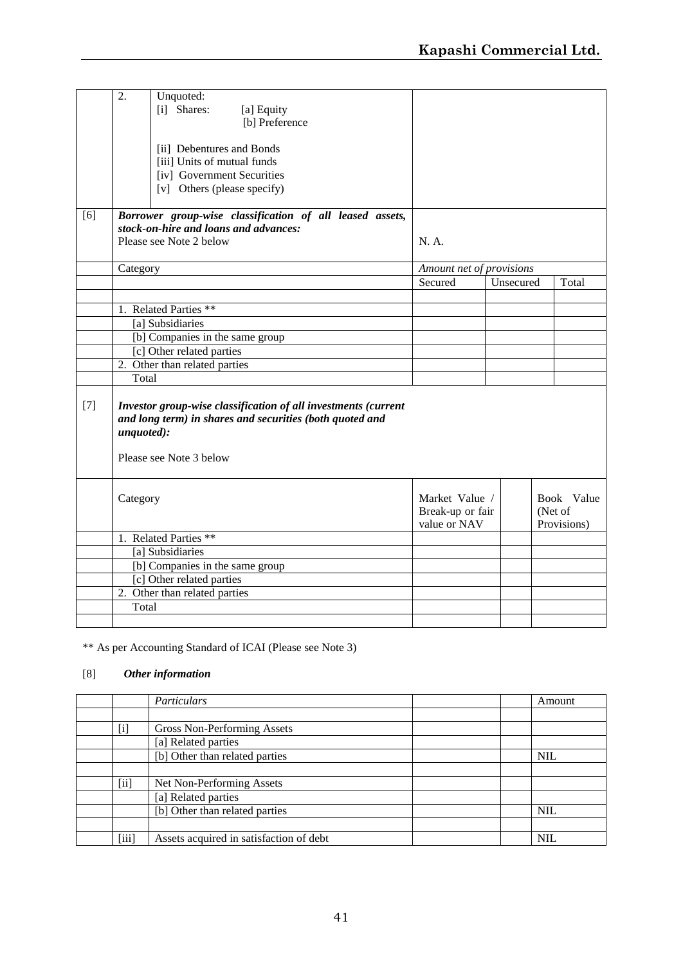|       | 2.         | Unquoted:<br>[i] Shares:<br>[a] Equity<br>[b] Preference<br>[ii] Debentures and Bonds<br>[iii] Units of mutual funds<br>[iv] Government Securities<br>[v] Others (please specify) |                                                    |           |                                      |
|-------|------------|-----------------------------------------------------------------------------------------------------------------------------------------------------------------------------------|----------------------------------------------------|-----------|--------------------------------------|
| [6]   |            | Borrower group-wise classification of all leased assets,<br>stock-on-hire and loans and advances:<br>Please see Note 2 below                                                      | N. A.                                              |           |                                      |
|       |            |                                                                                                                                                                                   |                                                    |           |                                      |
|       | Category   |                                                                                                                                                                                   | Amount net of provisions                           |           |                                      |
|       |            |                                                                                                                                                                                   | Secured                                            | Unsecured | Total                                |
|       |            |                                                                                                                                                                                   |                                                    |           |                                      |
|       |            | 1. Related Parties **                                                                                                                                                             |                                                    |           |                                      |
|       |            | [a] Subsidiaries                                                                                                                                                                  |                                                    |           |                                      |
|       |            | [b] Companies in the same group                                                                                                                                                   |                                                    |           |                                      |
|       |            | [c] Other related parties                                                                                                                                                         |                                                    |           |                                      |
|       | Total      | 2. Other than related parties                                                                                                                                                     |                                                    |           |                                      |
|       |            |                                                                                                                                                                                   |                                                    |           |                                      |
| $[7]$ | unquoted): | Investor group-wise classification of all investments (current<br>and long term) in shares and securities (both quoted and<br>Please see Note 3 below                             |                                                    |           |                                      |
|       | Category   |                                                                                                                                                                                   | Market Value /<br>Break-up or fair<br>value or NAV |           | Book Value<br>(Net of<br>Provisions) |
|       |            | 1. Related Parties **                                                                                                                                                             |                                                    |           |                                      |
|       |            | [a] Subsidiaries                                                                                                                                                                  |                                                    |           |                                      |
|       |            | [b] Companies in the same group                                                                                                                                                   |                                                    |           |                                      |
|       |            | [c] Other related parties                                                                                                                                                         |                                                    |           |                                      |
|       |            | 2. Other than related parties                                                                                                                                                     |                                                    |           |                                      |
|       | Total      |                                                                                                                                                                                   |                                                    |           |                                      |
|       |            |                                                                                                                                                                                   |                                                    |           |                                      |

\*\* As per Accounting Standard of ICAI (Please see Note 3)

# [8] *Other information*

| Particulars                                      | Amount     |
|--------------------------------------------------|------------|
|                                                  |            |
| [i]<br>Gross Non-Performing Assets               |            |
| [a] Related parties                              |            |
| [b] Other than related parties                   | <b>NIL</b> |
|                                                  |            |
| [ii]<br>Net Non-Performing Assets                |            |
| [a] Related parties                              |            |
| [b] Other than related parties                   | <b>NIL</b> |
|                                                  |            |
| [iii]<br>Assets acquired in satisfaction of debt | <b>NIL</b> |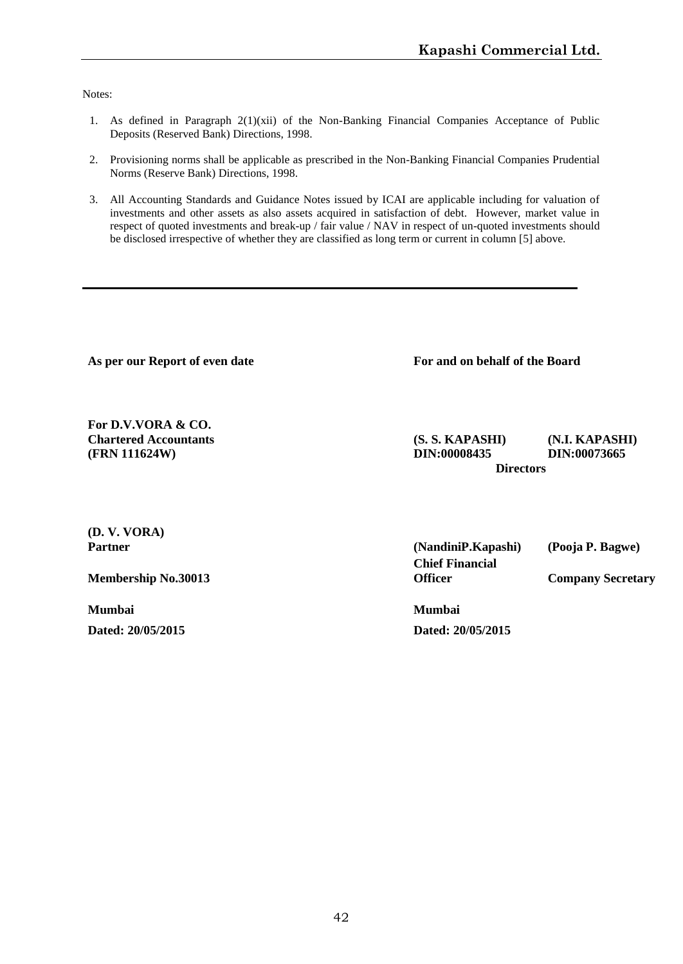Notes:

- 1. As defined in Paragraph 2(1)(xii) of the Non-Banking Financial Companies Acceptance of Public Deposits (Reserved Bank) Directions, 1998.
- 2. Provisioning norms shall be applicable as prescribed in the Non-Banking Financial Companies Prudential Norms (Reserve Bank) Directions, 1998.
- 3. All Accounting Standards and Guidance Notes issued by ICAI are applicable including for valuation of investments and other assets as also assets acquired in satisfaction of debt. However, market value in respect of quoted investments and break-up / fair value / NAV in respect of un-quoted investments should be disclosed irrespective of whether they are classified as long term or current in column [5] above.

**For D.V.VORA & CO.**

As per our Report of even date **For and on behalf of the Board** 

**Chartered Accountants (S. S. KAPASHI) (N.I. KAPASHI) (FRN 111624W) DIN:00008435 DIN:00073665 Directors**

|                | (D. V. VORA) |
|----------------|--------------|
| <b>Partner</b> |              |

**Membership No.30013**

**Mumbai Mumbai**

**Partner (NandiniP.Kapashi) (Pooja P. Bagwe) Chief Financial Officer Company Secretary**

**Dated: 20/05/2015 Dated: 20/05/2015**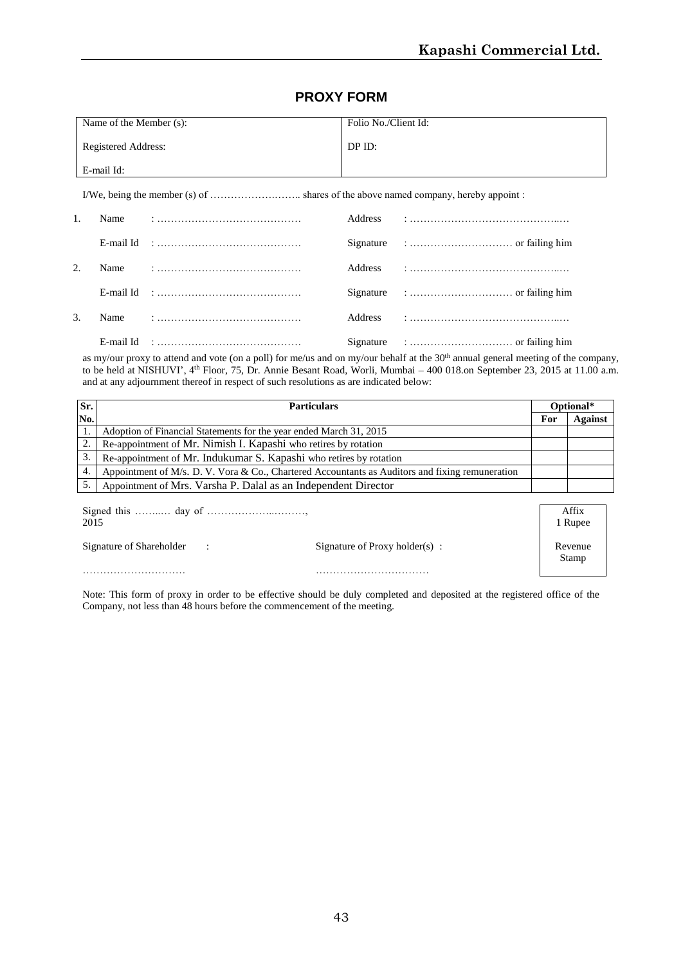# **PROXY FORM**

| Name of the Member (s): |  | Folio No./Client Id:                                                                                                                                                                                                                                                                                          |       |                                                                                                        |  |
|-------------------------|--|---------------------------------------------------------------------------------------------------------------------------------------------------------------------------------------------------------------------------------------------------------------------------------------------------------------|-------|--------------------------------------------------------------------------------------------------------|--|
| Registered Address:     |  |                                                                                                                                                                                                                                                                                                               | DPID: |                                                                                                        |  |
| E-mail Id:              |  |                                                                                                                                                                                                                                                                                                               |       |                                                                                                        |  |
|                         |  |                                                                                                                                                                                                                                                                                                               |       |                                                                                                        |  |
| 1.                      |  | Name : $\ldots$ : $\ldots$ : $\ldots$ : $\ldots$ : $\ldots$ : $\ldots$ : $\ldots$ : $\ldots$ : $\ldots$ : $\ldots$ : $\ldots$ : $\ldots$ : $\ldots$ : $\ldots$ : $\ldots$ : $\ldots$ : $\ldots$ : $\ldots$ : $\ldots$ : $\ldots$ : $\ldots$ : $\ldots$ : $\ldots$ : $\ldots$ : $\ldots$ : $\ldots$ : $\ldots$ |       |                                                                                                        |  |
|                         |  |                                                                                                                                                                                                                                                                                                               |       |                                                                                                        |  |
| 2.                      |  | Name : $\ldots$ : $\ldots$ : $\ldots$ : $\ldots$ : $\ldots$ : $\ldots$ : $\ldots$ : $\ldots$ : $\ldots$ : $\ldots$ : $\ldots$ : $\ldots$ : $\ldots$ : $\ldots$ : $\ldots$ : $\ldots$ : $\ldots$ : $\ldots$ : $\ldots$ : $\ldots$ : $\ldots$ : $\ldots$ : $\ldots$ : $\ldots$ : $\ldots$ : $\ldots$ : $\ldots$ |       | $Address : \ldots \ldots \ldots \ldots \ldots \ldots \ldots \ldots \ldots \ldots \ldots \ldots \ldots$ |  |
|                         |  |                                                                                                                                                                                                                                                                                                               |       |                                                                                                        |  |

3. Name : …………………………………… Address : ……………………………………..… E-mail Id : …………………………………… Signature : ………………………… or failing him

as my/our proxy to attend and vote (on a poll) for me/us and on my/our behalf at the 30<sup>th</sup> annual general meeting of the company, to be held at NISHUVI', 4th Floor, 75, Dr. Annie Besant Road, Worli, Mumbai – 400 018.on September 23, 2015 at 11.00 a.m. and at any adjournment thereof in respect of such resolutions as are indicated below:

| Sr. | <b>Particulars</b>                                                                              |     | Optional* |  |
|-----|-------------------------------------------------------------------------------------------------|-----|-----------|--|
| No. |                                                                                                 | For | Against   |  |
|     | Adoption of Financial Statements for the year ended March 31, 2015                              |     |           |  |
|     | Re-appointment of Mr. Nimish I. Kapashi who retires by rotation                                 |     |           |  |
|     | Re-appointment of Mr. Indukumar S. Kapashi who retires by rotation                              |     |           |  |
| 4.  | Appointment of M/s. D. V. Vora & Co., Chartered Accountants as Auditors and fixing remuneration |     |           |  |
|     | Appointment of Mrs. Varsha P. Dalal as an Independent Director                                  |     |           |  |
|     |                                                                                                 |     |           |  |

| 2015                       |                                | Affix<br>l Rupee |
|----------------------------|--------------------------------|------------------|
| Signature of Shareholder : | Signature of Proxy holder(s) : | Revenue<br>Stamp |
|                            |                                |                  |

Note: This form of proxy in order to be effective should be duly completed and deposited at the registered office of the Company, not less than 48 hours before the commencement of the meeting.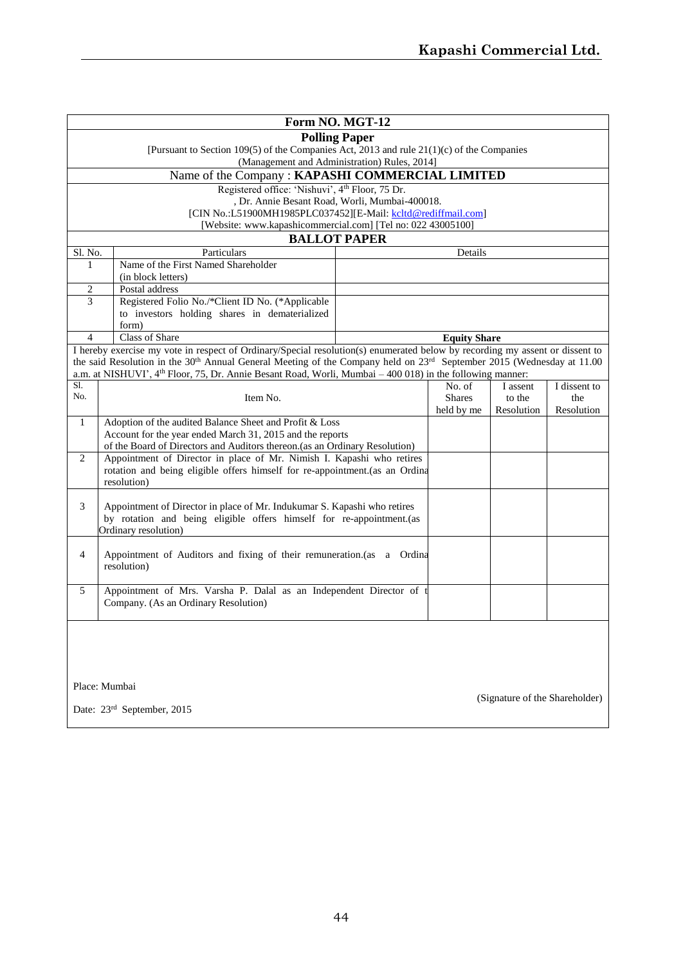| Form NO. MGT-12                                                                                                                         |                                                                                                                                               |                      |                     |            |              |  |
|-----------------------------------------------------------------------------------------------------------------------------------------|-----------------------------------------------------------------------------------------------------------------------------------------------|----------------------|---------------------|------------|--------------|--|
|                                                                                                                                         |                                                                                                                                               | <b>Polling Paper</b> |                     |            |              |  |
|                                                                                                                                         | [Pursuant to Section 109(5) of the Companies Act, 2013 and rule $21(1)(c)$ of the Companies                                                   |                      |                     |            |              |  |
|                                                                                                                                         | (Management and Administration) Rules, 2014]                                                                                                  |                      |                     |            |              |  |
|                                                                                                                                         | Name of the Company: KAPASHI COMMERCIAL LIMITED                                                                                               |                      |                     |            |              |  |
|                                                                                                                                         | Registered office: 'Nishuvi', 4th Floor, 75 Dr.                                                                                               |                      |                     |            |              |  |
|                                                                                                                                         | , Dr. Annie Besant Road, Worli, Mumbai-400018.                                                                                                |                      |                     |            |              |  |
|                                                                                                                                         | [CIN No.:L51900MH1985PLC037452][E-Mail: kcltd@rediffmail.com]<br>[Website: www.kapashicommercial.com] [Tel no: 022 43005100]                  |                      |                     |            |              |  |
|                                                                                                                                         |                                                                                                                                               | <b>BALLOT PAPER</b>  |                     |            |              |  |
| Sl. No.                                                                                                                                 | Particulars                                                                                                                                   |                      | Details             |            |              |  |
| $\mathbf{1}$                                                                                                                            | Name of the First Named Shareholder                                                                                                           |                      |                     |            |              |  |
|                                                                                                                                         | (in block letters)                                                                                                                            |                      |                     |            |              |  |
| $\sqrt{2}$                                                                                                                              | Postal address                                                                                                                                |                      |                     |            |              |  |
| 3                                                                                                                                       | Registered Folio No./*Client ID No. (*Applicable                                                                                              |                      |                     |            |              |  |
|                                                                                                                                         | to investors holding shares in dematerialized                                                                                                 |                      |                     |            |              |  |
|                                                                                                                                         | form)                                                                                                                                         |                      |                     |            |              |  |
| $\overline{4}$                                                                                                                          | <b>Class of Share</b>                                                                                                                         |                      | <b>Equity Share</b> |            |              |  |
|                                                                                                                                         | I hereby exercise my vote in respect of Ordinary/Special resolution(s) enumerated below by recording my assent or dissent to                  |                      |                     |            |              |  |
|                                                                                                                                         | the said Resolution in the 30 <sup>th</sup> Annual General Meeting of the Company held on 23 <sup>rd</sup> September 2015 (Wednesday at 11.00 |                      |                     |            |              |  |
|                                                                                                                                         | a.m. at NISHUVI', 4 <sup>th</sup> Floor, 75, Dr. Annie Besant Road, Worli, Mumbai – 400 018) in the following manner:                         |                      |                     |            |              |  |
| S1.<br>No.                                                                                                                              |                                                                                                                                               |                      | No. of              | I assent   | I dissent to |  |
|                                                                                                                                         | Item No.                                                                                                                                      |                      | <b>Shares</b>       | to the     | the          |  |
| $\mathbf{1}$                                                                                                                            | Adoption of the audited Balance Sheet and Profit & Loss                                                                                       |                      | held by me          | Resolution | Resolution   |  |
|                                                                                                                                         |                                                                                                                                               |                      |                     |            |              |  |
| Account for the year ended March 31, 2015 and the reports<br>of the Board of Directors and Auditors thereon.(as an Ordinary Resolution) |                                                                                                                                               |                      |                     |            |              |  |
| $\overline{2}$                                                                                                                          | Appointment of Director in place of Mr. Nimish I. Kapashi who retires                                                                         |                      |                     |            |              |  |
|                                                                                                                                         | rotation and being eligible offers himself for re-appointment.(as an Ordina                                                                   |                      |                     |            |              |  |
|                                                                                                                                         | resolution)                                                                                                                                   |                      |                     |            |              |  |
|                                                                                                                                         |                                                                                                                                               |                      |                     |            |              |  |
| 3                                                                                                                                       | Appointment of Director in place of Mr. Indukumar S. Kapashi who retires                                                                      |                      |                     |            |              |  |
|                                                                                                                                         | by rotation and being eligible offers himself for re-appointment.(as                                                                          |                      |                     |            |              |  |
| Ordinary resolution)                                                                                                                    |                                                                                                                                               |                      |                     |            |              |  |
| 4                                                                                                                                       |                                                                                                                                               |                      |                     |            |              |  |
|                                                                                                                                         | Appointment of Auditors and fixing of their remuneration. (as a Ordina<br>resolution)                                                         |                      |                     |            |              |  |
|                                                                                                                                         |                                                                                                                                               |                      |                     |            |              |  |
| 5                                                                                                                                       | Appointment of Mrs. Varsha P. Dalal as an Independent Director of t                                                                           |                      |                     |            |              |  |
| Company. (As an Ordinary Resolution)                                                                                                    |                                                                                                                                               |                      |                     |            |              |  |
|                                                                                                                                         |                                                                                                                                               |                      |                     |            |              |  |
|                                                                                                                                         |                                                                                                                                               |                      |                     |            |              |  |
|                                                                                                                                         |                                                                                                                                               |                      |                     |            |              |  |
|                                                                                                                                         |                                                                                                                                               |                      |                     |            |              |  |
|                                                                                                                                         |                                                                                                                                               |                      |                     |            |              |  |
|                                                                                                                                         |                                                                                                                                               |                      |                     |            |              |  |
| Place: Mumbai                                                                                                                           |                                                                                                                                               |                      |                     |            |              |  |

Date: 23<sup>rd</sup> September, 2015

(Signature of the Shareholder)